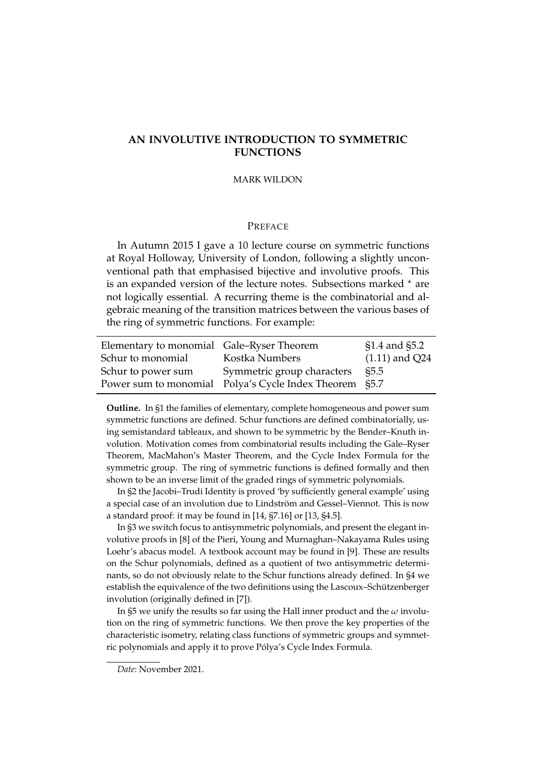# **AN INVOLUTIVE INTRODUCTION TO SYMMETRIC FUNCTIONS**

#### MARK WILDON

# PREFACE

In Autumn 2015 I gave a 10 lecture course on symmetric functions at Royal Holloway, University of London, following a slightly unconventional path that emphasised bijective and involutive proofs. This is an expanded version of the lecture notes. Subsections marked  $*$  are not logically essential. A recurring theme is the combinatorial and algebraic meaning of the transition matrices between the various bases of the ring of symmetric functions. For example:

| Elementary to monomial Gale–Ryser Theorem |                                                        | $$1.4$ and $$5.2$ |
|-------------------------------------------|--------------------------------------------------------|-------------------|
| Schur to monomial                         | Kostka Numbers                                         | $(1.11)$ and Q24  |
| Schur to power sum                        | Symmetric group characters                             | S5.5              |
|                                           | Power sum to monomial Polya's Cycle Index Theorem §5.7 |                   |

**Outline.** In §1 the families of elementary, complete homogeneous and power sum symmetric functions are defined. Schur functions are defined combinatorially, using semistandard tableaux, and shown to be symmetric by the Bender–Knuth involution. Motivation comes from combinatorial results including the Gale–Ryser Theorem, MacMahon's Master Theorem, and the Cycle Index Formula for the symmetric group. The ring of symmetric functions is defined formally and then shown to be an inverse limit of the graded rings of symmetric polynomials.

In §2 the Jacobi–Trudi Identity is proved 'by sufficiently general example' using a special case of an involution due to Lindström and Gessel-Viennot. This is now a standard proof: it may be found in [14, §7.16] or [13, §4.5].

In §3 we switch focus to antisymmetric polynomials, and present the elegant involutive proofs in [8] of the Pieri, Young and Murnaghan–Nakayama Rules using Loehr's abacus model. A textbook account may be found in [9]. These are results on the Schur polynomials, defined as a quotient of two antisymmetric determinants, so do not obviously relate to the Schur functions already defined. In §4 we establish the equivalence of the two definitions using the Lascoux–Schützenberger involution (originally defined in [7]).

In §5 we unify the results so far using the Hall inner product and the *ω* involution on the ring of symmetric functions. We then prove the key properties of the characteristic isometry, relating class functions of symmetric groups and symmetric polynomials and apply it to prove Pólya's Cycle Index Formula.

*Date*: November 2021.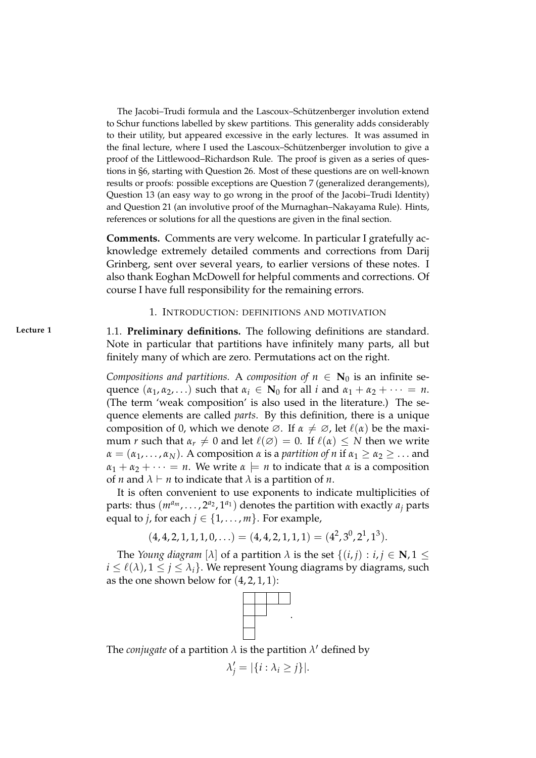The Jacobi-Trudi formula and the Lascoux-Schützenberger involution extend to Schur functions labelled by skew partitions. This generality adds considerably to their utility, but appeared excessive in the early lectures. It was assumed in the final lecture, where I used the Lascoux–Schützenberger involution to give a proof of the Littlewood–Richardson Rule. The proof is given as a series of questions in §6, starting with Question 26. Most of these questions are on well-known results or proofs: possible exceptions are Question 7 (generalized derangements), Question 13 (an easy way to go wrong in the proof of the Jacobi–Trudi Identity) and Question 21 (an involutive proof of the Murnaghan–Nakayama Rule). Hints, references or solutions for all the questions are given in the final section.

**Comments.** Comments are very welcome. In particular I gratefully acknowledge extremely detailed comments and corrections from Darij Grinberg, sent over several years, to earlier versions of these notes. I also thank Eoghan McDowell for helpful comments and corrections. Of course I have full responsibility for the remaining errors.

# 1. INTRODUCTION: DEFINITIONS AND MOTIVATION

**Lecture 1** 1.1. **Preliminary definitions.** The following definitions are standard. Note in particular that partitions have infinitely many parts, all but finitely many of which are zero. Permutations act on the right.

> *Compositions and partitions.* A *composition of*  $n \in \mathbb{N}_0$  is an infinite sequence  $(\alpha_1, \alpha_2, \ldots)$  such that  $\alpha_i \in \mathbb{N}_0$  for all *i* and  $\alpha_1 + \alpha_2 + \cdots = n$ . (The term 'weak composition' is also used in the literature.) The sequence elements are called *parts*. By this definition, there is a unique composition of 0, which we denote  $\emptyset$ . If  $\alpha \neq \emptyset$ , let  $\ell(\alpha)$  be the maximum *r* such that  $\alpha_r \neq 0$  and let  $\ell(\emptyset) = 0$ . If  $\ell(\alpha) \leq N$  then we write  $\alpha = (\alpha_1, \ldots, \alpha_N)$ . A composition  $\alpha$  is a *partition of n* if  $\alpha_1 \geq \alpha_2 \geq \ldots$  and  $\alpha_1 + \alpha_2 + \cdots = n$ . We write  $\alpha \models n$  to indicate that  $\alpha$  is a composition of *n* and  $\lambda \vdash n$  to indicate that  $\lambda$  is a partition of *n*.

> It is often convenient to use exponents to indicate multiplicities of parts: thus  $(m^{a_m}, \ldots, 2^{a_2}, 1^{a_1})$  denotes the partition with exactly  $a_i$  parts equal to *j*, for each  $j \in \{1, \ldots, m\}$ . For example,

$$
(4,4,2,1,1,1,0,\ldots) = (4,4,2,1,1,1) = (4^2,3^0,2^1,1^3).
$$

The *Young diagram* [ $\lambda$ ] of a partition  $\lambda$  is the set  $\{(i, j) : i, j \in \mathbb{N}, 1 \leq j \leq N\}$  $i \leq \ell(\lambda)$ ,  $1 \leq j \leq \lambda_i$ . We represent Young diagrams by diagrams, such as the one shown below for  $(4, 2, 1, 1)$ :



The *conjugate* of a partition  $\lambda$  is the partition  $\lambda'$  defined by

$$
\lambda'_j = |\{i : \lambda_i \geq j\}|.
$$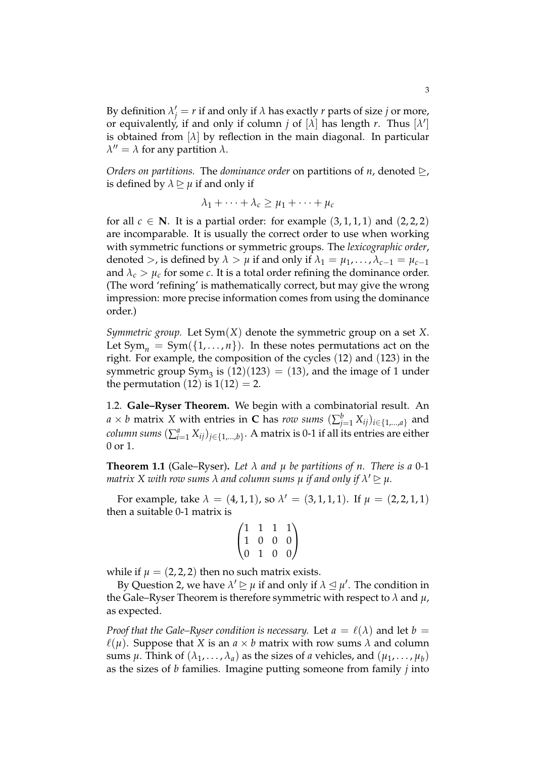By definition  $\lambda'_j = r$  if and only if  $\lambda$  has exactly  $r$  parts of size  $j$  or more, or equivalently, if and only if column *j* of  $[\lambda]$  has length *r*. Thus  $[\lambda']$ is obtained from  $[\lambda]$  by reflection in the main diagonal. In particular  $λ'' = λ$  for any partition  $λ$ .

*Orders on partitions.* The *dominance order* on partitions of *n*, denoted  $\geq$ , is defined by  $\lambda \geq \mu$  if and only if

$$
\lambda_1 + \cdots + \lambda_c \ge \mu_1 + \cdots + \mu_c
$$

for all  $c \in \mathbb{N}$ . It is a partial order: for example  $(3, 1, 1, 1)$  and  $(2, 2, 2)$ are incomparable. It is usually the correct order to use when working with symmetric functions or symmetric groups. The *lexicographic order*, denoted >, is defined by  $\lambda > \mu$  if and only if  $\lambda_1 = \mu_1, \ldots, \lambda_{c-1} = \mu_{c-1}$ and  $\lambda_c > \mu_c$  for some *c*. It is a total order refining the dominance order. (The word 'refining' is mathematically correct, but may give the wrong impression: more precise information comes from using the dominance order.)

*Symmetric group.* Let Sym(*X*) denote the symmetric group on a set *X*. Let  $Sym_n = Sym({1, ..., n})$ . In these notes permutations act on the right. For example, the composition of the cycles (12) and (123) in the symmetric group  $Sym_3$  is  $(12)(123) = (13)$ , and the image of 1 under the permutation (12) is  $1(12) = 2$ .

1.2. **Gale–Ryser Theorem.** We begin with a combinatorial result. An  $a \times b$  matrix  $X$  with entries in  $\mathbf C$  has  $row$  sums  $(\sum_{j=1}^b X_{ij})_{i \in \{1,...,a\}}$  and  $\alpha$ *column sums*  $(\sum_{i=1}^a X_{ij})_{j\in\{1,...,b\}}.$  A matrix is 0-1 if all its entries are either 0 or 1.

**Theorem 1.1** (Gale–Ryser). Let  $\lambda$  and  $\mu$  be partitions of  $n$ . There is a 0-1  $m$ atrix  $X$  with row sums  $\lambda$  and column sums  $\mu$  if and only if  $\lambda' \unrhd \mu$ .

For example, take  $\lambda = (4, 1, 1)$ , so  $\lambda' = (3, 1, 1, 1)$ . If  $\mu = (2, 2, 1, 1)$ then a suitable 0-1 matrix is

$$
\begin{pmatrix}\n1 & 1 & 1 & 1 \\
1 & 0 & 0 & 0 \\
0 & 1 & 0 & 0\n\end{pmatrix}
$$

while if  $\mu = (2, 2, 2)$  then no such matrix exists.

By Question 2, we have  $\lambda' \trianglerighteq \mu$  if and only if  $\lambda \trianglelefteq \mu'$ . The condition in the Gale–Ryser Theorem is therefore symmetric with respect to *λ* and *µ*, as expected.

*Proof that the Gale–Ryser condition is necessary.* Let  $a = \ell(\lambda)$  and let  $b =$  $\ell(\mu)$ . Suppose that *X* is an  $a \times b$  matrix with row sums  $\lambda$  and column sums  $\mu$ . Think of  $(\lambda_1, \ldots, \lambda_a)$  as the sizes of *a* vehicles, and  $(\mu_1, \ldots, \mu_b)$ as the sizes of *b* families. Imagine putting someone from family *j* into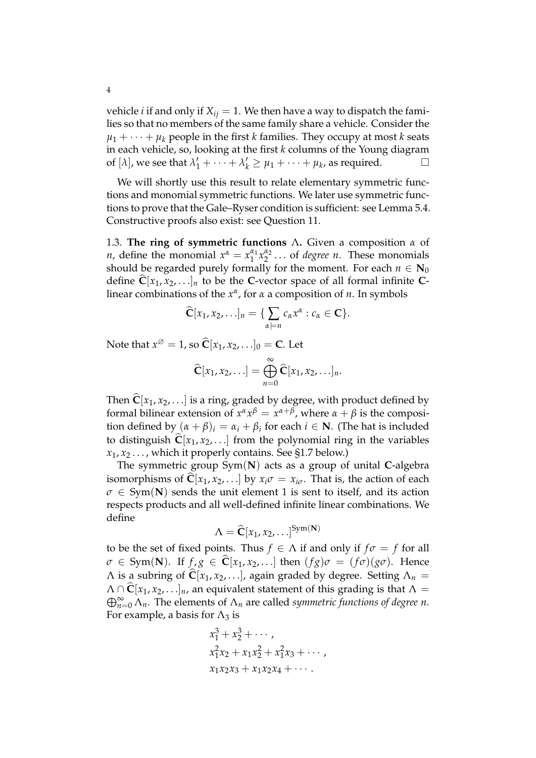vehicle *i* if and only if  $X_{ij} = 1$ . We then have a way to dispatch the families so that no members of the same family share a vehicle. Consider the  $\mu_1 + \cdots + \mu_k$  people in the first *k* families. They occupy at most *k* seats in each vehicle, so, looking at the first *k* columns of the Young diagram of  $[\lambda]$ , we see that  $\lambda'_1 + \cdots + \lambda'_k \ge \mu_1 + \cdots + \mu_k$ , as required.

We will shortly use this result to relate elementary symmetric functions and monomial symmetric functions. We later use symmetric functions to prove that the Gale–Ryser condition is sufficient: see Lemma 5.4. Constructive proofs also exist: see Question 11.

1.3. **The ring of symmetric functions** Λ**.** Given a composition *α* of *n*, define the monomial  $x^{\alpha} = x_1^{\alpha_1}$  $\frac{\alpha_1}{1} x_2^{\alpha_2}$  $\frac{\mu_2}{2}$ ... of *degree n*. These monomials should be regarded purely formally for the moment. For each  $n \in \mathbb{N}_0$ define  $\hat{\mathbf{C}}[x_1, x_2, \ldots]_n$  to be the **C**-vector space of all formal infinite **C**linear combinations of the *x α* , for *α* a composition of *n*. In symbols

$$
\widehat{\mathbf{C}}[x_1, x_2, \ldots]_n = \{ \sum_{\alpha \models n} c_\alpha x^\alpha : c_\alpha \in \mathbf{C} \}.
$$

Note that  $x^{\emptyset} = 1$ , so  $\widehat{\mathbf{C}}[x_1, x_2, \ldots]_0 = \mathbf{C}$ . Let

$$
\widehat{\mathbf{C}}[x_1,x_2,\ldots]=\bigoplus_{n=0}^{\infty}\widehat{\mathbf{C}}[x_1,x_2,\ldots]_n.
$$

Then  $\hat{\mathbf{C}}[x_1, x_2, \ldots]$  is a ring, graded by degree, with product defined by formal bilinear extension of  $x^{\alpha}x^{\beta} = x^{\alpha+\beta}$ , where  $\alpha + \beta$  is the composition defined by  $(\alpha + \beta)_i = \alpha_i + \beta_i$  for each  $i \in \mathbb{N}$ . (The hat is included to distinguish  $\hat{C}[x_1, x_2, \ldots]$  from the polynomial ring in the variables  $x_1, x_2, \ldots$ , which it properly contains. See §1.7 below.)

The symmetric group Sym(**N**) acts as a group of unital **C**-algebra isomorphisms of  $\hat{C}[x_1, x_2, \ldots]$  by  $x_i\sigma = x_{i\sigma}$ . That is, the action of each  $\sigma \in Sym(N)$  sends the unit element 1 is sent to itself, and its action respects products and all well-defined infinite linear combinations. We define

$$
\Lambda = \widehat{\mathbf{C}}[x_1, x_2, \ldots]^{Sym(\mathbf{N})}
$$

to be the set of fixed points. Thus  $f \in \Lambda$  if and only if  $f\sigma = f$  for all  $\sigma \in Sym(N)$ . If  $f, g \in \hat{C}[x_1, x_2, \ldots]$  then  $(fg)\sigma = (f\sigma)(g\sigma)$ . Hence  $\Lambda$  is a subring of  $\hat{\mathbf{C}}[x_1, x_2, \ldots]$ , again graded by degree. Setting  $\Lambda_n =$  $\Lambda \cap \hat{\mathbf{C}}[x_1, x_2, \ldots]_n$ , an equivalent statement of this grading is that  $\Lambda =$  $\bigoplus_{n=0}^{\infty} \Lambda_n$ . The elements of  $\Lambda_n$  are called *symmetric functions of degree n*. For example, a basis for  $\Lambda_3$  is

$$
x_1^3 + x_2^3 + \cdots, \n x_1^2 x_2 + x_1 x_2^2 + x_1^2 x_3 + \cdots, \n x_1 x_2 x_3 + x_1 x_2 x_4 + \cdots.
$$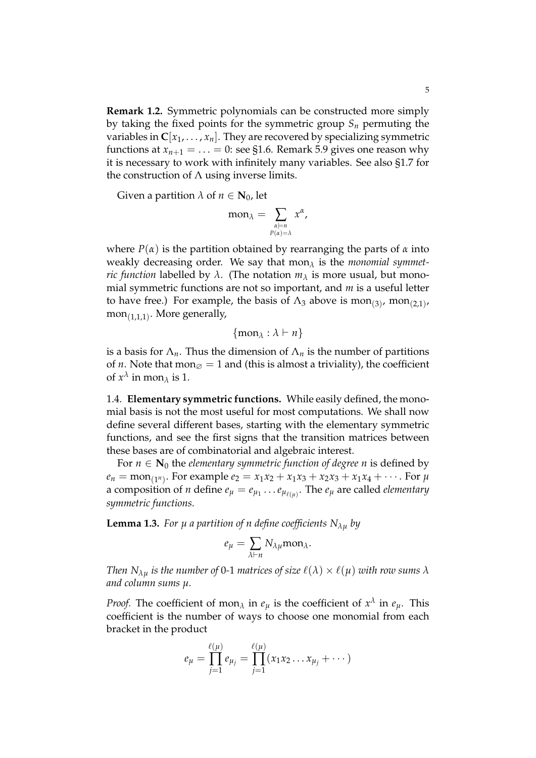**Remark 1.2.** Symmetric polynomials can be constructed more simply by taking the fixed points for the symmetric group *S<sup>n</sup>* permuting the variables in  $C[x_1, \ldots, x_n]$ . They are recovered by specializing symmetric functions at  $x_{n+1} = \ldots = 0$ : see §1.6. Remark 5.9 gives one reason why it is necessary to work with infinitely many variables. See also §1.7 for the construction of  $\Lambda$  using inverse limits.

Given a partition  $\lambda$  of  $n \in N_0$ , let

$$
\mathrm{mon}_{\lambda} = \sum_{\substack{\alpha \models n \\ P(\alpha) = \lambda}} x^{\alpha},
$$

where *P*(*α*) is the partition obtained by rearranging the parts of *α* into weakly decreasing order. We say that mon*<sup>λ</sup>* is the *monomial symmetric function* labelled by  $\lambda$ . (The notation  $m_{\lambda}$  is more usual, but monomial symmetric functions are not so important, and *m* is a useful letter to have free.) For example, the basis of  $\Lambda_3$  above is mon<sub>(3)</sub>, mon<sub>(2,1)</sub>, mon $_{\left(1,1,1\right)}$ . More generally,

$$
\{\mathrm{mon}_{\lambda} : \lambda \vdash n\}
$$

is a basis for  $\Lambda_n$ . Thus the dimension of  $\Lambda_n$  is the number of partitions of *n*. Note that mon $\varnothing = 1$  and (this is almost a triviality), the coefficient of  $x^{\lambda}$  in mon<sub> $\lambda$ </sub> is 1.

1.4. **Elementary symmetric functions.** While easily defined, the monomial basis is not the most useful for most computations. We shall now define several different bases, starting with the elementary symmetric functions, and see the first signs that the transition matrices between these bases are of combinatorial and algebraic interest.

For  $n \in \mathbb{N}_0$  the *elementary symmetric function of degree n* is defined by  $e_n = \text{mon}_{(1^n)}$ . For example  $e_2 = x_1x_2 + x_1x_3 + x_2x_3 + x_1x_4 + \cdots$ . For  $\mu$ a composition of *n* define  $e_{\mu} = e_{\mu_1} \dots e_{\mu_{\ell(\mu)}}$ . The  $e_{\mu}$  are called *elementary symmetric functions*.

**Lemma 1.3.** For  $\mu$  *a partition of n define coefficients*  $N_{\lambda\mu}$  by

$$
e_{\mu} = \sum_{\lambda \vdash n} N_{\lambda \mu} \text{mon}_{\lambda}.
$$

*Then*  $N_{\lambda\mu}$  *is the number of* 0-1 *matrices of size*  $\ell(\lambda) \times \ell(\mu)$  *with row sums*  $\lambda$ *and column sums µ.*

*Proof.* The coefficient of mon<sub>*λ*</sub> in  $e_{\mu}$  is the coefficient of  $x^{\lambda}$  in  $e_{\mu}$ . This coefficient is the number of ways to choose one monomial from each bracket in the product

$$
e_{\mu} = \prod_{j=1}^{\ell(\mu)} e_{\mu_j} = \prod_{j=1}^{\ell(\mu)} (x_1 x_2 \dots x_{\mu_j} + \dots)
$$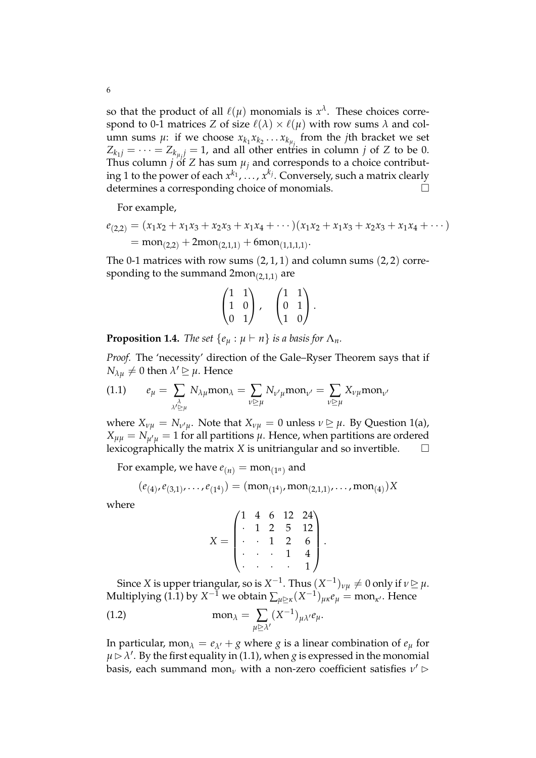so that the product of all  $\ell(\mu)$  monomials is  $x^{\lambda}$ . These choices correspond to 0-1 matrices *Z* of size  $\ell(\lambda) \times \ell(\mu)$  with row sums  $\lambda$  and column sums  $\mu$ : if we choose  $x_{k_1}x_{k_2} \ldots x_{k_{\mu_j}}$  from the *j*th bracket we set  $Z_{k_1j} = \cdots = Z_{k_{\mu j}} = 1$ , and all other entries in column *j* of *Z* to be 0. Thus column *j* of *Z* has sum  $\mu_i$  and corresponds to a choice contributing 1 to the power of each  $x^{k_1}, \ldots, x^{k_j}$ . Conversely, such a matrix clearly determines a corresponding choice of monomials.

For example,

$$
e_{(2,2)} = (x_1x_2 + x_1x_3 + x_2x_3 + x_1x_4 + \cdots)(x_1x_2 + x_1x_3 + x_2x_3 + x_1x_4 + \cdots)
$$
  
=  $\text{mon}_{(2,2)} + 2\text{mon}_{(2,1,1)} + 6\text{mon}_{(1,1,1,1)}.$ 

The 0-1 matrices with row sums  $(2, 1, 1)$  and column sums  $(2, 2)$  corresponding to the summand  $2\mathrm{mon}_{(2,1,1)}$  are

$$
\begin{pmatrix} 1 & 1 \ 1 & 0 \ 0 & 1 \end{pmatrix}, \quad \begin{pmatrix} 1 & 1 \ 0 & 1 \ 1 & 0 \end{pmatrix}.
$$

**Proposition 1.4.** *The set*  $\{e_{\mu} : \mu \vdash n\}$  *is a basis for*  $\Lambda_n$ *.* 

*Proof.* The 'necessity' direction of the Gale–Ryser Theorem says that if  $N_{\lambda\mu} \neq 0$  then  $\lambda' \geq \mu$ . Hence

$$
(1.1) \qquad e_{\mu} = \sum_{\substack{\lambda \\ \lambda' \ge \mu}} N_{\lambda \mu} \text{mon}_{\lambda} = \sum_{\nu \ge \mu} N_{\nu' \mu} \text{mon}_{\nu'} = \sum_{\nu \ge \mu} X_{\nu \mu} \text{mon}_{\nu'}
$$

where  $X_{\nu\mu} = N_{\nu'\mu}$ . Note that  $X_{\nu\mu} = 0$  unless  $\nu \geq \mu$ . By Question 1(a),  $X_{\mu\mu} = N_{\mu'\mu} = 1$  for all partitions  $\mu$ . Hence, when partitions are ordered lexicographically the matrix *X* is unitriangular and so invertible.  $\Box$ 

For example, we have  $e_{(n)} = \text{mon}_{(1^n)}$  and

$$
(e_{(4)}, e_{(3,1)}, \ldots, e_{(1^4)}) = (mon_{(1^4)}, mon_{(2,1,1)}, \ldots, mon_{(4)})X
$$

where

$$
X = \begin{pmatrix} 1 & 4 & 6 & 12 & 24 \\ . & 1 & 2 & 5 & 12 \\ . & . & 1 & 2 & 6 \\ . & . & . & 1 & 4 \\ . & . & . & . & 1 \end{pmatrix}.
$$

Since *X* is upper triangular, so is  $X^{-1}$ . Thus  $(X^{-1})_{\nu\mu}\neq 0$  only if  $\nu\unrhd \mu$ .  $\text{Multiplying (1.1) by } X^{-\hat{1}} \text{ we obtain } \sum_{\mu \trianglerighteq \kappa} (X^{-1})_{\mu\kappa} e_{\mu} = \text{mon}_{\kappa'}.$  Hence

(1.2) 
$$
\operatorname{mon}_{\lambda} = \sum_{\mu \geq \lambda'} (X^{-1})_{\mu \lambda'} e_{\mu}.
$$

In particular, mon $\lambda = e_{\lambda'} + g$  where *g* is a linear combination of  $e_{\mu}$  for  $\mu \triangleright \lambda'$ . By the first equality in (1.1), when *g* is expressed in the monomial basis, each summand mon<sub>*ν*</sub> with a non-zero coefficient satisfies  $\nu' \triangleright$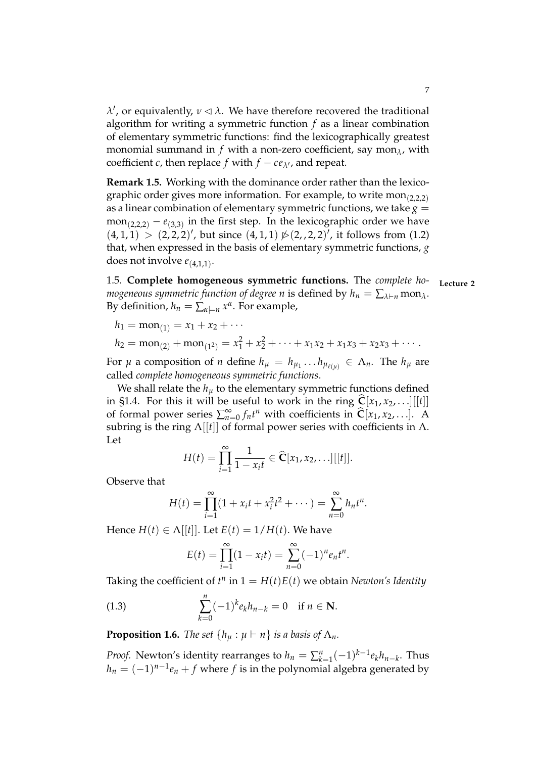$λ'$ , or equivalently,  $ν \triangleleft λ$ . We have therefore recovered the traditional algorithm for writing a symmetric function *f* as a linear combination of elementary symmetric functions: find the lexicographically greatest monomial summand in  $f$  with a non-zero coefficient, say mon $_\lambda$ , with coefficient *c*, then replace *f* with  $f - ce_{\lambda}$ , and repeat.

**Remark 1.5.** Working with the dominance order rather than the lexicographic order gives more information. For example, to write mon<sub>(2,2,2)</sub> as a linear combination of elementary symmetric functions, we take  $g =$  $\text{mon}_{(2,2,2)} - e_{(3,3)}$  in the first step. In the lexicographic order we have  $(4,1,1) > (2,2,2)'$ , but since  $(4,1,1) \not\triangleright (2,2,2)'$ , it follows from (1.2) that, when expressed in the basis of elementary symmetric functions, *g* does not involve *e*(4,1,1) .

1.5. Complete homogeneous symmetric functions. The *complete homogeneous symmetric function of degree n* is defined by  $h_n = \sum_{\lambda \vdash n} \text{mon}_{\lambda}$ . By definition,  $h_n = \sum_{\alpha \models n} x^{\alpha}$ . For example,

$$
h_1 = \text{mon}_{(1)} = x_1 + x_2 + \cdots
$$

$$
h_2 = \text{mon}_{(2)} + \text{mon}_{(1^2)} = x_1^2 + x_2^2 + \cdots + x_1 x_2 + x_1 x_3 + x_2 x_3 + \cdots
$$

For  $\mu$  a composition of *n* define  $h_{\mu} = h_{\mu_1} \dots h_{\mu_{\ell(\mu)}} \in \Lambda_n$ . The  $h_{\mu}$  are called *complete homogeneous symmetric functions*.

We shall relate the  $h<sub>u</sub>$  to the elementary symmetric functions defined in §1.4. For this it will be useful to work in the ring  $\hat{C}[x_1, x_2, \ldots][[t]]$ of formal power series  $\sum_{n=0}^{\infty} f_n t^n$  with coefficients in  $\hat{\mathbf{C}}[x_1, x_2, \ldots]$ . A subring is the ring  $\Lambda[[t]]$  of formal power series with coefficients in  $\Lambda$ . Let

$$
H(t) = \prod_{i=1}^{\infty} \frac{1}{1 - x_i t} \in \widehat{\mathbf{C}}[x_1, x_2, \ldots][[t]].
$$

Observe that

$$
H(t) = \prod_{i=1}^{\infty} (1 + x_i t + x_i^2 t^2 + \cdots) = \sum_{n=0}^{\infty} h_n t^n.
$$

Hence  $H(t) \in \Lambda[[t]]$ . Let  $E(t) = 1/H(t)$ . We have

$$
E(t) = \prod_{i=1}^{\infty} (1 - x_i t) = \sum_{n=0}^{\infty} (-1)^n e_n t^n.
$$

Taking the coefficient of  $t^n$  in  $1 = H(t)E(t)$  we obtain *Newton's Identity* 

(1.3) 
$$
\sum_{k=0}^{n} (-1)^{k} e_{k} h_{n-k} = 0 \text{ if } n \in \mathbb{N}.
$$

**Proposition 1.6.** *The set*  $\{h_u : \mu \vdash n\}$  *is a basis of*  $\Lambda_n$ *.* 

*Proof.* Newton's identity rearranges to  $h_n = \sum_{k=1}^n (-1)^{k-1} e_k h_{n-k}$ . Thus  $h_n = (-1)^{n-1}e_n + f$  where  $f$  is in the polynomial algebra generated by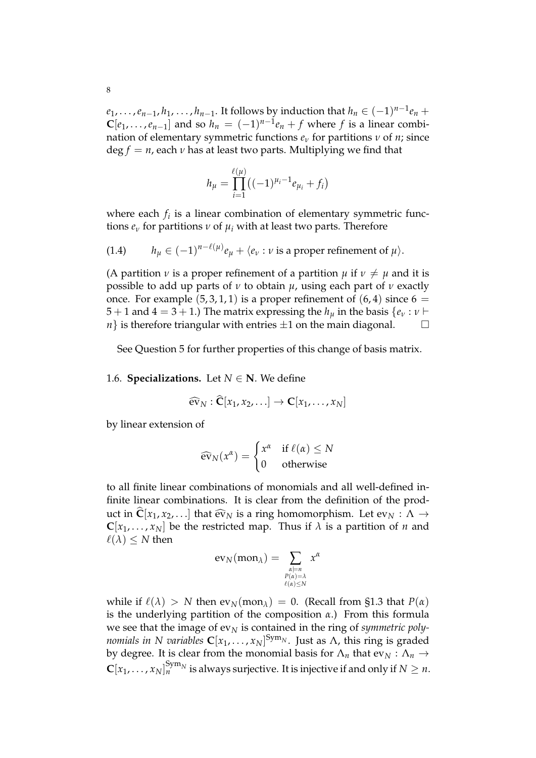$e_1, \ldots, e_{n-1}, h_1, \ldots, h_{n-1}.$  It follows by induction that  $h_n \in (-1)^{n-1}e_n +$  $\mathbf{C}[e_1,\ldots,e_{n-1}]$  and so  $h_n = (-1)^{n-1}e_n + f$  where  $f$  is a linear combination of elementary symmetric functions  $e_\nu$  for partitions  $\nu$  of  $n$ ; since  $\deg f = n$ , each *v* has at least two parts. Multiplying we find that

$$
h_{\mu} = \prod_{i=1}^{\ell(\mu)} ((-1)^{\mu_i - 1} e_{\mu_i} + f_i)
$$

where each *f<sup>i</sup>* is a linear combination of elementary symmetric functions *e<sup>ν</sup>* for partitions *ν* of *µ<sup>i</sup>* with at least two parts. Therefore

(1.4) 
$$
h_{\mu} \in (-1)^{n-\ell(\mu)} e_{\mu} + \langle e_{\nu} : \nu \text{ is a proper refinement of } \mu \rangle.
$$

(A partition *v* is a proper refinement of a partition  $\mu$  if  $\nu \neq \mu$  and it is possible to add up parts of *ν* to obtain *µ*, using each part of *ν* exactly once. For example  $(5, 3, 1, 1)$  is a proper refinement of  $(6, 4)$  since  $6 =$ 5 + 1 and 4 = 3 + 1.) The matrix expressing the  $h_u$  in the basis  $\{e_v : v \vdash$ *n*} is therefore triangular with entries  $\pm 1$  on the main diagonal.  $\Box$ 

See Question 5 for further properties of this change of basis matrix.

1.6. **Specializations.** Let  $N \in \mathbb{N}$ . We define

$$
\widehat{\text{ev}}_N:\widehat{\mathbf{C}}[x_1,x_2,\ldots]\to\mathbf{C}[x_1,\ldots,x_N]
$$

by linear extension of

$$
\widehat{\text{ev}}_N(x^{\alpha}) = \begin{cases} x^{\alpha} & \text{if } \ell(\alpha) \leq N \\ 0 & \text{otherwise} \end{cases}
$$

to all finite linear combinations of monomials and all well-defined infinite linear combinations. It is clear from the definition of the product in  $\hat{\mathbf{C}}[x_1, x_2, \ldots]$  that  $\hat{\mathbf{ev}}_N$  is a ring homomorphism. Let  $\mathbf{ev}_N : \Lambda \to$  $C[x_1, \ldots, x_N]$  be the restricted map. Thus if  $\lambda$  is a partition of *n* and  $\ell(\lambda) \leq N$  then

$$
\text{ev}_N(\text{mon}_\lambda) = \sum_{\substack{\alpha \models n \\ P(\alpha) = \lambda \\ \ell(\alpha) \leq N}} x^{\alpha}
$$

while if  $\ell(\lambda) > N$  then  $ev_N(mon_\lambda) = 0$ . (Recall from §1.3 that  $P(\alpha)$ ) is the underlying partition of the composition *α*.) From this formula we see that the image of  $ev_N$  is contained in the ring of *symmetric polynomials in N variables* **C**[*x*1, . . . , *xN*] Sym*<sup>N</sup>* . Just as Λ, this ring is graded by degree. It is clear from the monomial basis for  $\Lambda_n$  that  $ev_N : \Lambda_n \to$  $\mathbf{C}[x_1,\ldots,x_N]^{ \mathrm{Sym}_N}_n$  is always surjective. It is injective if and only if  $N\geq n.$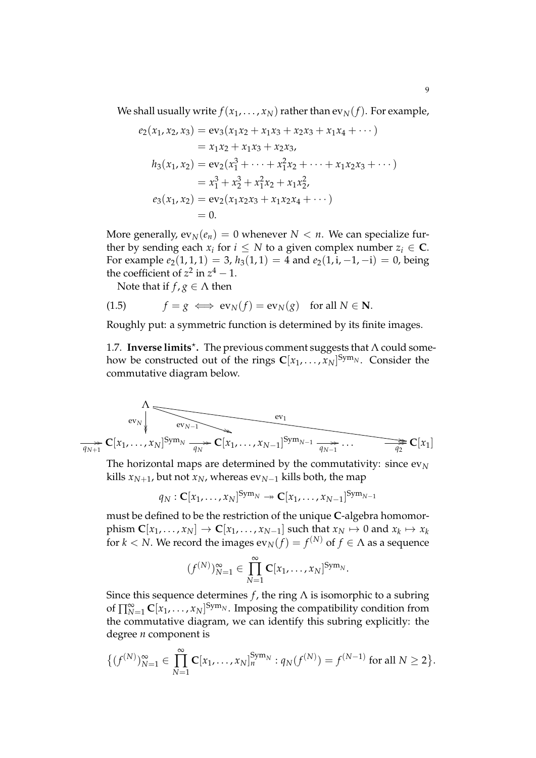We shall usually write  $f(x_1, \ldots, x_N)$  rather than  $ev_N(f)$ . For example,

$$
e_2(x_1, x_2, x_3) = \text{ev}_3(x_1x_2 + x_1x_3 + x_2x_3 + x_1x_4 + \cdots)
$$
  
\n
$$
= x_1x_2 + x_1x_3 + x_2x_3,
$$
  
\n
$$
h_3(x_1, x_2) = \text{ev}_2(x_1^3 + \cdots + x_1^2x_2 + \cdots + x_1x_2x_3 + \cdots)
$$
  
\n
$$
= x_1^3 + x_2^3 + x_1^2x_2 + x_1x_2^2,
$$
  
\n
$$
e_3(x_1, x_2) = \text{ev}_2(x_1x_2x_3 + x_1x_2x_4 + \cdots)
$$
  
\n
$$
= 0.
$$

More generally,  $ev_N(e_n) = 0$  whenever  $N < n$ . We can specialize further by sending each  $x_i$  for  $i \leq N$  to a given complex number  $z_i \in \mathbf{C}$ . For example  $e_2(1,1,1) = 3$ ,  $h_3(1,1) = 4$  and  $e_2(1,i,-1,-i) = 0$ , being the coefficient of  $z^2$  in  $z^4 - 1$ .

Note that if  $f, g \in \Lambda$  then

(1.5) 
$$
f = g \iff \text{ev}_N(f) = \text{ev}_N(g) \text{ for all } N \in \mathbb{N}.
$$

Roughly put: a symmetric function is determined by its finite images.

1.7. Inverse limits<sup>\*</sup>. The previous comment suggests that Λ could somehow be constructed out of the rings  $\mathbf{C}[x_1,\ldots,x_N]^\text{Sym_N}$ . Consider the commutative diagram below.

$$
\begin{array}{c}\n\wedge \\
\hline\n\text{ev}_N \\
\hline\n\text{ev}_N\n\end{array}\n\qquad\n\begin{array}{c}\n\text{ev}_1 \\
\hline\n\text{ev}_{N-1} \\
\hline\n\text{ev}_{N-1} \\
\hline\n\text{ev}_1\n\end{array}\n\qquad\n\begin{array}{c}\n\text{ev}_1 \\
\hline\n\text{ev}_1 \\
\hline\n\text{ev}_{N-1} \\
\hline\n\text{ev}_{N-1} \\
\hline\n\text{ev}_{N-1} \\
\hline\n\text{ev}_{N-1} \\
\hline\n\text{ev}_{N-1} \\
\hline\n\text{ev}_{N-1} \\
\hline\n\text{ev}_{N-1} \\
\hline\n\text{ev}_{N-1} \\
\hline\n\text{ev}_{N-1} \\
\hline\n\text{ev}_{N-1} \\
\hline\n\text{ev}_{N-1} \\
\hline\n\text{ev}_{N-1} \\
\hline\n\text{ev}_{N-1} \\
\hline\n\text{ev}_{N-1} \\
\hline\n\text{ev}_{N-1} \\
\hline\n\text{ev}_{N-1} \\
\hline\n\text{ev}_{N-1} \\
\hline\n\text{ev}_{N-1} \\
\hline\n\text{ev}_{N-1} \\
\hline\n\text{ev}_{N-1} \\
\hline\n\text{ev}_{N-1} \\
\hline\n\text{ev}_{N-1} \\
\hline\n\text{ev}_{N-1} \\
\hline\n\text{ev}_{N-1} \\
\hline\n\text{ev}_{N-1} \\
\hline\n\text{ev}_{N-1} \\
\hline\n\text{ev}_{N-1} \\
\hline\n\text{ev}_{N-1} \\
\hline\n\text{ev}_{N-1} \\
\hline\n\text{ev}_{N-1} \\
\hline\n\text{ev}_{N-1} \\
\hline\n\text{ev}_{N-1} \\
\hline\n\text{ev}_{N-1} \\
\hline\n\text{ev}_{N-1} \\
\hline\n\text{ev}_{N-1} \\
\hline\n\text{ev}_{N-1} \\
\hline\n\text{ev}_{N-1} \\
\hline\n\text{ev}_{N-1} \\
\hline\n\text{ev}_{N-1} \\
\hline\n\text{ev}_{N-1} \\
\hline\n\text{ev}_{N-1} \\
\hline\n\text{ev}_{N-1} \\
\hline\n\text{ev}_{N-1} \\
\hline\n\text{ev}_{N-1} \\
\hline\n\text{ev}_{N
$$

The horizontal maps are determined by the commutativity: since  $ev_N$ kills  $x_{N+1}$ , but not  $x_N$ , whereas  $ev_{N-1}$  kills both, the map

$$
q_N : \mathbf{C}[x_1,\ldots,x_N]^{\operatorname{Sym}_N} \to \mathbf{C}[x_1,\ldots,x_{N-1}]^{\operatorname{Sym}_{N-1}}
$$

must be defined to be the restriction of the unique **C**-algebra homomor- ${\bf P}$   ${\bf C}[x_1,\ldots,x_N]\to{\bf C}[x_1,\ldots,x_{N-1}]$  such that  $x_N\mapsto 0$  and  $x_k\mapsto x_k$ for  $k < N.$  We record the images  $\operatorname{ev}_N(f) = f^{(N)}$  of  $f \in \Lambda$  as a sequence

$$
(f^{(N)})_{N=1}^{\infty} \in \prod_{N=1}^{\infty} \mathbf{C}[x_1,\ldots,x_N]^{Sym_N}.
$$

Since this sequence determines  $f$ , the ring  $\Lambda$  is isomorphic to a subring of  $\prod_{N=1}^{\infty} \mathbf{C}[x_1,\ldots,x_N]^{Sym_N}$ . Imposing the compatibility condition from the commutative diagram, we can identify this subring explicitly: the degree *n* component is

$$
\{(f^{(N)})_{N=1}^{\infty} \in \prod_{N=1}^{\infty} \mathbf{C}[x_1,\ldots,x_N]_n^{\text{Sym}_N} : q_N(f^{(N)}) = f^{(N-1)} \text{ for all } N \ge 2\}.
$$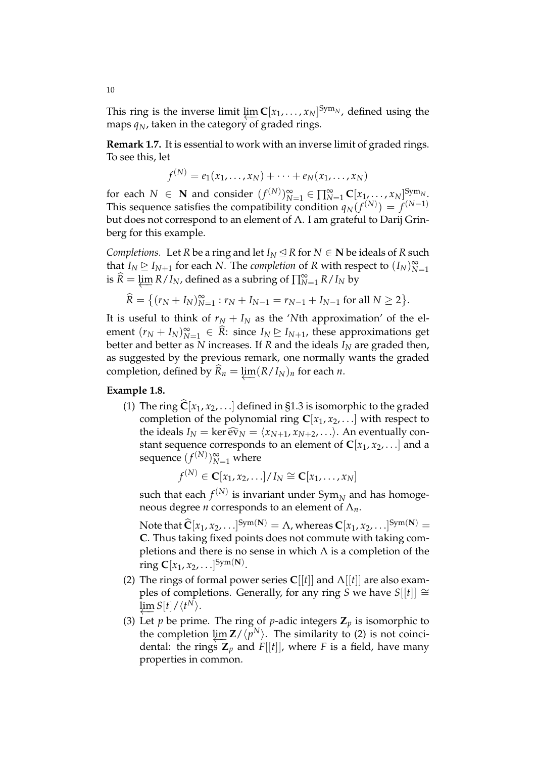This ring is the inverse limit  $\{\underline{im} C[x_1, \ldots, x_N]^{Sym_N}$ , defined using the maps  $q_N$ , taken in the category of graded rings.

**Remark 1.7.** It is essential to work with an inverse limit of graded rings. To see this, let

$$
f^{(N)} = e_1(x_1,\ldots,x_N) + \cdots + e_N(x_1,\ldots,x_N)
$$

for each  $N \in \mathbb{N}$  and consider  $(f^{(N)})_{N=1}^{\infty} \in \prod_{N=1}^{\infty} \mathbb{C}[x_1, \ldots, x_N]_{(M-1)}^{\text{Sym}_N}$ This sequence satisfies the compatibility condition  $q_N(f^{(N)}) = f^{(N-1)}$ but does not correspond to an element of Λ. I am grateful to Darij Grinberg for this example.

*Completions.* Let *R* be a ring and let  $I_N \leq R$  for  $N \in \mathbb{N}$  be ideals of *R* such that  $I_N \trianglerighteq I_{N+1}$  for each *N*. The *completion* of *R* with respect to  $(I_N)_{N=1}^{\infty}$  $\widehat{R} = \varprojlim R/I_N$ , defined as a subring of  $\prod_{N=1}^{\infty} R/I_N$  by

$$
\widehat{R} = \{ (r_N + I_N)_{N=1}^{\infty} : r_N + I_{N-1} = r_{N-1} + I_{N-1} \text{ for all } N \ge 2 \}.
$$

It is useful to think of  $r_N + I_N$  as the 'Nth approximation' of the element  $(r_N + I_N)_{N=1}^{\infty} \in \widehat{R}$ : since  $I_N \trianglerighteq I_{N+1}$ , these approximations get better and better as  $N$  increases. If  $R$  and the ideals  $I_N$  are graded then, as suggested by the previous remark, one normally wants the graded completion, defined by  $\widehat{R}_n = \lim (R/I_N)_n$  for each *n*.

# **Example 1.8.**

(1) The ring  $C[x_1, x_2, \ldots]$  defined in §1.3 is isomorphic to the graded completion of the polynomial ring  $C[x_1, x_2, \ldots]$  with respect to the ideals  $I_N = \ker \widehat{\text{ev}}_N = \langle x_{N+1}, x_{N+2}, \ldots \rangle$ . An eventually constant sequence corresponds to an element of  $C[x_1, x_2, \ldots]$  and a sequence  $(f^{(N)})_{N=1}^{\infty}$  where

$$
f^{(N)} \in \mathbf{C}[x_1, x_2, \ldots] / I_N \cong \mathbf{C}[x_1, \ldots, x_N]
$$

such that each  $f^{(N)}$  is invariant under  $\text{Sym}_{N}$  and has homogeneous degree *n* corresponds to an element of Λ*n*.

Note that  $\hat{\mathbf{C}}[x_1, x_2, \ldots]^{Sym(\mathbf{N})} = \Lambda$ , whereas  $\mathbf{C}[x_1, x_2, \ldots]^{Sym(\mathbf{N})} =$ **C**. Thus taking fixed points does not commute with taking completions and there is no sense in which  $\Lambda$  is a completion of the ring  $C[x_1, x_2, \ldots]^{Sym(N)}$ .

- (2) The rings of formal power series  $C[[t]]$  and  $\Lambda[[t]]$  are also examples of completions. Generally, for any ring *S* we have  $S[[t]] \cong$  $\varprojlim S[t]/\langle t^N\rangle.$
- (3) Let *p* be prime. The ring of *p*-adic integers  $\mathbb{Z}_p$  is isomorphic to the completion  $\lim_{h \to 0} \mathbf{Z}/\langle p^N \rangle$ . The similarity to (2) is not coincidental: the rings  $\mathbf{Z}_p$  and  $F[[t]]$ , where F is a field, have many properties in common.

10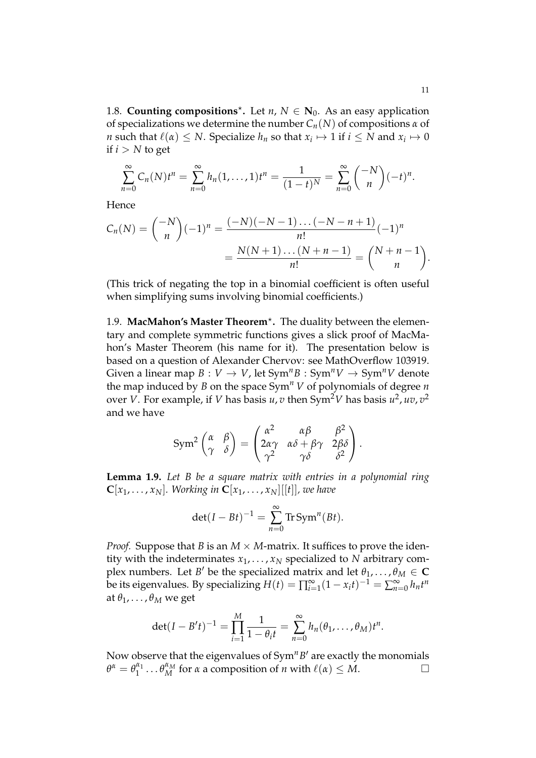1.8. **Counting compositions**<sup>\*</sup>. Let  $n, N \in \mathbb{N}_0$ . As an easy application of specializations we determine the number *Cn*(*N*) of compositions *α* of *n* such that  $\ell(\alpha) \leq N$ . Specialize  $h_n$  so that  $x_i \mapsto 1$  if  $i \leq N$  and  $x_i \mapsto 0$ if  $i > N$  to get

$$
\sum_{n=0}^{\infty} C_n(N)t^n = \sum_{n=0}^{\infty} h_n(1,\ldots,1)t^n = \frac{1}{(1-t)^N} = \sum_{n=0}^{\infty} {\binom{-N}{n}} (-t)^n.
$$

Hence

$$
C_n(N) = \binom{-N}{n} (-1)^n = \frac{(-N)(-N-1)\dots(-N-n+1)}{n!} (-1)^n
$$
  
= 
$$
\frac{N(N+1)\dots(N+n-1)}{n!} = \binom{N+n-1}{n}.
$$

(This trick of negating the top in a binomial coefficient is often useful when simplifying sums involving binomial coefficients.)

1.9. MacMahon's Master Theorem<sup>\*</sup>. The duality between the elementary and complete symmetric functions gives a slick proof of MacMahon's Master Theorem (his name for it). The presentation below is based on a question of Alexander Chervov: see MathOverflow 103919. Given a linear map  $B: V \to V$ , let  $Sym^n B: Sym^n V \to Sym^n V$  denote the map induced by *B* on the space  $Sym<sup>n</sup> V$  of polynomials of degree *n* over *V*. For example, if *V* has basis *u*, *v* then Sym<sup>2</sup>*V* has basis *u*<sup>2</sup>, *uv*, *v*<sup>2</sup> and we have

$$
\text{Sym}^2 \begin{pmatrix} \alpha & \beta \\ \gamma & \delta \end{pmatrix} = \begin{pmatrix} \alpha^2 & \alpha\beta & \beta^2 \\ 2\alpha\gamma & \alpha\delta + \beta\gamma & 2\beta\delta \\ \gamma^2 & \gamma\delta & \delta^2 \end{pmatrix}.
$$

**Lemma 1.9.** *Let B be a square matrix with entries in a polynomial ring*  $\mathbf{C}[x_1, \ldots, x_N]$ *. Working in*  $\mathbf{C}[x_1, \ldots, x_N][[t]]$ *, we have* 

$$
\det(I - Bt)^{-1} = \sum_{n=0}^{\infty} \text{Tr} \, \text{Sym}^n(Bt).
$$

*Proof.* Suppose that *B* is an  $M \times M$ -matrix. It suffices to prove the identity with the indeterminates  $x_1, \ldots, x_N$  specialized to *N* arbitrary complex numbers. Let *B'* be the specialized matrix and let  $\theta_1, \ldots, \theta_M \in \mathbf{C}$ be its eigenvalues. By specializing  $H(t) = \prod_{i=1}^{\infty} (1 - x_i t)^{-1} = \sum_{n=0}^{\infty} h_n t^n$ at  $\theta_1, \ldots, \theta_M$  we get

$$
\det(I - B't)^{-1} = \prod_{i=1}^{M} \frac{1}{1 - \theta_i t} = \sum_{n=0}^{\infty} h_n(\theta_1, ..., \theta_M) t^n.
$$

Now observe that the eigenvalues of Sym<sup>n</sup>B' are exactly the monomials  $\theta^{\alpha} = \theta_1^{\alpha_1}$  $\theta_M^{\alpha_1} \dots \theta_M^{\alpha_M}$  for *α* a composition of *n* with  $\ell(\alpha) \leq M$ .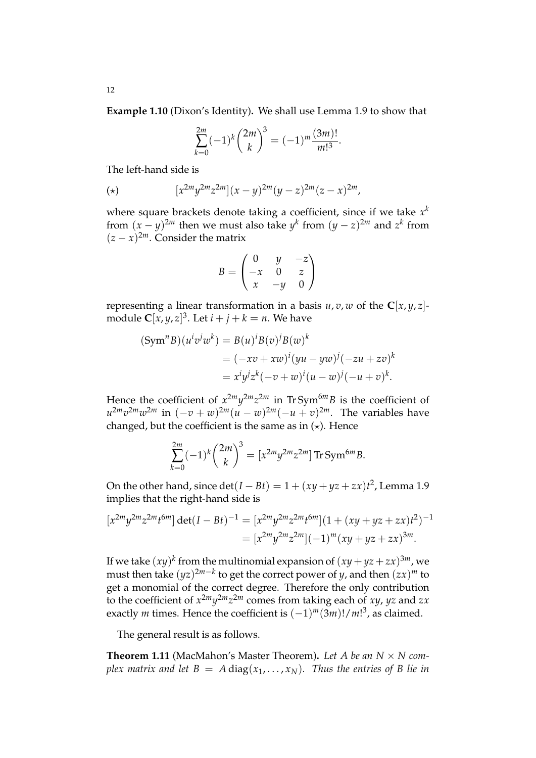**Example 1.10** (Dixon's Identity)**.** We shall use Lemma 1.9 to show that

$$
\sum_{k=0}^{2m}(-1)^k\binom{2m}{k}^3 = (-1)^m\frac{(3m)!}{m!^3}.
$$

The left-hand side is

(\*) 
$$
[x^{2m}y^{2m}z^{2m}](x-y)^{2m}(y-z)^{2m}(z-x)^{2m},
$$

where square brackets denote taking a coefficient, since if we take  $x^k$ from  $(x - y)^{2m}$  then we must also take  $y^k$  from  $(y - z)^{2m}$  and  $z^k$  from  $(z - x)^{2m}$ . Consider the matrix

$$
B = \begin{pmatrix} 0 & y & -z \\ -x & 0 & z \\ x & -y & 0 \end{pmatrix}
$$

representing a linear transformation in a basis  $u, v, w$  of the  $C[x, y, z]$ module  $\mathbf{C}[x,y,z]^3.$  Let  $i+j+k=n.$  We have

$$
\begin{aligned} (\text{Sym}^n B)(u^i v^j w^k) &= B(u)^i B(v)^j B(w)^k \\ &= (-xv + xw)^i (yu - yw)^j (-zu + zv)^k \\ &= x^i y^j z^k (-v + w)^i (u - w)^j (-u + v)^k. \end{aligned}
$$

Hence the coefficient of  $x^{2m}y^{2m}z^{2m}$  in TrSym<sup>6*m*</sup>B is the coefficient of  $u^{2m}v^{2m}w^{2m}$  in  $(-v+w)^{2m}(u-w)^{2m}(-u+v)^{2m}$ . The variables have changed, but the coefficient is the same as in  $(\star)$ . Hence

$$
\sum_{k=0}^{2m} (-1)^k {2m \choose k}^3 = [x^{2m} y^{2m} z^{2m}] \operatorname{Tr} \operatorname{Sym}^{6m} B.
$$

On the other hand, since  $\det(I - Bt) = 1 + (xy + yz + zx)t^2$ , Lemma 1.9 implies that the right-hand side is

$$
[x^{2m}y^{2m}z^{2m}t^{6m}] \det(I - Bt)^{-1} = [x^{2m}y^{2m}z^{2m}t^{6m}](1 + (xy + yz + zx)t^2)^{-1}
$$
  
= 
$$
[x^{2m}y^{2m}z^{2m}](-1)^m(xy + yz + zx)^{3m}.
$$

If we take  $(xy)^k$  from the multinomial expansion of  $(xy+yz+zx)^{3m}$ , we must then take  $(yz)^{2m-k}$  to get the correct power of *y*, and then  $(zx)^m$  to get a monomial of the correct degree. Therefore the only contribution to the coefficient of  $x^{2m}y^{2m}z^{2m}$  comes from taking each of *xy, yz* and *zx* exactly *m* times. Hence the coefficient is  $(-1)^m (3m)! / m!$ <sup>3</sup>, as claimed.

The general result is as follows.

**Theorem 1.11** (MacMahon's Master Theorem). Let A be an  $N \times N$  com*plex matrix and let B = A* diag( $x_1, \ldots, x_N$ ). Thus the entries of B lie in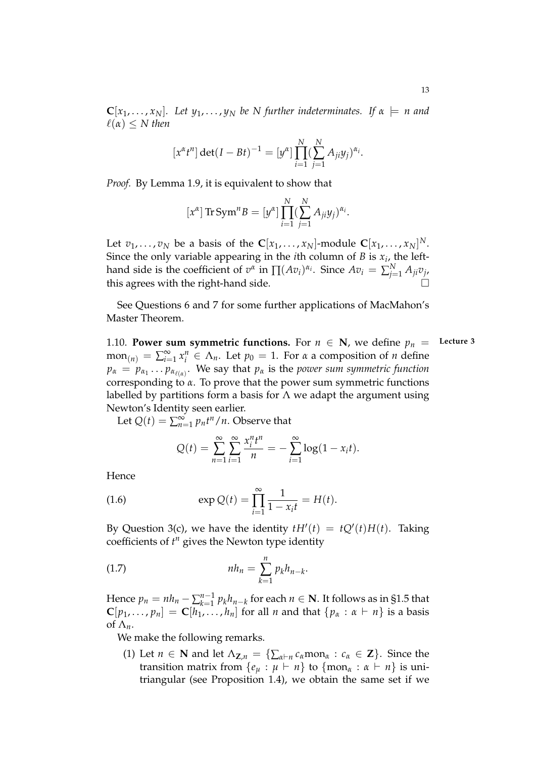$\mathbf{C}[x_1,\ldots,x_N]$ . Let  $y_1,\ldots,y_N$  be N further indeterminates. If  $\alpha \models n$  and  $\ell(\alpha) \leq N$  then

$$
[x^{\alpha}t^{n}] \det(I - Bt)^{-1} = [y^{\alpha}] \prod_{i=1}^{N} (\sum_{j=1}^{N} A_{ji}y_{j})^{\alpha_{i}}.
$$

*Proof.* By Lemma 1.9, it is equivalent to show that

$$
[x^{\alpha}] \operatorname{Tr} \operatorname{Sym}^n B = [y^{\alpha}] \prod_{i=1}^N (\sum_{j=1}^N A_{ji} y_j)^{\alpha_i}.
$$

Let  $v_1, \ldots, v_N$  be a basis of the  $\mathbf{C}[x_1, \ldots, x_N]$ -module  $\mathbf{C}[x_1, \ldots, x_N]^N$ . Since the only variable appearing in the *i*th column of *B* is *x<sup>i</sup>* , the lefthand side is the coefficient of  $v^{\alpha}$  in  $\prod (Av_i)^{\alpha_i}$ . Since  $Av_i = \sum_{j=1}^{N} A_{ji}v_j$ , this agrees with the right-hand side.

See Questions 6 and 7 for some further applications of MacMahon's Master Theorem.

1.10. **Power sum symmetric functions.** For  $n \in \mathbb{N}$ , we define  $p_n =$  Lecture 3  $\text{mon}_{(n)} = \sum_{i=1}^{\infty} x_i^n \in \Lambda_n$ . Let  $p_0 = 1$ . For *α* a composition of *n* define  $p_{\alpha}\,=\,p_{\alpha_1}\ldots p_{\alpha_{\ell(\alpha)}}.$  We say that  $p_{\alpha}$  is the *power sum symmetric function* corresponding to *α*. To prove that the power sum symmetric functions labelled by partitions form a basis for  $\Lambda$  we adapt the argument using Newton's Identity seen earlier.

Let  $Q(t) = \sum_{n=1}^{\infty} p_n t^n / n$ . Observe that

$$
Q(t) = \sum_{n=1}^{\infty} \sum_{i=1}^{\infty} \frac{x_i^n t^n}{n} = -\sum_{i=1}^{\infty} \log(1 - x_i t).
$$

Hence

(1.6) 
$$
\exp Q(t) = \prod_{i=1}^{\infty} \frac{1}{1 - x_i t} = H(t).
$$

By Question 3(c), we have the identity  $tH'(t) = tQ'(t)H(t)$ . Taking coefficients of *t <sup>n</sup>* gives the Newton type identity

(1.7) 
$$
nh_n = \sum_{k=1}^n p_k h_{n-k}.
$$

Hence  $p_n = nh_n - \sum_{k=1}^{n-1}$ *n*<sup>−1</sup></sup>  $p_k h_{n-k}$  for each  $n \in \mathbb{N}$ . It follows as in §1.5 that  $\mathbf{C}[p_1,\ldots,p_n] = \mathbf{C}[h_1,\ldots,h_n]$  for all *n* and that  $\{p_\alpha : \alpha \vdash n\}$  is a basis of  $\Lambda_n$ .

We make the following remarks.

(1) Let  $n \in \mathbb{N}$  and let  $\Lambda_{\mathbb{Z},n} = {\sum_{\alpha \vdash n} c_{\alpha} \text{mon}_{\alpha} : c_{\alpha} \in \mathbb{Z}}$ . Since the transition matrix from  $\{e_u : \mu \vdash n\}$  to  $\{\text{mon}_\alpha : \alpha \vdash n\}$  is unitriangular (see Proposition 1.4), we obtain the same set if we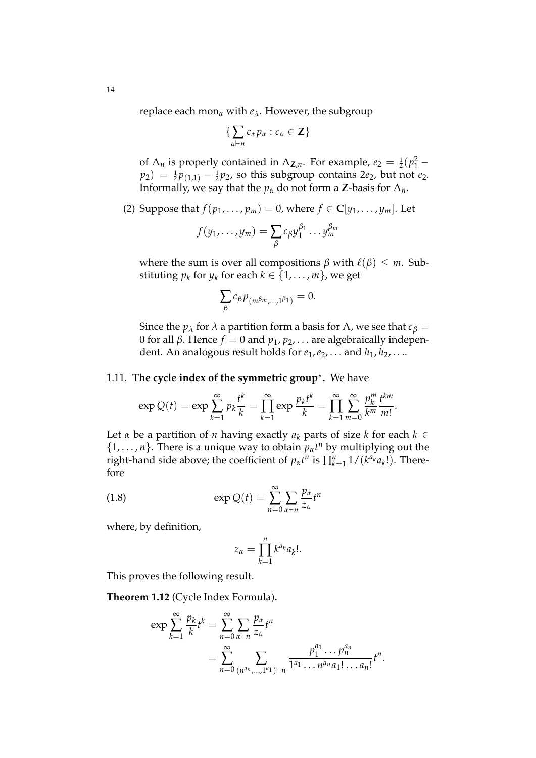replace each mon*<sup>α</sup>* with *eλ*. However, the subgroup

$$
\{\sum_{\alpha\vdash n}c_{\alpha}p_{\alpha}:c_{\alpha}\in\mathbf{Z}\}
$$

of  $\Lambda_n$  is properly contained in  $\Lambda_{\mathbf{Z},n}$ . For example,  $e_2 = \frac{1}{2}(p_1^2$  $p_2$ ) =  $\frac{1}{2}p_{(1,1)} - \frac{1}{2}p_2$ , so this subgroup contains 2*e*<sub>2</sub>, but not *e*<sub>2</sub>. Informally, we say that the  $p_\alpha$  do not form a **Z**-basis for  $\Lambda_n$ .

(2) Suppose that *f*( $p_1, ..., p_m$ ) = 0, where *f*  $\in \mathbb{C}[y_1, ..., y_m]$ . Let

$$
f(y_1,\ldots,y_m)=\sum_{\beta}c_{\beta}y_1^{\beta_1}\ldots y_m^{\beta_m}
$$

where the sum is over all compositions  $\beta$  with  $\ell(\beta) \leq m$ . Substituting  $p_k$  for  $y_k$  for each  $k \in \{1, \ldots, m\}$ , we get

$$
\sum_{\beta} c_{\beta} p_{(m^{\beta m},...,1^{\beta_1})} = 0.
$$

Since the *p*<sub>*λ*</sub> for *λ* a partition form a basis for *Λ*, we see that *c*<sup>*β*</sup> = 0 for all *β*. Hence *f* = 0 and  $p_1$ ,  $p_2$ , ... are algebraically independent. An analogous result holds for *e*1,*e*2, . . . and *h*1, *h*2, . . ..

# 1.11. **The cycle index of the symmetric group**? **.** We have

$$
\exp Q(t) = \exp \sum_{k=1}^{\infty} p_k \frac{t^k}{k} = \prod_{k=1}^{\infty} \exp \frac{p_k t^k}{k} = \prod_{k=1}^{\infty} \sum_{m=0}^{\infty} \frac{p_k^m}{k^m} \frac{t^{km}}{m!}.
$$

Let *α* be a partition of *n* having exactly  $a_k$  parts of size *k* for each  $k \in$  $\{1, \ldots, n\}$ . There is a unique way to obtain  $p_{\alpha}t^n$  by multiplying out the right-hand side above; the coefficient of  $p_{\alpha}t^{n}$  is  $\prod_{k=1}^{n} 1/(k^{a_{k}}a_{k}!)$ . Therefore

(1.8) 
$$
\exp Q(t) = \sum_{n=0}^{\infty} \sum_{\alpha \vdash n} \frac{p_{\alpha}}{z_{\alpha}} t^n
$$

where, by definition,

$$
z_{\alpha} = \prod_{k=1}^n k^{a_k} a_k!.
$$

This proves the following result.

**Theorem 1.12** (Cycle Index Formula)**.**

$$
\exp \sum_{k=1}^{\infty} \frac{p_k}{k} t^k = \sum_{n=0}^{\infty} \sum_{\alpha \vdash n} \frac{p_{\alpha}}{z_{\alpha}} t^n
$$
  
= 
$$
\sum_{n=0}^{\infty} \sum_{(n^{a_n}, \ldots, 1^{a_1}) \vdash n} \frac{p_1^{a_1} \ldots p_n^{a_n}}{1^{a_1} \ldots n^{a_n} a_1! \ldots a_n!} t^n.
$$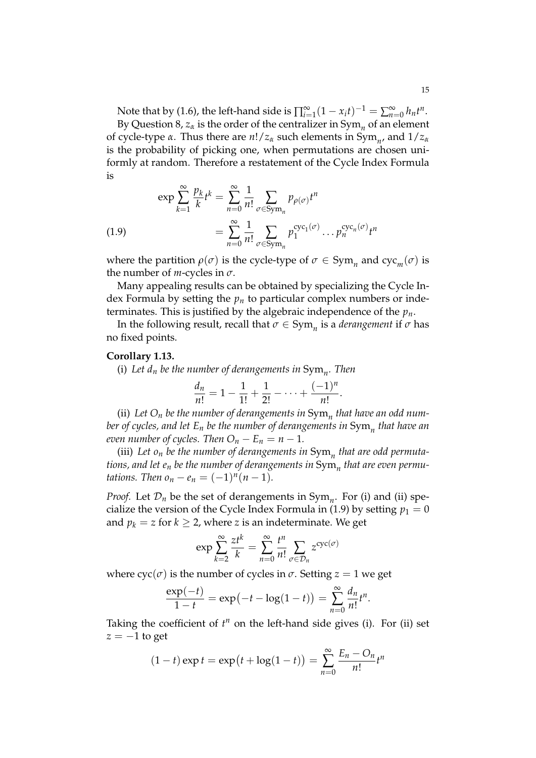Note that by (1.6), the left-hand side is  $\prod_{i=1}^{\infty} (1 - x_i t)^{-1} = \sum_{n=0}^{\infty} h_n t^n$ . By Question 8*,*  $z_\alpha$  is the order of the centralizer in  $\mathrm{Sym}_n$  of an element of cycle-type *α*. Thus there are *n*!/*z<sup>α</sup>* such elements in Sym*<sup>n</sup>* , and 1/*z<sup>α</sup>* is the probability of picking one, when permutations are chosen uniformly at random. Therefore a restatement of the Cycle Index Formula is

(1.9)  
\n
$$
\exp \sum_{k=1}^{\infty} \frac{p_k}{k} t^k = \sum_{n=0}^{\infty} \frac{1}{n!} \sum_{\sigma \in \text{Sym}_n} p_{\rho(\sigma)} t^n
$$
\n
$$
= \sum_{n=0}^{\infty} \frac{1}{n!} \sum_{\sigma \in \text{Sym}_n} p_1^{\text{cyc}_1(\sigma)} \dots p_n^{\text{cyc}_n(\sigma)} t^n
$$

where the partition  $\rho(\sigma)$  is the cycle-type of  $\sigma \in \text{Sym}_n$  and  $\text{cyc}_m(\sigma)$  is the number of  $m$ -cycles in  $\sigma$ .

Many appealing results can be obtained by specializing the Cycle Index Formula by setting the *p<sup>n</sup>* to particular complex numbers or indeterminates. This is justified by the algebraic independence of the *pn*.

In the following result, recall that  $\sigma \in \mathrm{Sym}_n$  is a *derangement* if  $\sigma$  has no fixed points.

## **Corollary 1.13.**

(i) *Let d<sup>n</sup> be the number of derangements in* Sym*<sup>n</sup> . Then*

$$
\frac{d_n}{n!} = 1 - \frac{1}{1!} + \frac{1}{2!} - \cdots + \frac{(-1)^n}{n!}.
$$

(ii) *Let O<sup>n</sup> be the number of derangements in* Sym*<sup>n</sup> that have an odd number of cycles, and let E<sup>n</sup> be the number of derangements in* Sym*<sup>n</sup> that have an even number of cycles. Then*  $O_n - E_n = n - 1$ *.* 

(iii) *Let o<sup>n</sup> be the number of derangements in* Sym*<sup>n</sup> that are odd permutations, and let e<sup>n</sup> be the number of derangements in* Sym*<sup>n</sup> that are even permutations. Then*  $o_n - e_n = (-1)^n (n - 1)$ *.* 

*Proof.* Let  $\mathcal{D}_n$  be the set of derangements in  $Sym_n$ . For (i) and (ii) specialize the version of the Cycle Index Formula in (1.9) by setting  $p_1 = 0$ and  $p_k = z$  for  $k \geq 2$ , where *z* is an indeterminate. We get

$$
\exp\sum_{k=2}^{\infty}\frac{zt^k}{k}=\sum_{n=0}^{\infty}\frac{t^n}{n!}\sum_{\sigma\in\mathcal{D}_n}z^{\csc(\sigma)}
$$

where  $\operatorname{cyc}(\sigma)$  is the number of cycles in  $\sigma$ . Setting  $z = 1$  we get

$$
\frac{\exp(-t)}{1-t} = \exp(-t - \log(1-t)) = \sum_{n=0}^{\infty} \frac{d_n}{n!} t^n.
$$

Taking the coefficient of  $t^n$  on the left-hand side gives (i). For (ii) set *z* = −1 to get

$$
(1-t)\exp t = \exp(t+\log(1-t)) = \sum_{n=0}^{\infty} \frac{E_n - O_n}{n!} t^n
$$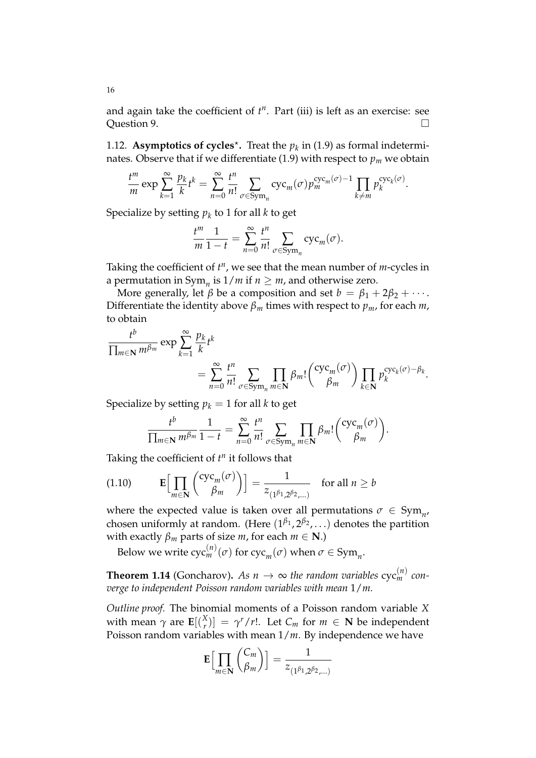and again take the coefficient of  $t^n$ . Part (iii) is left as an exercise: see Question 9.

1.12. **Asymptotics of cycles<sup>\*</sup>.** Treat the  $p_k$  in (1.9) as formal indeterminates. Observe that if we differentiate  $(1.9)$  with respect to  $p_m$  we obtain

$$
\frac{t^m}{m} \exp \sum_{k=1}^{\infty} \frac{p_k}{k} t^k = \sum_{n=0}^{\infty} \frac{t^n}{n!} \sum_{\sigma \in \text{Sym}_n} \text{cyc}_m(\sigma) p_m^{\text{cyc}_m(\sigma)-1} \prod_{k \neq m} p_k^{\text{cyc}_k(\sigma)}.
$$

Specialize by setting  $p_k$  to  $1$  for all  $k$  to get

$$
\frac{t^m}{m}\frac{1}{1-t} = \sum_{n=0}^{\infty} \frac{t^n}{n!} \sum_{\sigma \in \text{Sym}_n} \text{cyc}_m(\sigma).
$$

Taking the coefficient of  $t^n$ , we see that the mean number of *m*-cycles in a permutation in  $Sym_n$  is  $1/m$  if  $n \geq m$ , and otherwise zero.

More generally, let  $\beta$  be a composition and set  $b = \beta_1 + 2\beta_2 + \cdots$ . Differentiate the identity above  $\beta_m$  times with respect to  $p_m$ , for each  $m$ , to obtain

$$
\frac{t^b}{\prod_{m\in\mathbf{N}}m^{\beta_m}}\exp\sum_{k=1}^{\infty}\frac{p_k}{k}t^k
$$
\n
$$
=\sum_{n=0}^{\infty}\frac{t^n}{n!}\sum_{\sigma\in\text{Sym}_n}\prod_{m\in\mathbf{N}}\beta_m!\left(\frac{\text{cyc}_m(\sigma)}{\beta_m}\right)\prod_{k\in\mathbf{N}}p_k^{\text{cyc}_k(\sigma)-\beta_k}.
$$

Specialize by setting  $p_k = 1$  for all *k* to get

$$
\frac{t^b}{\prod_{m\in\mathbf{N}}m^{\beta_m}}\frac{1}{1-t}=\sum_{n=0}^{\infty}\frac{t^n}{n!}\sum_{\sigma\in\text{Sym}_n}\prod_{m\in\mathbf{N}}\beta_m!\binom{\text{cyc}_m(\sigma)}{\beta_m}.
$$

Taking the coefficient of  $t^n$  it follows that

(1.10) 
$$
\mathbf{E}\Big[\prod_{m\in\mathbf{N}}\binom{\operatorname{cyc}_m(\sigma)}{\beta_m}\Big]=\frac{1}{z_{(1^{\beta_1},2^{\beta_2},\dots)}}\quad\text{for all }n\geq b
$$

where the expected value is taken over all permutations  $\sigma \in \text{Sym}_{n}$ , chosen uniformly at random. (Here (1<sup>β</sup>1,2<sup>β</sup>2,...) denotes the partition with exactly  $\beta_m$  parts of size *m*, for each  $m \in \mathbb{N}$ .)

Below we write  $\text{cyc}_m^{(n)}(\sigma)$  for  $\text{cyc}_m(\sigma)$  when  $\sigma \in \text{Sym}_n$ .

**Theorem 1.14** (Goncharov). As  $n \to \infty$  the random variables  $\text{cyc}_{m}^{(n)}$  con*verge to independent Poisson random variables with mean* 1/*m.*

*Outline proof.* The binomial moments of a Poisson random variable *X* with mean  $\gamma$  are  $\mathbf{E}[(\frac{X}{r})]$  $\left[\gamma^X(r)\right] = \gamma^r/r!$ . Let  $C_m$  for  $m \in \mathbb{N}$  be independent Poisson random variables with mean 1/*m*. By independence we have

$$
\mathbf{E}\Big[\prod_{m\in\mathbf{N}}\binom{C_m}{\beta_m}\Big]=\frac{1}{z_{(1^{\beta_1},2^{\beta_2},\dots)}}
$$

16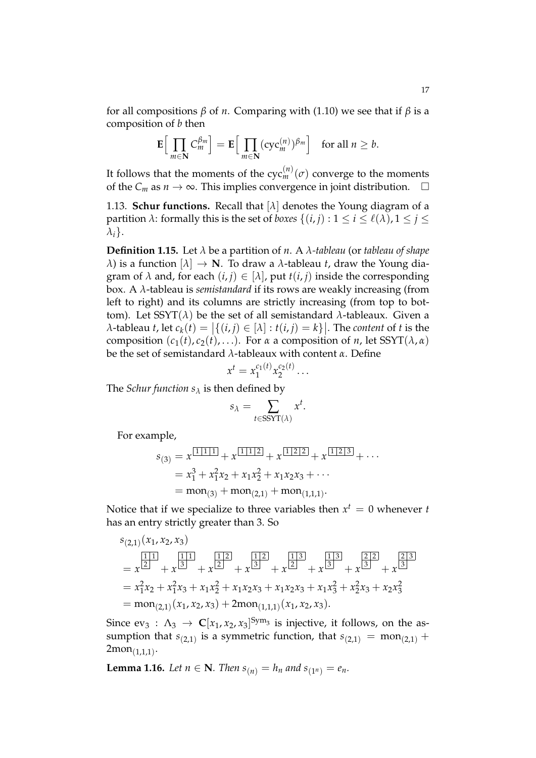for all compositions *β* of *n*. Comparing with (1.10) we see that if *β* is a composition of *b* then

$$
\mathbf{E}\Big[\prod_{m\in\mathbf{N}}C_m^{\beta_m}\Big]=\mathbf{E}\Big[\prod_{m\in\mathbf{N}}(\mathrm{cyc}_m^{(n)})^{\beta_m}\Big]\quad\text{for all }n\geq b.
$$

It follows that the moments of the  $\operatorname{cyc}^{(n)}_m(\sigma)$  converge to the moments of the  $C_m$  as *n* → ∞. This implies convergence in joint distribution.  $□$ 

1.13. **Schur functions.** Recall that [*λ*] denotes the Young diagram of a partition *λ*: formally this is the set of *boxes*  $\{(i, j) : 1 \le i \le \ell(\lambda), 1 \le j \le \ell(\lambda)\}$ *λi*}.

**Definition 1.15.** Let *λ* be a partition of *n*. A *λ-tableau* (or *tableau of shape λ*) is a function  $[λ] \rightarrow \mathbf{N}$ . To draw a *λ*-tableau *t*, draw the Young diagram of  $\lambda$  and, for each  $(i, j) \in [\lambda]$ , put  $t(i, j)$  inside the corresponding box. A *λ*-tableau is *semistandard* if its rows are weakly increasing (from left to right) and its columns are strictly increasing (from top to bottom). Let SSYT(*λ*) be the set of all semistandard *λ*-tableaux. Given a  $\lambda$ -tableau *t*, let  $c_k(t) = |\{(i,j) \in [\lambda] : t(i,j) = k\}|$ . The *content* of *t* is the composition  $(c_1(t), c_2(t), \ldots)$ . For *α* a composition of *n*, let SSYT( $\lambda$ ,  $\alpha$ ) be the set of semistandard *λ*-tableaux with content *α*. Define

$$
x^t = x_1^{c_1(t)} x_2^{c_2(t)} \dots
$$

The *Schur function s<sup>λ</sup>* is then defined by

$$
s_{\lambda} = \sum_{t \in \text{SSYT}(\lambda)} x^{t}.
$$

For example,

$$
s_{(3)} = x^{\boxed{1\,1\,1}} + x^{\boxed{1\,1\,2}} + x^{\boxed{1\,2\,1\,2}} + x^{\boxed{1\,2\,1\,3}} + \cdots
$$
  
=  $x_1^3 + x_1^2 x_2 + x_1 x_2^2 + x_1 x_2 x_3 + \cdots$   
=  $\text{mon}_{(3)} + \text{mon}_{(2,1)} + \text{mon}_{(1,1,1)}.$ 

Notice that if we specialize to three variables then  $x^t = 0$  whenever  $t$ has an entry strictly greater than 3. So

$$
s_{(2,1)}(x_1, x_2, x_3)
$$
  
=  $x^{\frac{1}{2}} + x^{\frac{1}{3}} + x^{\frac{1}{2}} + x^{\frac{1}{2}} + x^{\frac{1}{3}} + x^{\frac{1}{3}} + x^{\frac{1}{3}} + x^{\frac{1}{3}} + x^{\frac{2}{2}} + x^{\frac{2}{3}}$   
=  $x_1^2 x_2 + x_1^2 x_3 + x_1 x_2^2 + x_1 x_2 x_3 + x_1 x_2 x_3 + x_1 x_3^2 + x_2^2 x_3 + x_2 x_3^2$   
=  $mon_{(2,1)}(x_1, x_2, x_3) + 2mon_{(1,1,1)}(x_1, x_2, x_3).$ 

Since  $ev_3: \Lambda_3 \to \mathbb{C}[x_1, x_2, x_3]^{Sym_3}$  is injective, it follows, on the assumption that  $s_{(2,1)}$  is a symmetric function, that  $s_{(2,1)} = \text{mon}_{(2,1)} +$  $2$ mon $_{(1,1,1)}$ .

**Lemma 1.16.** *Let*  $n \in \mathbb{N}$ *. Then*  $s_{(n)} = h_n$  *and*  $s_{(1^n)} = e_n$ *.*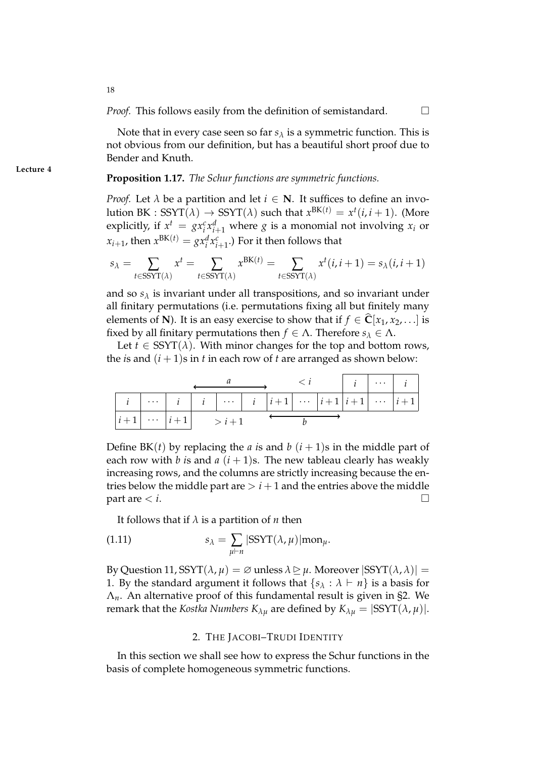Note that in every case seen so far  $s_\lambda$  is a symmetric function. This is not obvious from our definition, but has a beautiful short proof due to Bender and Knuth.

# **Proposition 1.17.** *The Schur functions are symmetric functions.*

*Proof.* Let  $\lambda$  be a partition and let  $i \in \mathbb{N}$ . It suffices to define an involution BK : SSYT $(\lambda) \rightarrow \text{SSYT}(\lambda)$  such that  $x^{\text{BK}(t)} = x^t(i, i + 1)$ . (More explicitly, if  $x^t = gx_i^c x_{i+1}^d$  where *g* is a monomial not involving  $x_i$  or  $x_{i+1}$ , then  $x^{\text{BK}(t)} = gx_i^d x_{i+1}^c$ .) For it then follows that

$$
s_{\lambda} = \sum_{t \in \text{SSYT}(\lambda)} x^{t} = \sum_{t \in \text{SSYT}(\lambda)} x^{\text{BK}(t)} = \sum_{t \in \text{SSYT}(\lambda)} x^{t}(i, i+1) = s_{\lambda}(i, i+1)
$$

and so  $s_\lambda$  is invariant under all transpositions, and so invariant under all finitary permutations (i.e. permutations fixing all but finitely many elements of **N**). It is an easy exercise to show that if  $f \in \mathbb{C}[x_1, x_2, \ldots]$  is fixed by all finitary permutations then  $f \in \Lambda$ . Therefore  $s_{\lambda} \in \Lambda$ .

Let  $t \in \text{SSYT}(\lambda)$ . With minor changes for the top and bottom rows, the *i*s and  $(i + 1)$ s in *t* in each row of *t* are arranged as shown below:

|  |                            |  |  |  |  | $\langle i  $ $i   \dots   i  $ |
|--|----------------------------|--|--|--|--|---------------------------------|
|  |                            |  |  |  |  |                                 |
|  | $ i+1  \cdots  i+1  > i+1$ |  |  |  |  |                                 |

Define BK(*t*) by replacing the *a* is and *b*  $(i + 1)$ s in the middle part of each row with *b* is and  $a(i+1)$ s. The new tableau clearly has weakly increasing rows, and the columns are strictly increasing because the entries below the middle part are  $> i + 1$  and the entries above the middle  $\Box$  part are  $\lt i$ .

It follows that if  $\lambda$  is a partition of *n* then

(1.11) 
$$
s_{\lambda} = \sum_{\mu \vdash n} |SSYT(\lambda, \mu)| \text{mon}_{\mu}.
$$

By Question 11, SSYT $(\lambda, \mu) = \emptyset$  unless  $\lambda \geq \mu$ . Moreover  $|SSYT(\lambda, \lambda)| =$ 1. By the standard argument it follows that  $\{s_\lambda : \lambda \vdash n\}$  is a basis for Λ*n*. An alternative proof of this fundamental result is given in §2. We remark that the *Kostka Numbers*  $K_{\lambda\mu}$  are defined by  $K_{\lambda\mu} = |SSYT(\lambda,\mu)|$ .

## 2. THE JACOBI–TRUDI IDENTITY

In this section we shall see how to express the Schur functions in the basis of complete homogeneous symmetric functions.

**Lecture 4**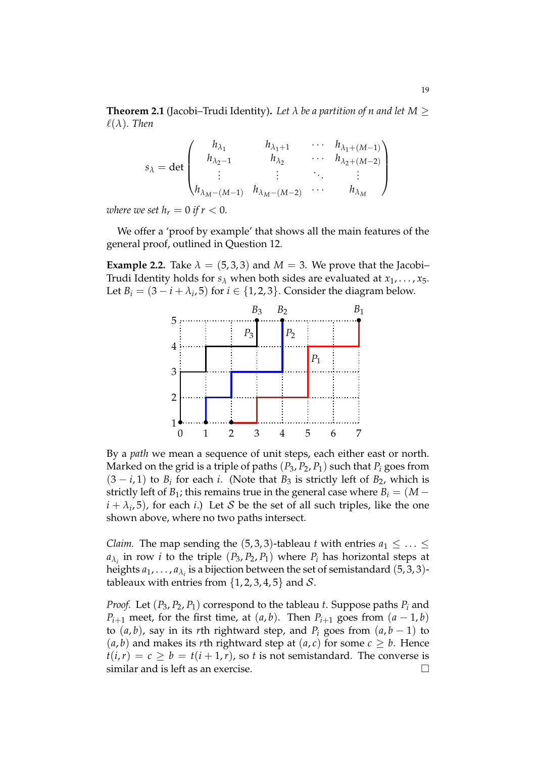**Theorem 2.1** (Jacobi–Trudi Identity). Let  $\lambda$  be a partition of n and let  $M \geq$  $\ell(\lambda)$ *. Then* 

$$
s_{\lambda} = \det \begin{pmatrix} h_{\lambda_1} & h_{\lambda_1+1} & \cdots & h_{\lambda_1+(M-1)} \\ h_{\lambda_2-1} & h_{\lambda_2} & \cdots & h_{\lambda_2+(M-2)} \\ \vdots & \vdots & \ddots & \vdots \\ h_{\lambda_M-(M-1)} & h_{\lambda_M-(M-2)} & \cdots & h_{\lambda_M} \end{pmatrix}
$$

*where we set*  $h_r = 0$  *if*  $r < 0$ *.* 

We offer a 'proof by example' that shows all the main features of the general proof, outlined in Question 12.

**Example 2.2.** Take  $\lambda = (5, 3, 3)$  and  $M = 3$ . We prove that the Jacobi-Trudi Identity holds for  $s_\lambda$  when both sides are evaluated at  $x_1, \ldots, x_5$ . Let  $B_i = (3 - i + \lambda_i, 5)$  for  $i \in \{1, 2, 3\}$ . Consider the diagram below.



By a *path* we mean a sequence of unit steps, each either east or north. Marked on the grid is a triple of paths  $(P_3, P_2, P_1)$  such that  $P_i$  goes from  $(3 - i, 1)$  to  $B_i$  for each *i*. (Note that  $B_3$  is strictly left of  $B_2$ , which is strictly left of *B*<sub>1</sub>; this remains true in the general case where  $B_i = (M (i + \lambda_i, 5)$ , for each *i*.) Let S be the set of all such triples, like the one shown above, where no two paths intersect.

*Claim.* The map sending the (5,3,3)-tableau *t* with entries  $a_1 \leq \ldots \leq a_n$  $a_{\lambda_i}$  in row *i* to the triple  $(P_3, P_2, P_1)$  where  $P_i$  has horizontal steps at heights  $a_1, \ldots, a_{\lambda_i}$  is a bijection between the set of semistandard  $(5, 3, 3)$ tableaux with entries from  $\{1, 2, 3, 4, 5\}$  and S.

*Proof.* Let  $(P_3, P_2, P_1)$  correspond to the tableau *t*. Suppose paths  $P_i$  and *P*<sub>*i*+1</sub> meet, for the first time, at  $(a, b)$ . Then  $P$ <sup>*i*+1</sup> goes from  $(a - 1, b)$ to  $(a, b)$ , say in its *r*th rightward step, and  $P_i$  goes from  $(a, b - 1)$  to  $(a, b)$  and makes its *r*th rightward step at  $(a, c)$  for some  $c \geq b$ . Hence  $t(i, r) = c > b = t(i + 1, r)$ , so *t* is not semistandard. The converse is similar and is left as an exercise.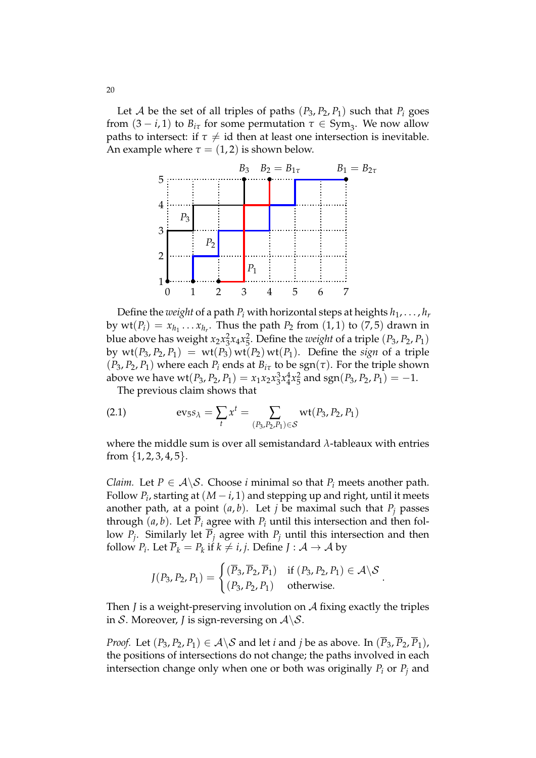Let A be the set of all triples of paths  $(P_3, P_2, P_1)$  such that  $P_i$  goes from  $(3 - i, 1)$  to  $B_{i\tau}$  for some permutation  $\tau \in Sym_3$ . We now allow paths to intersect: if  $\tau \neq id$  then at least one intersection is inevitable. An example where  $\tau = (1, 2)$  is shown below.



Define the *weight* of a path  $P_i$  with horizontal steps at heights  $h_1, \ldots, h_r$ by  $\text{wt}(P_i) = x_{h_1} \ldots x_{h_r}$ . Thus the path  $P_2$  from  $(1,1)$  to  $(7,5)$  drawn in blue above has weight  $x_2 x_3^2 x_4 x_5^2$ . Define the *weight* of a triple  $(P_3, P_2, P_1)$ by  $wt(P_3, P_2, P_1) = wt(P_3) wt(P_2) wt(P_1)$ . Define the *sign* of a triple  $(P_3, P_2, P_1)$  where each  $P_i$  ends at  $B_{i\tau}$  to be  $sgn(\tau)$ . For the triple shown above we have  $\text{wt}(P_3, P_2, P_1) = x_1x_2x_3^3x_4^4x_5^2$  and  $\text{sgn}(P_3, P_2, P_1) = -1$ .

The previous claim shows that

(2.1) 
$$
\text{ev}_{5} s_{\lambda} = \sum_{t} x^{t} = \sum_{(P_{3}, P_{2}, P_{1}) \in S} \text{wt}(P_{3}, P_{2}, P_{1})
$$

where the middle sum is over all semistandard *λ*-tableaux with entries from  $\{1, 2, 3, 4, 5\}.$ 

*Claim.* Let  $P \in \mathcal{A} \backslash \mathcal{S}$ . Choose *i* minimal so that  $P_i$  meets another path. Follow  $P_i$ , starting at  $(M-i,1)$  and stepping up and right, until it meets another path, at a point  $(a, b)$ . Let *j* be maximal such that  $P_i$  passes through  $(a, b)$ . Let  $\overline{P}_i$  agree with  $P_i$  until this intersection and then follow *P<sup>j</sup>* . Similarly let *P<sup>j</sup>* agree with *P<sup>j</sup>* until this intersection and then follow  $P_i$ . Let  $\overline{P}_k = P_k$  if  $k \neq i, j$ . Define  $J : \mathcal{A} \to \mathcal{A}$  by

$$
J(P_3, P_2, P_1) = \begin{cases} (\overline{P}_3, \overline{P}_2, \overline{P}_1) & \text{if } (P_3, P_2, P_1) \in \mathcal{A} \setminus \mathcal{S} \\ (P_3, P_2, P_1) & \text{otherwise.} \end{cases}
$$

Then *J* is a weight-preserving involution on A fixing exactly the triples in S. Moreover, *J* is sign-reversing on  $A \setminus S$ .

*Proof.* Let  $(P_3, P_2, P_1) \in A \setminus S$  and let *i* and *j* be as above. In  $(\overline{P_3}, \overline{P_2}, \overline{P_1})$ , the positions of intersections do not change; the paths involved in each intersection change only when one or both was originally *P<sup>i</sup>* or *P<sup>j</sup>* and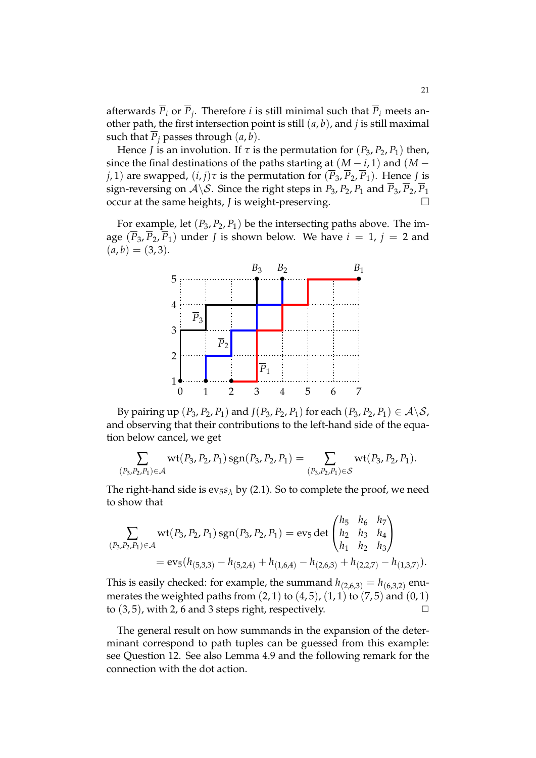afterwards  $P_i$  or  $P_j$ . Therefore *i* is still minimal such that  $P_i$  meets another path, the first intersection point is still (*a*, *b*), and *j* is still maximal such that  $\overline{P}_i$  passes through  $(a, b)$ .

Hence *J* is an involution. If  $\tau$  is the permutation for  $(P_3, P_2, P_1)$  then, since the final destinations of the paths starting at  $(M - i, 1)$  and  $(M - j)$ *j*, 1) are swapped,  $(i, j)$ *τ* is the permutation for  $(\overline{P}_3, \overline{P}_2, \overline{P}_1)$ . Hence *J* is sign-reversing on  $A \setminus S$ . Since the right steps in *P*<sub>3</sub>, *P*<sub>2</sub>, *P*<sub>1</sub> and  $\overline{P}_3$ ,  $\overline{P}_2$ ,  $\overline{P}_1$ occur at the same heights, *J* is weight-preserving.

For example, let  $(P_3, P_2, P_1)$  be the intersecting paths above. The image  $(\overline{P}_3, \overline{P}_2, \overline{P}_1)$  under *J* is shown below. We have  $i = 1$ ,  $j = 2$  and  $(a, b) = (3, 3).$ 



By pairing up  $(P_3, P_2, P_1)$  and  $J(P_3, P_2, P_1)$  for each  $(P_3, P_2, P_1) \in \mathcal{A} \backslash \mathcal{S}$ , and observing that their contributions to the left-hand side of the equation below cancel, we get

$$
\sum_{(P_3,P_2,P_1)\in\mathcal{A}} \mathrm{wt}(P_3,P_2,P_1)\, \mathrm{sgn}(P_3,P_2,P_1) = \sum_{(P_3,P_2,P_1)\in\mathcal{S}} \mathrm{wt}(P_3,P_2,P_1).
$$

The right-hand side is  $ev_5s_\lambda$  by (2.1). So to complete the proof, we need to show that

$$
\sum_{(P_3, P_2, P_1) \in \mathcal{A}} \text{wt}(P_3, P_2, P_1) \text{sgn}(P_3, P_2, P_1) = \text{ev}_5 \det \begin{pmatrix} h_5 & h_6 & h_7 \\ h_2 & h_3 & h_4 \\ h_1 & h_2 & h_3 \end{pmatrix}
$$
  
=  $\text{ev}_5(h_{(5,3,3)} - h_{(5,2,4)} + h_{(1,6,4)} - h_{(2,6,3)} + h_{(2,2,7)} - h_{(1,3,7)}).$ 

This is easily checked: for example, the summand  $h_{(2,6,3)} = h_{(6,3,2)}$  enumerates the weighted paths from  $(2, 1)$  to  $(4, 5)$ ,  $(1, 1)$  to  $(7, 5)$  and  $(0, 1)$ to  $(3, 5)$ , with 2, 6 and 3 steps right, respectively.

The general result on how summands in the expansion of the determinant correspond to path tuples can be guessed from this example: see Question 12. See also Lemma 4.9 and the following remark for the connection with the dot action.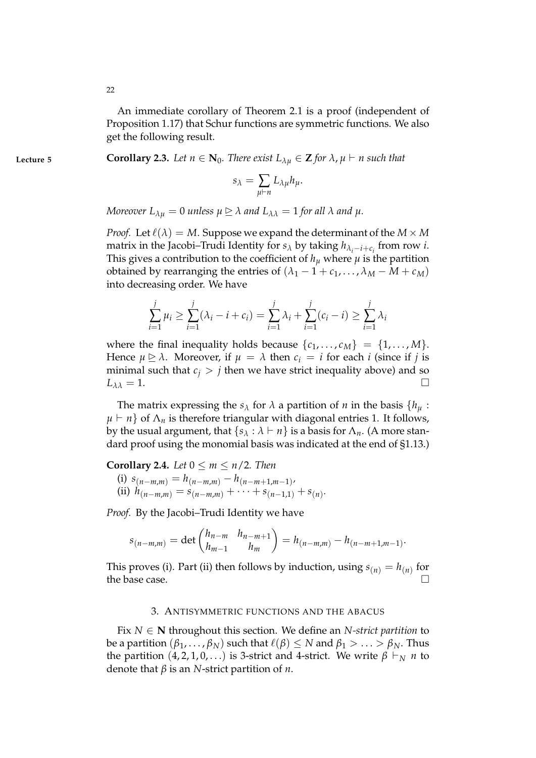An immediate corollary of Theorem 2.1 is a proof (independent of Proposition 1.17) that Schur functions are symmetric functions. We also get the following result.

**Lecture 5 Corollary 2.3.** *Let*  $n \in \mathbb{N}_0$ *. There exist*  $L_{\lambda\mu} \in \mathbb{Z}$  *for*  $\lambda$ *,*  $\mu \vdash n$  *such that* 

$$
s_{\lambda} = \sum_{\mu \vdash n} L_{\lambda \mu} h_{\mu}.
$$

*Moreover*  $L_{\lambda u} = 0$  *unless*  $\mu \geq \lambda$  *and*  $L_{\lambda \lambda} = 1$  *for all*  $\lambda$  *and*  $\mu$ *.* 

*Proof.* Let  $\ell(\lambda) = M$ . Suppose we expand the determinant of the  $M \times M$ matrix in the Jacobi–Trudi Identity for  $s_\lambda$  by taking  $h_{\lambda_i-i+c_i}$  from row *i*. This gives a contribution to the coefficient of  $h_\mu$  where  $\mu$  is the partition obtained by rearranging the entries of  $(\lambda_1 - 1 + c_1, ..., \lambda_M - M + c_M)$ into decreasing order. We have

$$
\sum_{i=1}^{j} \mu_i \ge \sum_{i=1}^{j} (\lambda_i - i + c_i) = \sum_{i=1}^{j} \lambda_i + \sum_{i=1}^{j} (c_i - i) \ge \sum_{i=1}^{j} \lambda_i
$$

where the final inequality holds because  $\{c_1, \ldots, c_M\} = \{1, \ldots, M\}.$ Hence  $\mu \ge \lambda$ . Moreover, if  $\mu = \lambda$  then  $c_i = i$  for each *i* (since if *j* is minimal such that *c*<sup>*j*</sup> > *j* then we have strict inequality above) and so  $L_{33} = 1$ .  $L_{\lambda\lambda} = 1.$ 

The matrix expressing the  $s_{\lambda}$  for  $\lambda$  a partition of *n* in the basis  $\{h_{\mu}$ :  $\mu \vdash n$ } of  $\Lambda_n$  is therefore triangular with diagonal entries 1. It follows, by the usual argument, that  $\{s_\lambda : \lambda \vdash n\}$  is a basis for  $\Lambda_n$ . (A more standard proof using the monomial basis was indicated at the end of §1.13.)

**Corollary 2.4.** *Let*  $0 \le m \le n/2$ *. Then* 

(i) 
$$
s_{(n-m,m)} = h_{(n-m,m)} - h_{(n-m+1,m-1)}
$$
,  
(ii)  $h_{(n-m,m)} = s_{(n-m,m)} + \cdots + s_{(n-1,1)} + s_{(n)}$ .

*Proof.* By the Jacobi–Trudi Identity we have

$$
s_{(n-m,m)} = \det \begin{pmatrix} h_{n-m} & h_{n-m+1} \\ h_{m-1} & h_m \end{pmatrix} = h_{(n-m,m)} - h_{(n-m+1,m-1)}.
$$

This proves (i). Part (ii) then follows by induction, using  $s_{(n)} = h_{(n)}$  for the base case.  $\Box$ 

#### 3. ANTISYMMETRIC FUNCTIONS AND THE ABACUS

Fix  $N \in \mathbb{N}$  throughout this section. We define an *N-strict partition* to be a partition  $(\beta_1, \ldots, \beta_N)$  such that  $\ell(\beta) \leq N$  and  $\beta_1 > \ldots > \beta_N$ . Thus the partition  $(4, 2, 1, 0, ...)$  is 3-strict and 4-strict. We write  $\beta \vdash_N n$  to denote that *β* is an *N*-strict partition of *n*.

22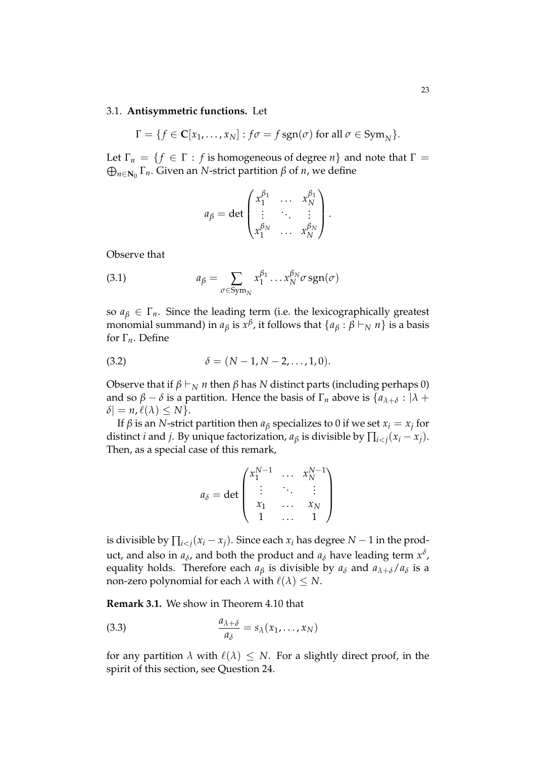## 3.1. **Antisymmetric functions.** Let

$$
\Gamma = \{ f \in \mathbf{C}[x_1,\ldots,x_N] : f\sigma = f \operatorname{sgn}(\sigma) \text{ for all } \sigma \in \operatorname{Sym}_N \}.
$$

Let  $\Gamma_n = \{f \in \Gamma : f \text{ is homogeneous of degree } n\}$  and note that  $\Gamma =$ L *n*∈**N**<sup>0</sup> Γ*n*. Given an *N*-strict partition *β* of *n*, we define

$$
a_{\beta} = \det \begin{pmatrix} x_1^{\beta_1} & \cdots & x_N^{\beta_1} \\ \vdots & \ddots & \vdots \\ x_1^{\beta_N} & \cdots & x_N^{\beta_N} \end{pmatrix}.
$$

Observe that

(3.1) 
$$
a_{\beta} = \sum_{\sigma \in \text{Sym}_N} x_1^{\beta_1} \dots x_N^{\beta_N} \sigma \, \text{sgn}(\sigma)
$$

so  $a_{\beta} \in \Gamma_n$ . Since the leading term (i.e. the lexicographically greatest monomial summand) in  $a_\beta$  is  $x^\beta$ , it follows that  $\{a_\beta:\beta\vdash_N n\}$  is a basis for Γ*n*. Define

(3.2) 
$$
\delta = (N-1, N-2, ..., 1, 0).
$$

Observe that if  $β \vdash_N n$  then  $β$  has *N* distinct parts (including perhaps 0) and so  $\beta - \delta$  is a partition. Hence the basis of  $\Gamma_n$  above is  $\{a_{\lambda+\delta}: |\lambda + \delta| \leq \delta \}$  $\delta$ | = *n*,  $\ell(\lambda) \leq N$  }.

If  $\beta$  is an  $N$ -strict partition then  $a_{\beta}$  specializes to  $0$  if we set  $x_i = x_j$  for distinct *i* and *j*. By unique factorization,  $a_{\beta}$  is divisible by  $\prod_{i < j} (x_i - x_j)$ . Then, as a special case of this remark,

$$
a_{\delta} = \det \begin{pmatrix} x_1^{N-1} & \dots & x_N^{N-1} \\ \vdots & \ddots & \vdots \\ x_1 & \dots & x_N \\ 1 & \dots & 1 \end{pmatrix}
$$

is divisible by  $\prod_{i < j} (x_i - x_j)$ . Since each  $x_i$  has degree  $N-1$  in the product, and also in  $a_{\delta}$ , and both the product and  $a_{\delta}$  have leading term  $x^{\delta}$ , equality holds. Therefore each  $a_{\beta}$  is divisible by  $a_{\delta}$  and  $a_{\lambda+\delta}/a_{\delta}$  is a non-zero polynomial for each  $\lambda$  with  $\ell(\lambda) \leq N$ .

**Remark 3.1.** We show in Theorem 4.10 that

(3.3) 
$$
\frac{a_{\lambda+\delta}}{a_{\delta}} = s_{\lambda}(x_1,\ldots,x_N)
$$

for any partition  $\lambda$  with  $\ell(\lambda) \leq N$ . For a slightly direct proof, in the spirit of this section, see Question 24.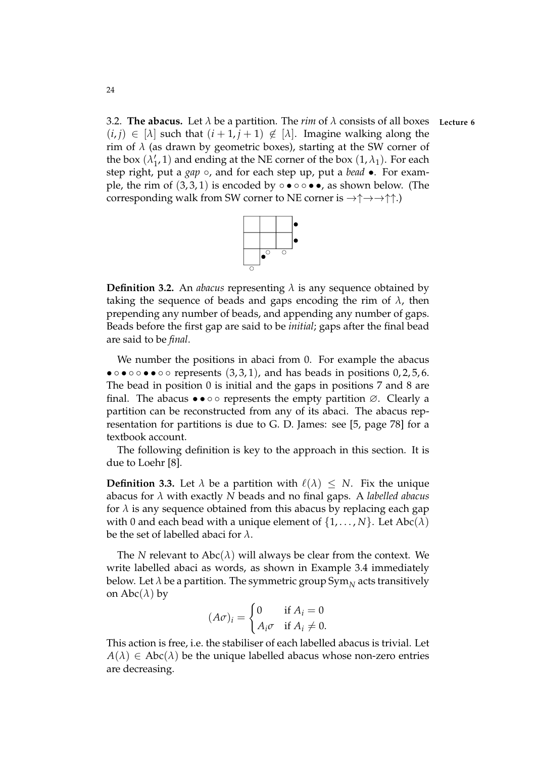3.2. **The abacus.** Let *λ* be a partition. The *rim* of *λ* consists of all boxes **Lecture 6**  $(i, j) \in [\lambda]$  such that  $(i + 1, j + 1) \notin [\lambda]$ . Imagine walking along the rim of  $\lambda$  (as drawn by geometric boxes), starting at the SW corner of the box  $(\lambda_1)$  $_1',$ 1) and ending at the NE corner of the box  $(1, \lambda_1)$ . For each step right, put a *gap* ◦, and for each step up, put a *bead* •. For example, the rim of  $(3,3,1)$  is encoded by  $\circ \bullet \circ \bullet \bullet$ , as shown below. (The corresponding walk from SW corner to NE corner is  $\rightarrow \uparrow \rightarrow \uparrow \uparrow$ .)



**Definition 3.2.** An *abacus* representing *λ* is any sequence obtained by taking the sequence of beads and gaps encoding the rim of  $\lambda$ , then prepending any number of beads, and appending any number of gaps. Beads before the first gap are said to be *initial*; gaps after the final bead are said to be *final*.

We number the positions in abaci from 0. For example the abacus •  $\circ \circ \circ \circ \bullet \bullet \circ \circ$  represents (3,3,1), and has beads in positions 0,2,5,6. The bead in position 0 is initial and the gaps in positions 7 and 8 are final. The abacus  $\bullet \bullet \circ \circ$  represents the empty partition  $\varnothing$ . Clearly a partition can be reconstructed from any of its abaci. The abacus representation for partitions is due to G. D. James: see [5, page 78] for a textbook account.

The following definition is key to the approach in this section. It is due to Loehr [8].

**Definition 3.3.** Let  $\lambda$  be a partition with  $\ell(\lambda) \leq N$ . Fix the unique abacus for *λ* with exactly *N* beads and no final gaps. A *labelled abacus* for  $\lambda$  is any sequence obtained from this abacus by replacing each gap with 0 and each bead with a unique element of  $\{1, \ldots, N\}$ . Let Abc $(\lambda)$ be the set of labelled abaci for *λ*.

The *N* relevant to  $\text{Abc}(\lambda)$  will always be clear from the context. We write labelled abaci as words, as shown in Example 3.4 immediately below. Let  $\lambda$  be a partition. The symmetric group  $\mathrm{Sym}_N$  acts transitively on  $\text{Abc}(\lambda)$  by

$$
(A\sigma)_i = \begin{cases} 0 & \text{if } A_i = 0\\ A_i\sigma & \text{if } A_i \neq 0. \end{cases}
$$

This action is free, i.e. the stabiliser of each labelled abacus is trivial. Let  $A(\lambda) \in \text{Abc}(\lambda)$  be the unique labelled abacus whose non-zero entries are decreasing.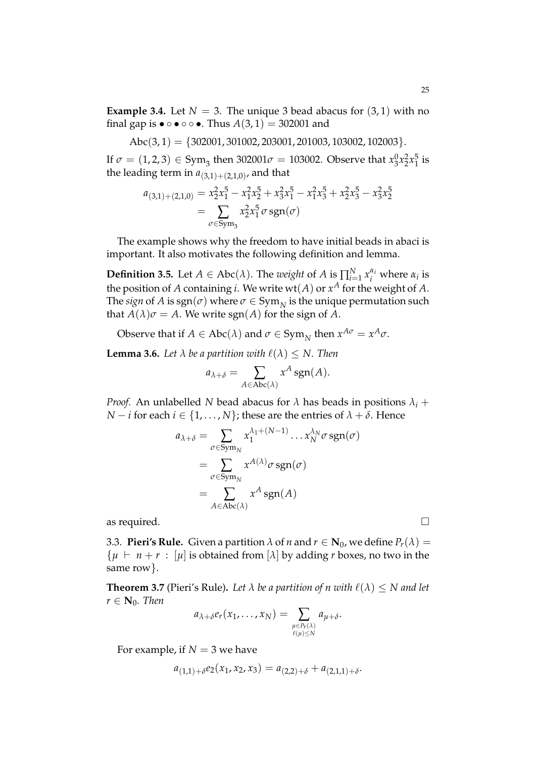**Example 3.4.** Let  $N = 3$ . The unique 3 bead abacus for  $(3, 1)$  with no final gap is  $\bullet \circ \bullet \circ \circ \bullet$ . Thus  $A(3,1) = 302001$  and

$$
Abc(3,1) = \{302001, 301002, 203001, 201003, 103002, 102003\}.
$$

If  $\sigma = (1, 2, 3) \in \mathrm{Sym}_3$  then 302001 $\sigma = 1$ 03002. Observe that  $x_3^0 x_2^2 x_1^5$  $\frac{5}{1}$  is the leading term in  $a_{(3,1)+(2,1,0)}$ , and that

$$
a_{(3,1)+(2,1,0)} = x_2^2 x_1^5 - x_1^2 x_2^5 + x_3^2 x_1^5 - x_1^2 x_3^5 + x_2^2 x_3^5 - x_3^2 x_2^5
$$
  
= 
$$
\sum_{\sigma \in \text{Sym}_3} x_2^2 x_1^5 \sigma \, \text{sgn}(\sigma)
$$

The example shows why the freedom to have initial beads in abaci is important. It also motivates the following definition and lemma.

**Definition 3.5.** Let  $A \in \text{Abc}(\lambda)$ . The *weight* of  $A$  is  $\prod_{i=1}^{N} x_i^{\alpha_i}$  where  $\alpha_i$  is the position of  $A$  containing  $i$ . We write  $\operatorname{wt}(A)$  or  $x^A$  for the weight of  $A$ . The *sign* of  $A$  is  $sgn(\sigma)$  where  $\sigma \in Sym_N$  is the unique permutation such that  $A(\lambda)\sigma = A$ . We write sgn( $A$ ) for the sign of  $\overline{A}$ .

Observe that if  $A \in \text{Abc}(\lambda)$  and  $\sigma \in \text{Sym}_N$  then  $x^{A\sigma} = x^A \sigma$ .

**Lemma 3.6.** *Let*  $\lambda$  *be a partition with*  $\ell(\lambda) \leq N$ *. Then* 

$$
a_{\lambda+\delta} = \sum_{A \in \text{Abc}(\lambda)} x^A \operatorname{sgn}(A).
$$

*Proof.* An unlabelled *N* bead abacus for  $\lambda$  has beads in positions  $\lambda_i$  + *N* − *i* for each *i* ∈ {1, . . . , *N*}; these are the entries of  $\lambda + \delta$ . Hence

$$
a_{\lambda+\delta} = \sum_{\sigma \in \text{Sym}_N} x_1^{\lambda_1 + (N-1)} \dots x_N^{\lambda_N} \sigma \, \text{sgn}(\sigma)
$$
  
= 
$$
\sum_{\sigma \in \text{Sym}_N} x^{A(\lambda)} \sigma \, \text{sgn}(\sigma)
$$
  
= 
$$
\sum_{A \in \text{Abc}(\lambda)} x^A \, \text{sgn}(A)
$$

as required.  $\Box$ 

3.3. **Pieri's Rule.** Given a partition  $\lambda$  of *n* and  $r \in \mathbb{N}_0$ , we define  $P_r(\lambda) =$  $\{ \mu \vdash n + r : [\mu]$  is obtained from  $[\lambda]$  by adding *r* boxes, no two in the same row}.

**Theorem 3.7** (Pieri's Rule). Let  $\lambda$  be a partition of n with  $\ell(\lambda) \leq N$  and let  $r \in \mathbf{N}_0$ *. Then* 

$$
a_{\lambda+\delta}e_r(x_1,\ldots,x_N)=\sum_{\substack{\mu\in P_r(\lambda)\\ \ell(\mu)\leq N}}a_{\mu+\delta}.
$$

For example, if  $N = 3$  we have

$$
a_{(1,1)+\delta}e_2(x_1,x_2,x_3) = a_{(2,2)+\delta} + a_{(2,1,1)+\delta}.
$$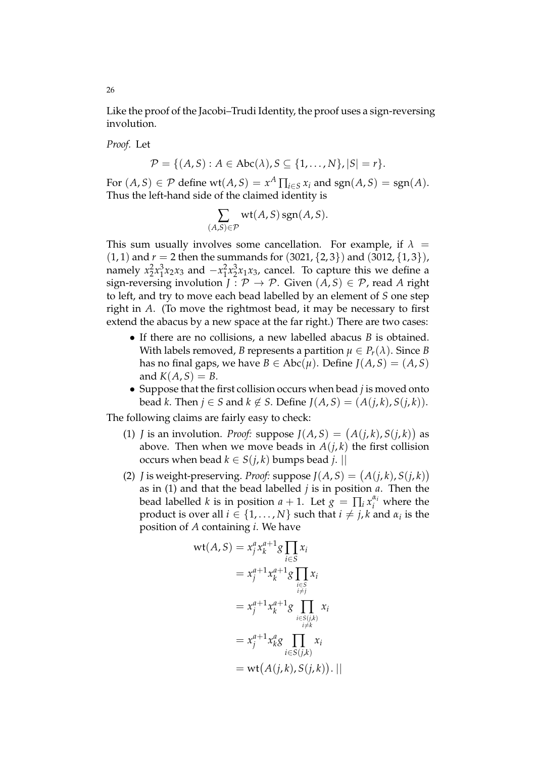Like the proof of the Jacobi–Trudi Identity, the proof uses a sign-reversing involution.

*Proof.* Let

$$
\mathcal{P} = \{ (A, S) : A \in \text{Abc}(\lambda), S \subseteq \{1, \ldots, N\}, |S| = r \}.
$$

For  $(A, S) \in \mathcal{P}$  define  $wt(A, S) = x^A \prod_{i \in S} x_i$  and  $sgn(A, S) = sgn(A)$ . Thus the left-hand side of the claimed identity is

$$
\sum_{(A,S)\in\mathcal{P}} \mathrm{wt}(A,S)\,\mathrm{sgn}(A,S).
$$

This sum usually involves some cancellation. For example, if  $\lambda =$  $(1, 1)$  and  $r = 2$  then the summands for  $(3021, {2, 3})$  and  $(3012, {1, 3})$ , namely  $x_2^2x_1^3$  $^{3}_{1}x_{2}x_{3}$  and  $-x_{1}^{2}x_{2}^{3}x_{1}x_{3}$ , cancel. To capture this we define a sign-reversing involution  $J : \mathcal{P} \to \mathcal{P}$ . Given  $(A, S) \in \mathcal{P}$ , read A right to left, and try to move each bead labelled by an element of *S* one step right in *A*. (To move the rightmost bead, it may be necessary to first extend the abacus by a new space at the far right.) There are two cases:

- If there are no collisions, a new labelled abacus *B* is obtained. With labels removed, *B* represents a partition  $\mu \in P_r(\lambda)$ . Since *B* has no final gaps, we have  $B \in \text{Abc}(\mu)$ . Define  $J(A, S) = (A, S)$ and  $K(A, S) = B$ .
- Suppose that the first collision occurs when bead *j* is moved onto *bead k.* Then *j* ∈ *S* and *k* ∉ *S*. Define *J*(*A*, *S*) = (*A*(*j*, *k*), *S*(*j*, *k*)).

The following claims are fairly easy to check:

(*A*,*S*)∈P

- (1) *J* is an involution. *Proof:* suppose  $J(A, S) = (A(j, k), S(j, k))$  as above. Then when we move beads in  $A(j,k)$  the first collision occurs when bead  $k \in S(j,k)$  bumps bead *j*. ||
- (2) *J* is weight-preserving. *Proof:* suppose  $J(A, S) = (A(j, k), S(j, k))$ as in (1) and that the bead labelled *j* is in position *a*. Then the bead labelled *k* is in position  $a + 1$ . Let  $g = \prod_i x_i^{\alpha_i}$  where the product is over all  $i \in \{1, \ldots, N\}$  such that  $i \neq j$ , *k* and  $\alpha_i$  is the position of *A* containing *i*. We have

$$
wt(A, S) = x_j^a x_k^{a+1} g \prod_{i \in S} x_i
$$
  

$$
= x_j^{a+1} x_k^{a+1} g \prod_{\substack{i \in S \\ i \neq j}} x_i
$$
  

$$
= x_j^{a+1} x_k^{a+1} g \prod_{\substack{i \in S(j,k) \\ i \neq k}} x_i
$$
  

$$
= x_j^{a+1} x_k^a g \prod_{\substack{i \in S(j,k) \\ i \in S(j,k)}} x_i
$$
  

$$
= wt(A(j,k), S(j,k)). ||
$$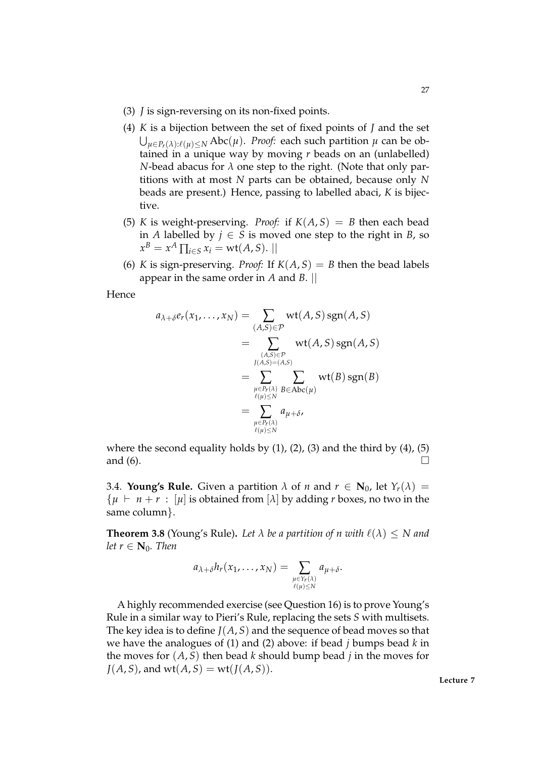- (3) *J* is sign-reversing on its non-fixed points.
- (4) *K* is a bijection between the set of fixed points of *J* and the set  $\bigcup_{\mu \in P_r(\lambda):\ell(\mu)\leq N} \mathsf{Abc}(\mu).$  *Proof:* each such partition  $\mu$  can be obtained in a unique way by moving *r* beads on an (unlabelled) *N*-bead abacus for  $\lambda$  one step to the right. (Note that only partitions with at most *N* parts can be obtained, because only *N* beads are present.) Hence, passing to labelled abaci, *K* is bijective.
- (5) *K* is weight-preserving. *Proof:* if  $K(A, S) = B$  then each bead in *A* labelled by  $j$  ∈ *S* is moved one step to the right in *B*, so  $x^B = x^A \prod_{i \in S} x_i = \text{wt}(A, S).$
- (6) *K* is sign-preserving. *Proof:* If  $K(A, S) = B$  then the bead labels appear in the same order in *A* and *B*. ||

Hence

$$
a_{\lambda+\delta}e_r(x_1,\ldots,x_N) = \sum_{\substack{(A,S)\in\mathcal{P}\\(A,S)\in\mathcal{P}\\I(A,S)=(A,S)\\ \vdots \\ \mu\in P_r(\lambda)\\ \mu\in\mathcal{P}_r(\lambda)\\ \mu\in\mathcal{P}_r(\lambda)\\ \mu\in\mathcal{P}_r(\lambda)\\ \mu\in\mathcal{P}_r(\lambda)\\ \mu\in\mathcal{P}_r(\lambda)\\ \ell(\mu)\leq N}} \text{wt}(B)\text{sgn}(B)
$$

where the second equality holds by  $(1)$ ,  $(2)$ ,  $(3)$  and the third by  $(4)$ ,  $(5)$ and (6).  $\Box$ 

3.4. **Young's Rule.** Given a partition  $\lambda$  of *n* and  $r \in \mathbb{N}_0$ , let  $Y_r(\lambda) =$  $\{ \mu \vdash n + r : [\mu]$  is obtained from  $[\lambda]$  by adding *r* boxes, no two in the same column}.

**Theorem 3.8** (Young's Rule). Let  $\lambda$  be a partition of n with  $\ell(\lambda) \leq N$  and *let*  $r \in \mathbb{N}_0$ *. Then* 

$$
a_{\lambda+\delta}h_r(x_1,\ldots,x_N)=\sum_{\substack{\mu\in Y_r(\lambda)\\ \ell(\mu)\leq N}}a_{\mu+\delta}.
$$

A highly recommended exercise (see Question 16) is to prove Young's Rule in a similar way to Pieri's Rule, replacing the sets *S* with multisets. The key idea is to define *J*(*A*, *S*) and the sequence of bead moves so that we have the analogues of (1) and (2) above: if bead *j* bumps bead *k* in the moves for  $(A, S)$  then bead *k* should bump bead *j* in the moves for  $J(A, S)$ , and wt $(A, S) = \text{wt}(J(A, S))$ .

**Lecture 7**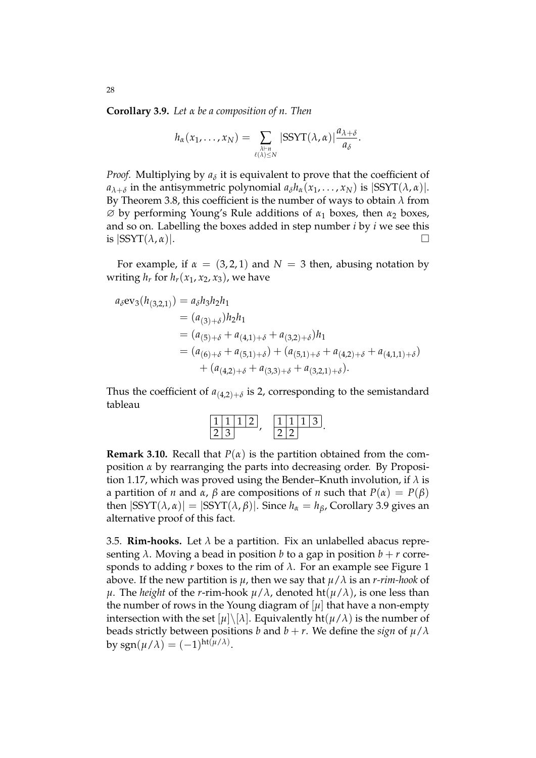**Corollary 3.9.** *Let α be a composition of n. Then*

$$
h_{\alpha}(x_1,\ldots,x_N)=\sum_{\substack{\lambda\vdash n\\ \ell(\lambda)\leq N}}|\text{SSYT}(\lambda,\alpha)|\frac{a_{\lambda+\delta}}{a_{\delta}}.
$$

*Proof.* Multiplying by  $a_\delta$  it is equivalent to prove that the coefficient of *a*<sub>*λ*+*δ*</sub> in the antisymmetric polynomial  $a_{\delta}h_{\alpha}(x_1, \ldots, x_N)$  is  $|\text{SSYT}(\lambda, \alpha)|$ . By Theorem 3.8, this coefficient is the number of ways to obtain *λ* from ∅ by performing Young's Rule additions of *<sup>α</sup>*<sup>1</sup> boxes, then *<sup>α</sup>*<sup>2</sup> boxes, and so on. Labelling the boxes added in step number *i* by *i* we see this is  $|SSYT(\lambda, \alpha)|$ .

For example, if  $\alpha = (3, 2, 1)$  and  $N = 3$  then, abusing notation by writing  $h_r$  for  $h_r(x_1, x_2, x_3)$ , we have

$$
a_{\delta}ev_{3}(h_{(3,2,1)}) = a_{\delta}h_{3}h_{2}h_{1}
$$
  
=  $(a_{(3)+\delta})h_{2}h_{1}$   
=  $(a_{(5)+\delta} + a_{(4,1)+\delta} + a_{(3,2)+\delta})h_{1}$   
=  $(a_{(6)+\delta} + a_{(5,1)+\delta}) + (a_{(5,1)+\delta} + a_{(4,2)+\delta} + a_{(4,1,1)+\delta})$   
+  $(a_{(4,2)+\delta} + a_{(3,3)+\delta} + a_{(3,2,1)+\delta}).$ 

Thus the coefficient of  $a_{(4,2)+\delta}$  is 2, corresponding to the semistandard tableau

$$
\frac{11112}{23}, \frac{11113}{22}.
$$

**Remark 3.10.** Recall that  $P(\alpha)$  is the partition obtained from the composition *α* by rearranging the parts into decreasing order. By Proposition 1.17, which was proved using the Bender–Knuth involution, if *λ* is a partition of *n* and  $\alpha$ ,  $\beta$  are compositions of *n* such that  $P(\alpha) = P(\beta)$ then  $|SSYT(\lambda, \alpha)| = |SSYT(\lambda, \beta)|$ . Since  $h_{\alpha} = h_{\beta}$ , Corollary 3.9 gives an alternative proof of this fact.

3.5. **Rim-hooks.** Let  $\lambda$  be a partition. Fix an unlabelled abacus representing  $\lambda$ . Moving a bead in position *b* to a gap in position  $b + r$  corresponds to adding *r* boxes to the rim of  $\lambda$ . For an example see Figure 1 above. If the new partition is  $\mu$ , then we say that  $\mu/\lambda$  is an *r-rim-hook* of *μ*. The *height* of the *r*-rim-hook  $\mu/\lambda$ , denoted ht( $\mu/\lambda$ ), is one less than the number of rows in the Young diagram of  $[\mu]$  that have a non-empty intersection with the set  $[\mu] \setminus [\lambda]$ . Equivalently ht $(\mu/\lambda)$  is the number of beads strictly between positions *b* and  $b + r$ . We define the *sign* of  $\mu/\lambda$ by  $sgn(\mu/\lambda) = (-1)^{ht(\mu/\lambda)}$ .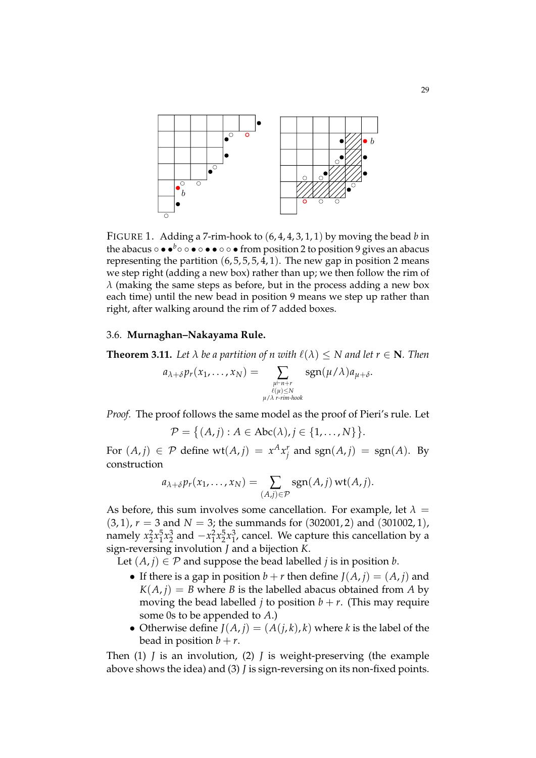

FIGURE 1. Adding a 7-rim-hook to (6, 4, 4, 3, 1, 1) by moving the bead *b* in the abacus  $\circ \bullet \bullet^b \circ \circ \bullet \circ \bullet \bullet \circ \bullet$  from position 2 to position 9 gives an abacus representing the partition  $(6, 5, 5, 5, 4, 1)$ . The new gap in position 2 means we step right (adding a new box) rather than up; we then follow the rim of  $λ$  (making the same steps as before, but in the process adding a new box each time) until the new bead in position 9 means we step up rather than right, after walking around the rim of 7 added boxes.

#### 3.6. **Murnaghan–Nakayama Rule.**

**Theorem 3.11.** Let  $\lambda$  be a partition of n with  $\ell(\lambda) \leq N$  and let  $r \in \mathbb{N}$ . Then

$$
a_{\lambda+\delta}p_r(x_1,\ldots,x_N)=\sum_{\substack{\mu\vdash n+r\\ \ell(\mu)\leq N\\ \mu/\lambda\ r\text{-rim-hook}}}\text{sgn}(\mu/\lambda)a_{\mu+\delta}.
$$

*Proof.* The proof follows the same model as the proof of Pieri's rule. Let

$$
\mathcal{P} = \{(A,j): A \in \text{Abc}(\lambda), j \in \{1,\ldots,N\}\}.
$$

For  $(A, j) \in \mathcal{P}$  define  $wt(A, j) = x^A x_j^r$  $\int_{i}^{r}$  and sgn $(A, j)$  = sgn $(A)$ . By construction

$$
a_{\lambda+\delta}p_r(x_1,\ldots,x_N)=\sum_{(A,j)\in\mathcal{P}}\operatorname{sgn}(A,j)\operatorname{wt}(A,j).
$$

As before, this sum involves some cancellation. For example, let  $\lambda =$  $(3, 1)$ ,  $r = 3$  and  $N = 3$ ; the summands for  $(302001, 2)$  and  $(301002, 1)$ , namely  $x_2^2x_1^5$  $\frac{5}{1}x_2^3$  and  $-x_1^2x_2^5x_1^3$  $j<sub>1</sub>$ , cancel. We capture this cancellation by a sign-reversing involution *J* and a bijection *K*.

Let  $(A, j) \in \mathcal{P}$  and suppose the bead labelled *j* is in position *b*.

- If there is a gap in position  $b + r$  then define  $J(A, i) = (A, i)$  and  $K(A, j) = B$  where *B* is the labelled abacus obtained from *A* by moving the bead labelled *j* to position  $b + r$ . (This may require some 0s to be appended to *A*.)
- Otherwise define  $J(A, i) = (A(i, k), k)$  where *k* is the label of the bead in position  $b + r$ .

Then (1) *J* is an involution, (2) *J* is weight-preserving (the example above shows the idea) and (3) *J* is sign-reversing on its non-fixed points.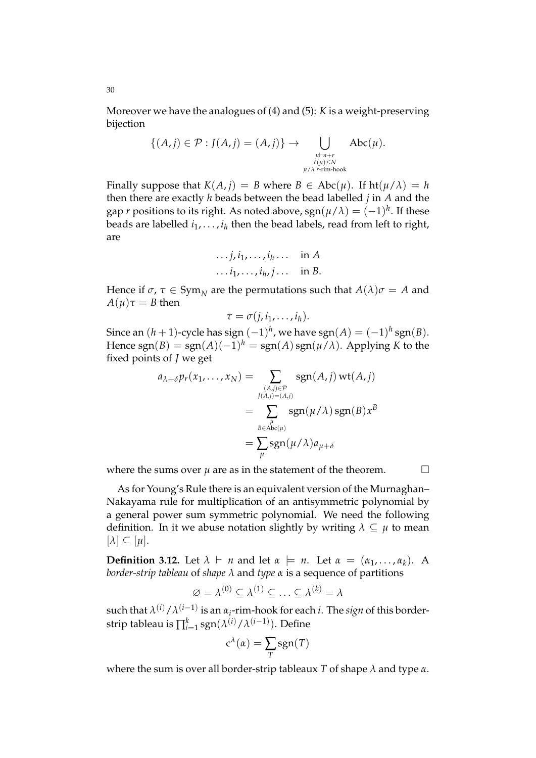Moreover we have the analogues of (4) and (5): *K* is a weight-preserving bijection

$$
\{(A,j) \in \mathcal{P} : J(A,j) = (A,j)\} \rightarrow \bigcup_{\substack{\mu \vdash n+r \\ \ell(\mu) \le N \\ \mu/\lambda \ r \text{-rim-hook}}} \text{Abc}(\mu).
$$

Finally suppose that  $K(A, j) = B$  where  $B \in \text{Abc}(\mu)$ . If  $\text{ht}(\mu/\lambda) = h$ then there are exactly *h* beads between the bead labelled *j* in *A* and the gap  $r$  positions to its right. As noted above,  $\text{sgn}(\mu/\lambda) = (-1)^h$ . If these beads are labelled *i*1, . . . , *i<sup>h</sup>* then the bead labels, read from left to right, are

$$
\dots j, i_1, \dots, i_h \dots \text{ in } A
$$
  

$$
\dots i_1, \dots, i_h, j \dots \text{ in } B.
$$

Hence if  $\sigma$ ,  $\tau \in \text{Sym}_{N}$  are the permutations such that  $A(\lambda)\sigma = A$  and *A*( $\mu$ ) $\tau$  = *B* then

$$
\tau=\sigma(j,i_1,\ldots,i_h).
$$

Since an  $(h+1)$ -cycle has sign  $(-1)^h$ , we have  $\text{sgn}(A) = (-1)^h \, \text{sgn}(B).$ Hence  $\text{sgn}(B) = \text{sgn}(A)(-1)^h = \text{sgn}(A)\,\text{sgn}(\mu/\lambda)$ . Applying *K* to the fixed points of *J* we get

$$
a_{\lambda+\delta}p_r(x_1,\ldots,x_N) = \sum_{\substack{(A,j)\in\mathcal{P}\\J(A,j)=(A,j)\\ \mu}} \text{sgn}(A,j) \text{ wt}(A,j)
$$

$$
= \sum_{\substack{\mu\\B\in\text{Abc}(\mu)}} \text{sgn}(\mu/\lambda) \text{ sgn}(B)x^B
$$

$$
= \sum_{\mu} \text{sgn}(\mu/\lambda)a_{\mu+\delta}
$$

where the sums over  $\mu$  are as in the statement of the theorem.  $\Box$ 

As for Young's Rule there is an equivalent version of the Murnaghan– Nakayama rule for multiplication of an antisymmetric polynomial by a general power sum symmetric polynomial. We need the following definition. In it we abuse notation slightly by writing  $\lambda \subseteq \mu$  to mean  $[\lambda] \subseteq [\mu].$ 

**Definition 3.12.** Let  $\lambda \vdash n$  and let  $\alpha \models n$ . Let  $\alpha = (\alpha_1, \ldots, \alpha_k)$ . A *border-strip tableau* of *shape λ* and *type α* is a sequence of partitions

$$
\varnothing = \lambda^{(0)} \subseteq \lambda^{(1)} \subseteq \ldots \subseteq \lambda^{(k)} = \lambda
$$

 $\sup$  such that  $\lambda^{(i)}/\lambda^{(i-1)}$  is an  $\alpha_i$ -rim-hook for each  $i$ . The  $sign$  of this borderstrip tableau is  $\prod_{i=1}^k {\rm sgn}(\lambda^{(i)}/\lambda^{(i-1)})$ . Define

$$
c^{\lambda}(\alpha) = \sum_{T} sgn(T)
$$

where the sum is over all border-strip tableaux *T* of shape *λ* and type *α*.

30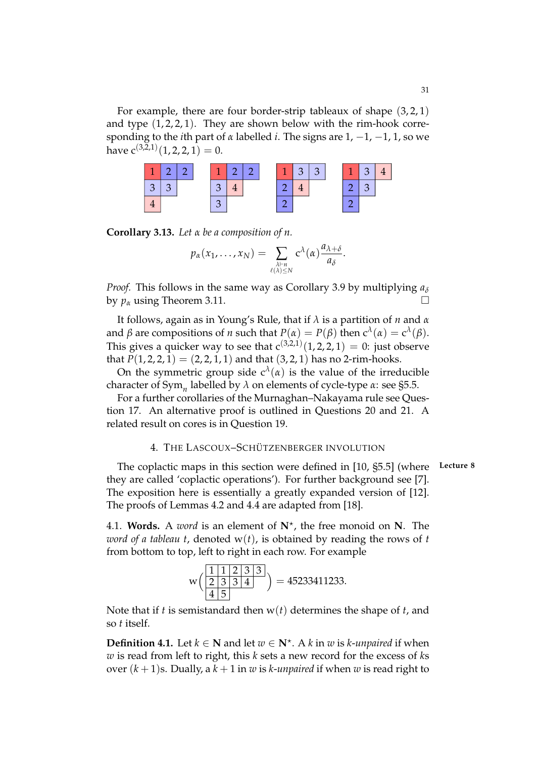For example, there are four border-strip tableaux of shape  $(3, 2, 1)$ and type  $(1, 2, 2, 1)$ . They are shown below with the rim-hook corresponding to the *i*th part of *α* labelled *i*. The signs are 1, −1, −1, 1, so we have  $c^{(3,2,1)}(1,2,2,1)=0.$ 

| $\overline{\phantom{a}}$ |                |  | 127 |  | T. | $\sqrt{3}$ | $\vert 3 \vert$ | 1 | 3 <sup>5</sup> |  |
|--------------------------|----------------|--|-----|--|----|------------|-----------------|---|----------------|--|
| $\sqrt{2}$               | 3 <sup>7</sup> |  |     |  |    |            |                 |   |                |  |
|                          |                |  |     |  |    |            |                 |   |                |  |

**Corollary 3.13.** *Let α be a composition of n.*

$$
p_{\alpha}(x_1,\ldots,x_N)=\sum_{\substack{\lambda\vdash n\\ \ell(\lambda)\leq N}}c^{\lambda}(\alpha)\frac{a_{\lambda+\delta}}{a_{\delta}}.
$$

*Proof.* This follows in the same way as Corollary 3.9 by multiplying  $a<sub>δ</sub>$ by  $p_\alpha$  using Theorem 3.11.

It follows, again as in Young's Rule, that if *λ* is a partition of *n* and *α* and  $\beta$  are compositions of *n* such that  $P(\alpha) = P(\beta)$  then  $c^{\lambda}(\alpha) = c^{\lambda}(\beta)$ . This gives a quicker way to see that  $c^{(3,2,1)}(1,2,2,1) = 0$ : just observe that  $P(1, 2, 2, 1) = (2, 2, 1, 1)$  and that  $(3, 2, 1)$  has no 2-rim-hooks.

On the symmetric group side  $c^{\lambda}(\alpha)$  is the value of the irreducible character of Sym*<sup>n</sup>* labelled by *λ* on elements of cycle-type *α*: see §5.5.

For a further corollaries of the Murnaghan–Nakayama rule see Question 17. An alternative proof is outlined in Questions 20 and 21. A related result on cores is in Question 19.

# 4. THE LASCOUX-SCHÜTZENBERGER INVOLUTION

The coplactic maps in this section were defined in [10, §5.5] (where **Lecture 8** they are called 'coplactic operations'). For further background see [7]. The exposition here is essentially a greatly expanded version of [12]. The proofs of Lemmas 4.2 and 4.4 are adapted from [18].

4.1. **Words.** A *word* is an element of **N**? , the free monoid on **N**. The *word of a tableau t*, denoted  $w(t)$ , is obtained by reading the rows of t from bottom to top, left to right in each row. For example

$$
w\left(\frac{1112333}{45}\right) = 45233411233.
$$

Note that if *t* is semistandard then w(*t*) determines the shape of *t*, and so *t* itself.

**Definition 4.1.** Let  $k \in \mathbb{N}$  and let  $w \in \mathbb{N}^*$ . A  $k$  in  $w$  is  $k$ -*unpaired* if when *w* is read from left to right, this *k* sets a new record for the excess of *k*s over  $(k+1)$ s. Dually, a  $k+1$  in *w* is *k*-*unpaired* if when *w* is read right to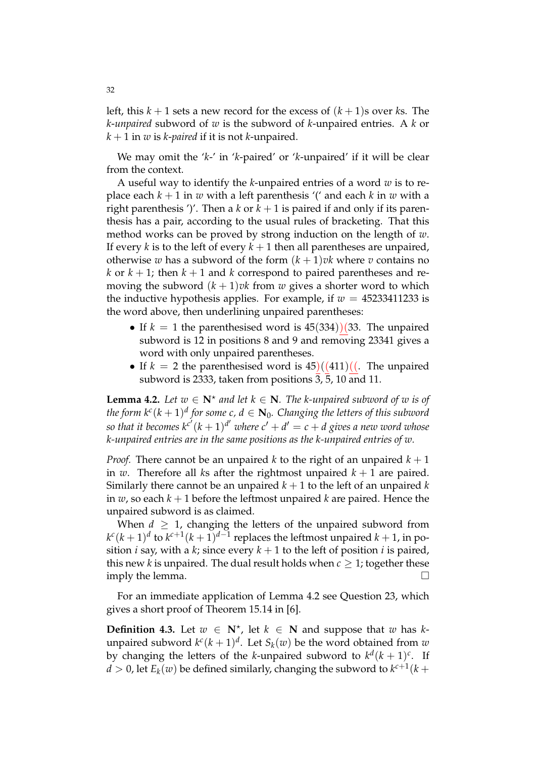left, this  $k + 1$  sets a new record for the excess of  $(k + 1)$ s over *k*s. The *k*-*unpaired* subword of *w* is the subword of *k*-unpaired entries. A *k* or  $k + 1$  in *w* is *k*-*paired* if it is not *k*-unpaired.

We may omit the '*k*-' in '*k*-paired' or '*k*-unpaired' if it will be clear from the context.

A useful way to identify the *k*-unpaired entries of a word *w* is to replace each  $k + 1$  in *w* with a left parenthesis '(' and each *k* in *w* with a right parenthesis ')'. Then a *k* or  $k + 1$  is paired if and only if its parenthesis has a pair, according to the usual rules of bracketing. That this method works can be proved by strong induction on the length of *w*. If every *k* is to the left of every  $k + 1$  then all parentheses are unpaired, otherwise *w* has a subword of the form  $(k + 1)$ *vk* where *v* contains no *k* or  $k + 1$ ; then  $k + 1$  and *k* correspond to paired parentheses and removing the subword  $(k + 1)v$ k from *w* gives a shorter word to which the inductive hypothesis applies. For example, if  $w = 45233411233$  is the word above, then underlining unpaired parentheses:

- If  $k = 1$  the parenthesised word is  $45(334)/(33)$ . The unpaired subword is 12 in positions 8 and 9 and removing 23341 gives a word with only unpaired parentheses.
- If  $k = 2$  the parenthesised word is  $45)((411)(($ . The unpaired subword is 2333, taken from positions  $\overline{3}$ ,  $\overline{5}$ , 10 and 11.

**Lemma 4.2.** Let  $w \in \mathbb{N}^*$  and let  $k \in \mathbb{N}$ . The k-unpaired subword of w is of the form  $k^c (k+1)^d$  for some  $c$ ,  $d \in \mathbf{N}_0$ . Changing the letters of this subword so that it becomes  $k^{c'}(k+1)^{d'}$  where  $c' + d' = c + d$  gives a new word whose *k-unpaired entries are in the same positions as the k-unpaired entries of w.*

*Proof.* There cannot be an unpaired *k* to the right of an unpaired  $k + 1$ in *w*. Therefore all *ks* after the rightmost unpaired  $k + 1$  are paired. Similarly there cannot be an unpaired  $k + 1$  to the left of an unpaired  $k$ in  $w$ , so each  $k + 1$  before the leftmost unpaired  $k$  are paired. Hence the unpaired subword is as claimed.

When  $d \geq 1$ , changing the letters of the unpaired subword from  $k^c (k+1)^d$  to  $k^{c+1} (k+1)^{d-1}$  replaces the leftmost unpaired  $k+1$ , in position *i* say, with a *k*; since every  $k + 1$  to the left of position *i* is paired, this new *k* is unpaired. The dual result holds when  $c \geq 1$ ; together these imply the lemma.

For an immediate application of Lemma 4.2 see Question 23, which gives a short proof of Theorem 15.14 in [6].

**Definition 4.3.** Let  $w \in \mathbb{N}^*$ , let  $k \in \mathbb{N}$  and suppose that  $w$  has  $k$ unpaired subword  $k^{c}(k+1)^{d}$ . Let  $S_{k}(w)$  be the word obtained from  $w$ by changing the letters of the *k*-unpaired subword to  $k^d (k + 1)^c$ . If  $d > 0$ , let  $E_k(w)$  be defined similarly, changing the subword to  $k^{c+1}(k+1)$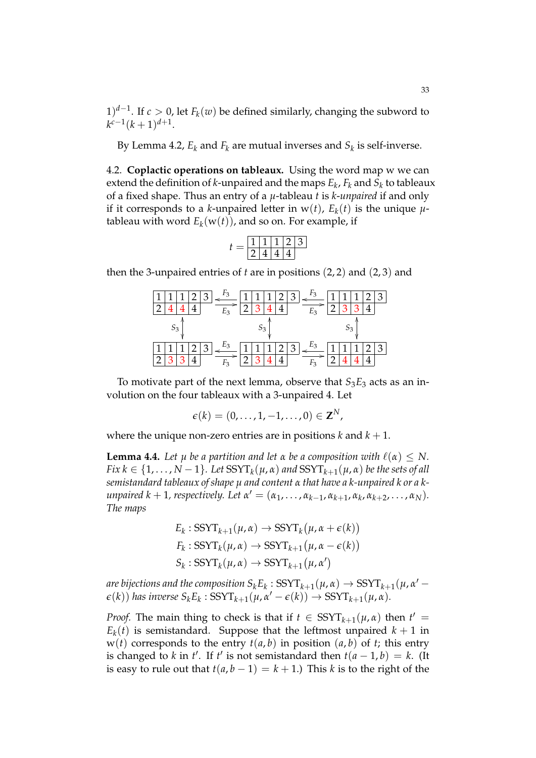1)<sup>*d*−1</sup>. If *c* > 0, let  $F_k(w)$  be defined similarly, changing the subword to  $k^{c-1}(k+1)^{d+1}$ .

By Lemma 4.2,  $E_k$  and  $F_k$  are mutual inverses and  $S_k$  is self-inverse.

4.2. **Coplactic operations on tableaux.** Using the word map w we can extend the definition of *k*-unpaired and the maps *E<sup>k</sup>* , *F<sup>k</sup>* and *S<sup>k</sup>* to tableaux of a fixed shape. Thus an entry of a *µ*-tableau *t* is *k*-*unpaired* if and only if it corresponds to a *k*-unpaired letter in  $w(t)$ ,  $E_k(t)$  is the unique  $\mu$ tableau with word  $E_k({\bf w}(t))$ , and so on. For example, if

$$
t = \boxed{\frac{1}{2} \boxed{1} \boxed{1} \boxed{2} \boxed{3}}{4 \boxed{4} \boxed{4}}
$$

then the 3-unpaired entries of *t* are in positions (2, 2) and (2, 3) and

|  |  |   |       |              |   | Ć |                |  |  | Ć |
|--|--|---|-------|--------------|---|---|----------------|--|--|---|
|  |  |   | E3    |              |   |   | E3             |  |  |   |
|  |  |   |       |              |   |   |                |  |  |   |
|  |  | ◠ | $E_3$ | $\mathbf{r}$ | - | 3 | Ε <sub>3</sub> |  |  | З |
|  |  |   |       |              |   |   |                |  |  |   |

To motivate part of the next lemma, observe that  $S_3E_3$  acts as an involution on the four tableaux with a 3-unpaired 4. Let

$$
\boldsymbol{\epsilon}(k)=(0,\ldots,1,-1,\ldots,0)\in\mathbf{Z}^N,
$$

where the unique non-zero entries are in positions  $k$  and  $k + 1$ .

**Lemma 4.4.** *Let*  $\mu$  *be a partition and let*  $\alpha$  *be a composition with*  $\ell(\alpha) \leq N$ .  $Fix\ k\in\{1,\ldots,N-1\}.$  Let  $\mathrm{SSYT}_k(\mu,\alpha)$  and  $\mathrm{SSYT}_{k+1}(\mu,\alpha)$  be the sets of all *semistandard tableaux of shape µ and content α that have a k-unpaired k or a k* $i$ *unpaired*  $k + 1$ *, respectively. Let*  $\alpha' = (\alpha_1, \ldots, \alpha_{k-1}, \alpha_{k+1}, \alpha_k, \alpha_{k+2}, \ldots, \alpha_N)$ . *The maps*

$$
E_k: SSYT_{k+1}(\mu, \alpha) \to SSYT_k(\mu, \alpha + \epsilon(k))
$$
  

$$
F_k: SSYT_k(\mu, \alpha) \to SSYT_{k+1}(\mu, \alpha - \epsilon(k))
$$
  

$$
S_k: SSYT_k(\mu, \alpha) \to SSYT_{k+1}(\mu, \alpha')
$$

*are bijections and the composition*  $S_k E_k$  :  $SSYT_{k+1}(\mu, \alpha) \rightarrow SSTT_{k+1}(\mu, \alpha')$  $\epsilon(k)$ ) has inverse  $S_k E_k$ :  $SSYT_{k+1}(\mu, \alpha' - \epsilon(k)) \rightarrow SSYT_{k+1}(\mu, \alpha)$ .

*Proof.* The main thing to check is that if  $t \in \text{SSYT}_{k+1}(\mu, \alpha)$  then  $t' =$  $E_k(t)$  is semistandard. Suppose that the leftmost unpaired  $k+1$  in  $w(t)$  corresponds to the entry  $t(a, b)$  in position  $(a, b)$  of  $t$ ; this entry is changed to *k* in *t'*. If *t'* is not semistandard then  $t(a - 1, b) = k$ . (It is easy to rule out that  $t(a, b - 1) = k + 1$ .) This *k* is to the right of the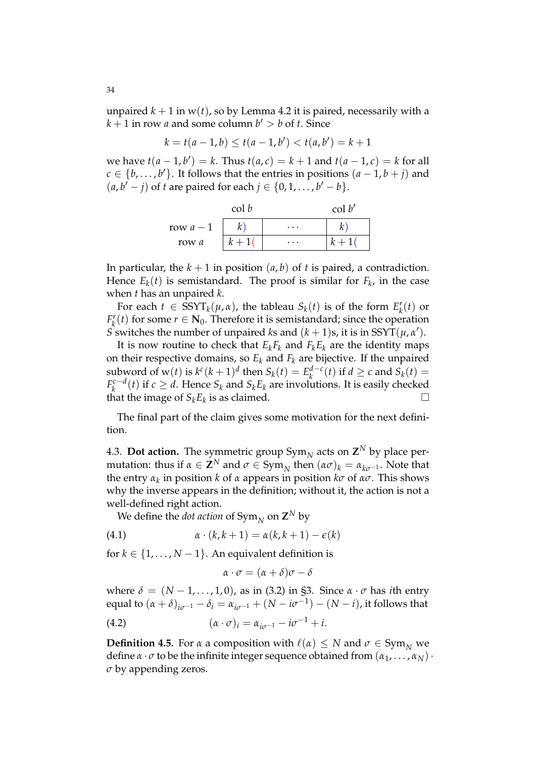unpaired  $k + 1$  in w(*t*), so by Lemma 4.2 it is paired, necessarily with a  $k + 1$  in row *a* and some column  $b' > b$  of *t*. Since

$$
k = t(a - 1, b) \le t(a - 1, b') < t(a, b') = k + 1
$$

 $\text{we have } t(a-1,b') = k. \text{ Thus } t(a,c) = k+1 \text{ and } t(a-1,c) = k \text{ for all }$  $c \in \{b, \ldots, b'\}$ . It follows that the entries in positions  $(a - 1, b + j)$  and  $(a, b' – j)$  of *t* are paired for each  $j ∈ {0, 1, ..., b' – b}$ .

|           |  | $\operatorname{col} b'$ |  |
|-----------|--|-------------------------|--|
| row $a-1$ |  | $\cdots$                |  |
| row a     |  | $\cdots$                |  |

In particular, the  $k + 1$  in position  $(a, b)$  of  $t$  is paired, a contradiction. Hence  $E_k(t)$  is semistandard. The proof is similar for  $F_k$ , in the case when *t* has an unpaired *k*.

For each  $t \in \text{SSYT}_k(\mu, \alpha)$ , the tableau  $S_k(t)$  is of the form  $E_k^r$  $\binom{r}{k}(t)$  or *F r k*<sup>*r*</sup>(*t*) for some *r* ∈ **N**<sub>0</sub>. Therefore it is semistandard; since the operation *S* switches the number of unpaired *k*s and  $(k + 1)s$ , it is in SSYT $(\mu, \alpha')$ .

It is now routine to check that  $E_k F_k$  and  $F_k E_k$  are the identity maps on their respective domains, so  $E_k$  and  $F_k$  are bijective. If the unpaired subword of  $w(t)$  is  $k^c(k+1)^d$  then  $S_k(t) = E_k^{d-c}$  $\int_{k}^{d-c}(t)$  if  $d \ge c$  and  $S_k(t) =$  $F_k^{c-d}$  $\int_{k}^{c-d}(t)$  if  $c \geq d$ . Hence  $S_k$  and  $S_k E_k$  are involutions. It is easily checked that the image of  $S_k E_k$  is as claimed.

The final part of the claim gives some motivation for the next definition.

4.3. **Dot action.** The symmetric group  $Sym_N$  acts on  $\mathbb{Z}^N$  by place permutation: thus if  $\alpha \in \mathbf{Z}^N$  and  $\sigma \in \text{Sym}_N$  then  $(\alpha \sigma)_k = \alpha_{k\sigma^{-1}}$ . Note that the entry *α<sup>k</sup>* in position *k* of *α* appears in position *kσ* of *ασ*. This shows why the inverse appears in the definition; without it, the action is not a well-defined right action.

We define the *dot action* of  $\mathsf{Sym}_N$  on  $\mathsf{Z}^N$  by

(4.1) 
$$
\alpha \cdot (k, k+1) = \alpha(k, k+1) - \epsilon(k)
$$

for  $k \in \{1, \ldots, N-1\}$ . An equivalent definition is

$$
\alpha \cdot \sigma = (\alpha + \delta)\sigma - \delta
$$

where  $\delta = (N-1,\ldots,1,0)$ , as in (3.2) in §3. Since  $\alpha \cdot \sigma$  has *i*th entry equal to  $(\alpha + \delta)_{i\sigma^{-1}} - \delta_i = \alpha_{i\sigma^{-1}} + (N - i\sigma^{-1}) - (N - i)$ , it follows that (4.2)  $(\alpha \cdot \sigma)_i = \alpha_{i\sigma^{-1}} - i\sigma^{-1} + i.$ 

**Definition 4.5.** For *α* a composition with  $\ell(\alpha) \leq N$  and  $\sigma \in \text{Sym}_N$  we define  $\alpha \cdot \sigma$  to be the infinite integer sequence obtained from  $(\alpha_1, \ldots, \alpha_N)$ . *σ* by appending zeros.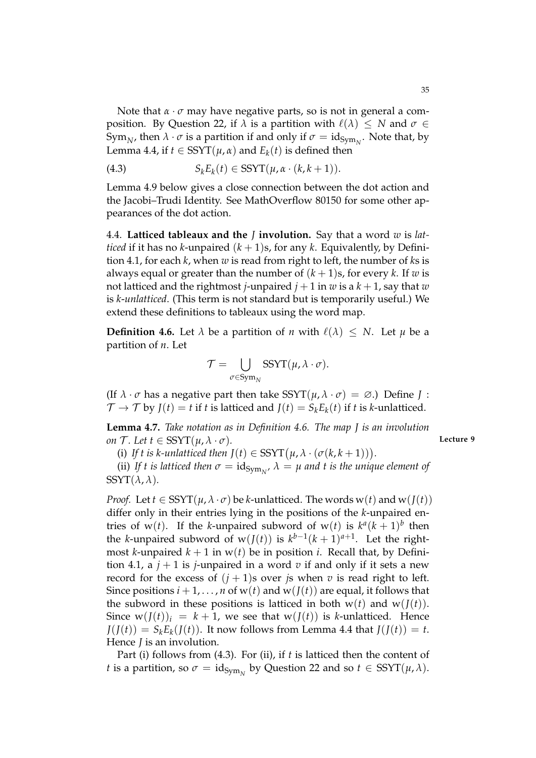Note that *α* · *σ* may have negative parts, so is not in general a composition. By Question 22, if  $\lambda$  is a partition with  $\ell(\lambda) \leq N$  and  $\sigma \in$ Sym<sub>*N*</sub>, then  $\lambda \cdot \sigma$  is a partition if and only if  $\sigma = id_{Sym_N}$ . Note that, by Lemma 4.4, if  $t \in \text{SSYT}(\mu, \alpha)$  and  $E_k(t)$  is defined then

(4.3) 
$$
S_k E_k(t) \in \text{SSYT}(\mu, \alpha \cdot (k, k+1)).
$$

Lemma 4.9 below gives a close connection between the dot action and the Jacobi–Trudi Identity. See MathOverflow 80150 for some other appearances of the dot action.

4.4. **Latticed tableaux and the** *J* **involution.** Say that a word *w* is *latticed* if it has no *k*-unpaired  $(k + 1)s$ , for any *k*. Equivalently, by Definition 4.1, for each *k*, when *w* is read from right to left, the number of *k*s is always equal or greater than the number of  $(k + 1)s$ , for every *k*. If *w* is not latticed and the rightmost *j*-unpaired  $j + 1$  in  $w$  is a  $k + 1$ , say that  $w$ is *k*-*unlatticed*. (This term is not standard but is temporarily useful.) We extend these definitions to tableaux using the word map.

**Definition 4.6.** Let  $\lambda$  be a partition of *n* with  $\ell(\lambda) \leq N$ . Let  $\mu$  be a partition of *n*. Let

$$
\mathcal{T} = \bigcup_{\sigma \in \text{Sym}_N} \text{SSYT}(\mu, \lambda \cdot \sigma).
$$

(If  $\lambda \cdot \sigma$  has a negative part then take SSYT( $\mu$ ,  $\lambda \cdot \sigma$ ) =  $\varnothing$ .) Define *J* :  $\mathcal{T} \to \mathcal{T}$  by  $J(t) = t$  if *t* is latticed and  $J(t) = S_k E_k(t)$  if *t* is *k*-unlatticed.

**Lemma 4.7.** *Take notation as in Definition 4.6. The map J is an involution on*  $\mathcal{T}$ *. Let*  $t \in \text{SSYT}(\mu, \lambda \cdot \sigma)$ *.* Lecture 9

(i) If t is k-unlatticed then  $J(t) \in \text{SSYT}(\mu, \lambda \cdot (\sigma(k, k+1))).$ 

(ii) If t is latticed then  $\sigma = \mathrm{id}_{\mathrm{Sym}_N}$ ,  $\lambda = \mu$  and t is the unique element of  $SSYT(\lambda, \lambda)$ .

*Proof.* Let  $t \in \text{SSYT}(\mu, \lambda \cdot \sigma)$  be *k*-unlatticed. The words w(*t*) and w( $J(t)$ ) differ only in their entries lying in the positions of the *k*-unpaired entries of w(*t*). If the *k*-unpaired subword of w(*t*) is  $k^a(k+1)^b$  then the *k*-unpaired subword of  $w(J(t))$  is  $k^{b-1}(k+1)^{a+1}$ . Let the rightmost *k*-unpaired  $k + 1$  in  $w(t)$  be in position *i*. Recall that, by Definition 4.1, a  $j + 1$  is *j*-unpaired in a word *v* if and only if it sets a new record for the excess of  $(j + 1)$ s over *j*s when *v* is read right to left. Since positions  $i + 1, \ldots, n$  of  $w(t)$  and  $w(J(t))$  are equal, it follows that the subword in these positions is latticed in both  $w(t)$  and  $w(J(t))$ . Since  $w(J(t))_i = k + 1$ , we see that  $w(J(t))$  is *k*-unlatticed. Hence  $J(J(t)) = S_k E_k(J(t))$ . It now follows from Lemma 4.4 that  $J(J(t)) = t$ . Hence *J* is an involution.

Part (i) follows from (4.3). For (ii), if *t* is latticed then the content of *t* is a partition, so  $\sigma = \mathrm{id}_{\mathrm{Sym}_N}$  by Question 22 and so  $t \in \mathrm{SSYT}(\mu, \lambda)$ .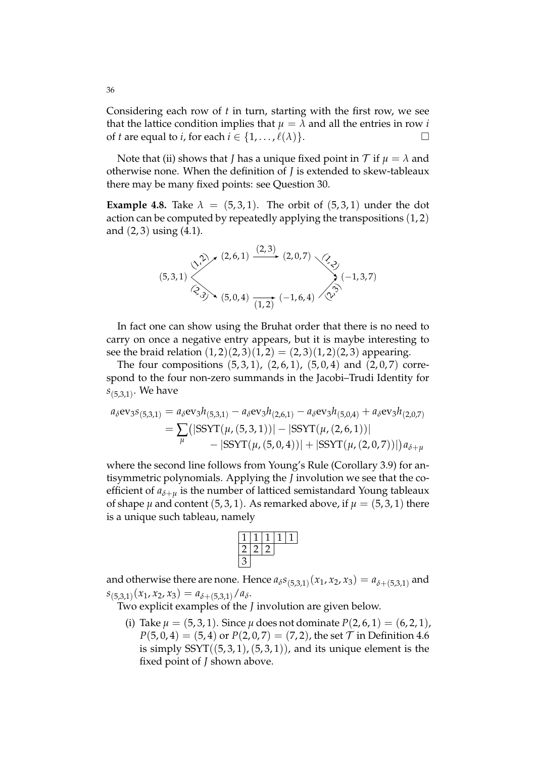Considering each row of *t* in turn, starting with the first row, we see that the lattice condition implies that  $\mu = \lambda$  and all the entries in row *i* of *t* are equal to *i*, for each  $i \in \{1, ..., \ell(\lambda)\}.$ 

Note that (ii) shows that *J* has a unique fixed point in  $\mathcal T$  if  $\mu = \lambda$  and otherwise none. When the definition of *J* is extended to skew-tableaux there may be many fixed points: see Question 30.

**Example 4.8.** Take  $\lambda = (5, 3, 1)$ . The orbit of  $(5, 3, 1)$  under the dot action can be computed by repeatedly applying the transpositions (1, 2) and  $(2, 3)$  using  $(4.1)$ .



In fact one can show using the Bruhat order that there is no need to carry on once a negative entry appears, but it is maybe interesting to see the braid relation  $(1, 2)(2, 3)(1, 2) = (2, 3)(1, 2)(2, 3)$  appearing.

The four compositions  $(5, 3, 1)$ ,  $(2, 6, 1)$ ,  $(5, 0, 4)$  and  $(2, 0, 7)$  correspond to the four non-zero summands in the Jacobi–Trudi Identity for *s*(5,3,1) . We have

$$
a_{\delta} \text{ev}_{3} s_{(5,3,1)} = a_{\delta} \text{ev}_{3} h_{(5,3,1)} - a_{\delta} \text{ev}_{3} h_{(2,6,1)} - a_{\delta} \text{ev}_{3} h_{(5,0,4)} + a_{\delta} \text{ev}_{3} h_{(2,0,7)}
$$
  
= 
$$
\sum_{\mu} (|\text{SSYT}(\mu,(5,3,1))| - |\text{SSYT}(\mu,(2,6,1))| - |\text{SSYT}(\mu,(2,0,7))|) a_{\delta+\mu}
$$

where the second line follows from Young's Rule (Corollary 3.9) for antisymmetric polynomials. Applying the *J* involution we see that the coefficient of  $a_{\delta+\mu}$  is the number of latticed semistandard Young tableaux of shape  $\mu$  and content (5, 3, 1). As remarked above, if  $\mu = (5, 3, 1)$  there is a unique such tableau, namely

and otherwise there are none. Hence  $a_{\delta}s_{(5,3,1)}(x_1,x_2,x_3) = a_{\delta+(5,3,1)}$  and  $s_{(5,3,1)}(x_1, x_2, x_3) = a_{\delta + (5,3,1)}/a_{\delta}.$ 

Two explicit examples of the *J* involution are given below.

(i) Take  $\mu = (5, 3, 1)$ . Since  $\mu$  does not dominate  $P(2, 6, 1) = (6, 2, 1)$ ,  $P(5, 0, 4) = (5, 4)$  or  $P(2, 0, 7) = (7, 2)$ , the set  $\mathcal T$  in Definition 4.6 is simply  $SSYT((5, 3, 1), (5, 3, 1))$ , and its unique element is the fixed point of *J* shown above.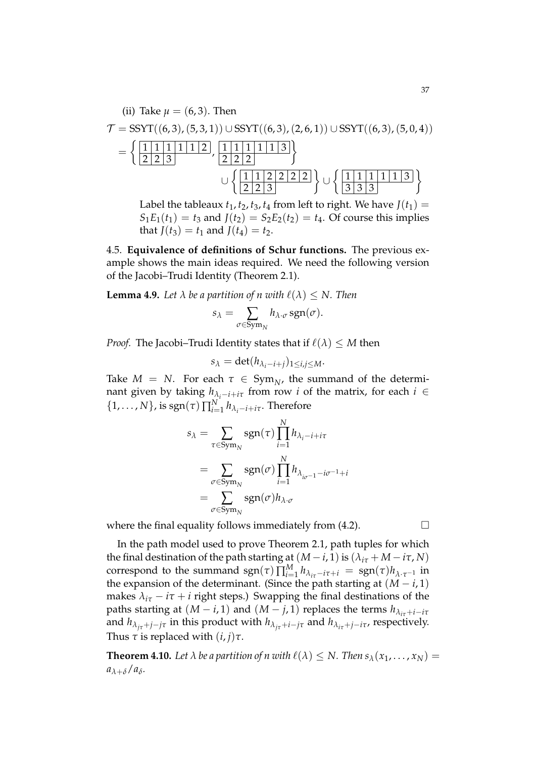(ii) Take 
$$
\mu = (6,3)
$$
. Then  
\n
$$
\mathcal{T} = SSYT((6,3), (5,3,1)) \cup SSYT((6,3), (2,6,1)) \cup SSYT((6,3), (5,0,4))
$$
\n
$$
= \left\{ \frac{\begin{bmatrix} 1 & 1 & 1 & 1 & 1 & 1 & 1 & 1 & 1 & 1 & 3 \\ 2 & 2 & 3 & & & & \end{bmatrix}}{\begin{bmatrix} 1 & 1 & 1 & 1 & 1 & 1 & 3 \\ 2 & 2 & 3 & & & \end{bmatrix}} \right\} \cup \left\{ \frac{\begin{bmatrix} 1 & 1 & 1 & 1 & 1 & 1 & 1 & 3 \\ 3 & 3 & 3 & & & \end{bmatrix}}{\begin{bmatrix} 3 & 3 & 3 & 3 & 3 & 3 \\ 3 & 3 & 3 & & & \end{bmatrix}} \right\}
$$

Label the tableaux  $t_1$ ,  $t_2$ ,  $t_3$ ,  $t_4$  from left to right. We have  $J(t_1)$  =  $S_1E_1(t_1) = t_3$  and  $J(t_2) = S_2E_2(t_2) = t_4$ . Of course this implies that  $J(t_3) = t_1$  and  $J(t_4) = t_2$ .

4.5. **Equivalence of definitions of Schur functions.** The previous example shows the main ideas required. We need the following version of the Jacobi–Trudi Identity (Theorem 2.1).

**Lemma 4.9.** Let  $\lambda$  be a partition of n with  $\ell(\lambda) \leq N$ . Then

$$
s_{\lambda} = \sum_{\sigma \in \text{Sym}_{N}} h_{\lambda \cdot \sigma} \, \text{sgn}(\sigma).
$$

*Proof.* The Jacobi–Trudi Identity states that if  $\ell(\lambda) \leq M$  then

$$
s_{\lambda} = \det(h_{\lambda_i - i + j})_{1 \leq i, j \leq M}.
$$

Take  $M = N$ . For each  $\tau \in Sym_N$ , the summand of the determinant given by taking  $h_{\lambda_i - i + i\tau}$  from row *i* of the matrix, for each  $i \in$  $\{1,\ldots,N\}$ , is  $\text{sgn}(\tau) \prod_{i=1}^{N} h_{\lambda_i-i+i\tau}$ . Therefore

$$
s_{\lambda} = \sum_{\tau \in \text{Sym}_{N}} \text{sgn}(\tau) \prod_{i=1}^{N} h_{\lambda_{i} - i + i\tau}
$$
  
= 
$$
\sum_{\sigma \in \text{Sym}_{N}} \text{sgn}(\sigma) \prod_{i=1}^{N} h_{\lambda_{i\sigma - 1} - i\sigma^{-1} + i\tau}
$$
  
= 
$$
\sum_{\sigma \in \text{Sym}_{N}} \text{sgn}(\sigma) h_{\lambda \cdot \sigma}
$$

where the final equality follows immediately from  $(4.2)$ .

In the path model used to prove Theorem 2.1, path tuples for which the final destination of the path starting at  $(M - i, 1)$  is  $(\hat{\lambda}_{i\tau} + M - i\tau, N)$ correspond to the summand  $sgn(\tau) \prod_{i=1}^{M} h_{\lambda_{i\tau}-i\tau+i} = sgn(\tau)h_{\lambda \cdot \tau^{-1}}$  in the expansion of the determinant. (Since the path starting at  $(M - i, 1)$ ) makes  $\lambda_{i\tau} - i\tau + i$  right steps.) Swapping the final destinations of the paths starting at  $(M - i, 1)$  and  $(M - j, 1)$  replaces the terms  $h_{\lambda_{i\tau} + i - i\tau}$ and  $h_{\lambda_{i\tau}+j-j\tau}$  in this product with  $h_{\lambda_{i\tau}+i-j\tau}$  and  $h_{\lambda_{i\tau}+j-i\tau}$ , respectively. Thus  $\tau$  is replaced with  $(i, j)\tau$ .

**Theorem 4.10.** Let  $\lambda$  be a partition of n with  $\ell(\lambda) \leq N$ . Then  $s_{\lambda}(x_1, \ldots, x_N)$  = *aλ*+*δ*/*a<sup>δ</sup> .*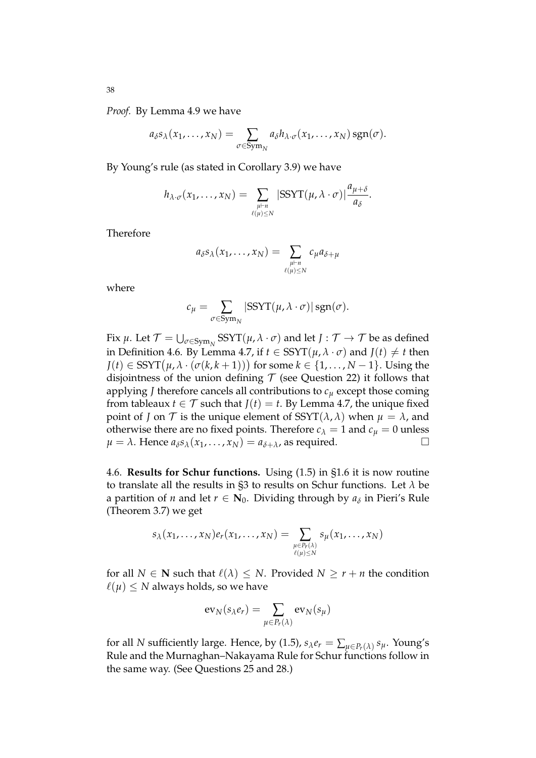*Proof.* By Lemma 4.9 we have

$$
a_{\delta} s_{\lambda}(x_1,\ldots,x_N)=\sum_{\sigma\in \text{Sym}_N} a_{\delta} h_{\lambda\cdot \sigma}(x_1,\ldots,x_N) \, \text{sgn}(\sigma).
$$

By Young's rule (as stated in Corollary 3.9) we have

$$
h_{\lambda \cdot \sigma}(x_1, \ldots, x_N) = \sum_{\substack{\mu \vdash n \\ \ell(\mu) \leq N}} |\text{SSYT}(\mu, \lambda \cdot \sigma)| \frac{a_{\mu + \delta}}{a_{\delta}}.
$$

Therefore

$$
a_{\delta} s_{\lambda}(x_1,\ldots,x_N) = \sum_{\substack{\mu \vdash n \\ \ell(\mu) \leq N}} c_{\mu} a_{\delta + \mu}
$$

where

$$
c_{\mu} = \sum_{\sigma \in \text{Sym}_{N}} |\text{SSYT}(\mu, \lambda \cdot \sigma)| \text{sgn}(\sigma).
$$

Fix  $\mu$ . Let  $\mathcal{T} = \bigcup_{\sigma \in \mathrm{Sym}_N} \mathrm{SSYT}(\mu, \lambda \cdot \sigma)$  and let  $J: \mathcal{T} \to \mathcal{T}$  be as defined in Definition 4.6. By Lemma 4.7, if  $t \in \text{SSYT}(\mu, \lambda \cdot \sigma)$  and  $J(t) \neq t$  then  $J(t) \in \mathrm{SSYT}\big(\mu, \lambda\cdot (\sigma(k, k+1))\big)$  for some  $k \in \{1,\dots,N-1\}.$  Using the disjointness of the union defining  $\mathcal T$  (see Question 22) it follows that applying *J* therefore cancels all contributions to *c<sup>µ</sup>* except those coming from tableaux *t*  $\in \mathcal{T}$  such that *J*(*t*) = *t*. By Lemma 4.7, the unique fixed point of *J* on  $\mathcal T$  is the unique element of SSYT( $\lambda$ ,  $\lambda$ ) when  $\mu = \lambda$ , and otherwise there are no fixed points. Therefore  $c_{\lambda} = 1$  and  $c_{\mu} = 0$  unless  $u = \lambda$ . Hence  $a_{\lambda} s_{\lambda} (x_{1}, \ldots, x_{N}) = a_{\lambda + \lambda}$  as required.  $\mu = \lambda$ . Hence  $a_{\delta}s_{\lambda}(x_1, \ldots, x_N) = a_{\delta + \lambda}$ , as required.

4.6. **Results for Schur functions.** Using (1.5) in §1.6 it is now routine to translate all the results in §3 to results on Schur functions. Let *λ* be a partition of *n* and let  $r \in \mathbb{N}_0$ . Dividing through by  $a_\delta$  in Pieri's Rule (Theorem 3.7) we get

$$
s_{\lambda}(x_1,\ldots,x_N)e_r(x_1,\ldots,x_N)=\sum_{\substack{\mu\in P_r(\lambda)\\ \ell(\mu)\leq N}}s_{\mu}(x_1,\ldots,x_N)
$$

for all  $N \in \mathbb{N}$  such that  $\ell(\lambda) \leq N$ . Provided  $N \geq r + n$  the condition  $\ell(\mu) \leq N$  always holds, so we have

$$
\text{ev}_N(s_\lambda e_r) = \sum_{\mu \in P_r(\lambda)} \text{ev}_N(s_\mu)
$$

for all *N* sufficiently large. Hence, by (1.5),  $s_{\lambda}e_r = \sum_{\mu \in P_r(\lambda)} s_{\mu}$ . Young's Rule and the Murnaghan–Nakayama Rule for Schur functions follow in the same way. (See Questions 25 and 28.)

38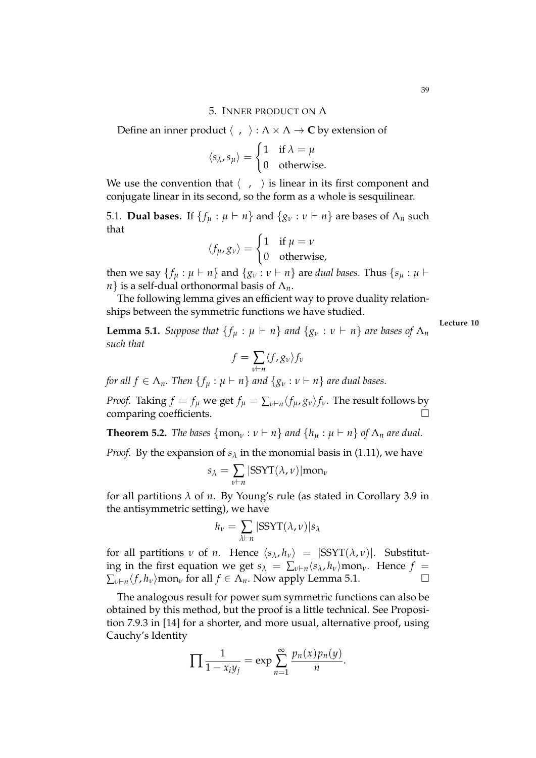#### 5. INNER PRODUCT ON Λ

Define an inner product  $\langle , \rangle : \Lambda \times \Lambda \to \mathbb{C}$  by extension of

$$
\langle s_{\lambda}, s_{\mu} \rangle = \begin{cases} 1 & \text{if } \lambda = \mu \\ 0 & \text{otherwise.} \end{cases}
$$

We use the convention that  $\langle , \rangle$  is linear in its first component and conjugate linear in its second, so the form as a whole is sesquilinear.

5.1. **Dual bases.** If  $\{f_\mu : \mu \vdash n\}$  and  $\{g_\nu : \nu \vdash n\}$  are bases of  $\Lambda_n$  such that

$$
\langle f_{\mu}, g_{\nu} \rangle = \begin{cases} 1 & \text{if } \mu = \nu \\ 0 & \text{otherwise,} \end{cases}
$$

then we say  $\{f_\mu : \mu \vdash n\}$  and  $\{g_\nu : \nu \vdash n\}$  are *dual bases*. Thus  $\{s_\mu : \mu \vdash n\}$ *n*} is a self-dual orthonormal basis of Λ*n*.

The following lemma gives an efficient way to prove duality relationships between the symmetric functions we have studied.

**Lemma 5.1.** *Suppose that*  $\{f_u : \mu \vdash n\}$  *and*  $\{g_v : v \vdash n\}$  *are bases of*  $\Lambda_n$ *such that*

**Lecture 10**

$$
f = \sum_{v \vdash n} \langle f, g_v \rangle f_v
$$

*for all*  $f \in \Lambda_n$ *. Then*  $\{f_u : \mu \vdash n\}$  *and*  $\{g_v : v \vdash n\}$  *are dual bases.* 

*Proof.* Taking  $f = f_\mu$  we get  $f_\mu = \sum_{\nu \vdash n} \langle f_\mu, g_\nu \rangle f_\nu$ . The result follows by comparing coefficients.

**Theorem 5.2.** *The bases*  $\{mon_v : v \vdash n\}$  *and*  $\{h_u : \mu \vdash n\}$  *of*  $\Lambda_n$  *are dual.* 

*Proof.* By the expansion of  $s_\lambda$  in the monomial basis in (1.11), we have

$$
s_{\lambda} = \sum_{\nu \vdash n} |SSYT(\lambda, \nu)| \text{mon}_{\nu}
$$

for all partitions *λ* of *n*. By Young's rule (as stated in Corollary 3.9 in the antisymmetric setting), we have

$$
h_{\nu} = \sum_{\lambda \vdash n} |SSYT(\lambda, \nu)| s_{\lambda}
$$

for all partitions *v* of *n*. Hence  $\langle s_\lambda, h_\nu \rangle = |SSYT(\lambda, \nu)|$ . Substituting in the first equation we get  $s_{\lambda} = \sum_{\nu \vdash n} \langle s_{\lambda}, h_{\nu} \rangle$ mon<sub>*v*</sub>. Hence  $f =$  $\sum_{\nu \vdash n} \langle f, h_{\nu} \rangle$  mon<sub>*v*</sub> for all  $f \in \Lambda_n$ . Now apply Lemma 5.1.

The analogous result for power sum symmetric functions can also be obtained by this method, but the proof is a little technical. See Proposition 7.9.3 in [14] for a shorter, and more usual, alternative proof, using Cauchy's Identity

$$
\prod \frac{1}{1-x_iy_j} = \exp \sum_{n=1}^{\infty} \frac{p_n(x)p_n(y)}{n}.
$$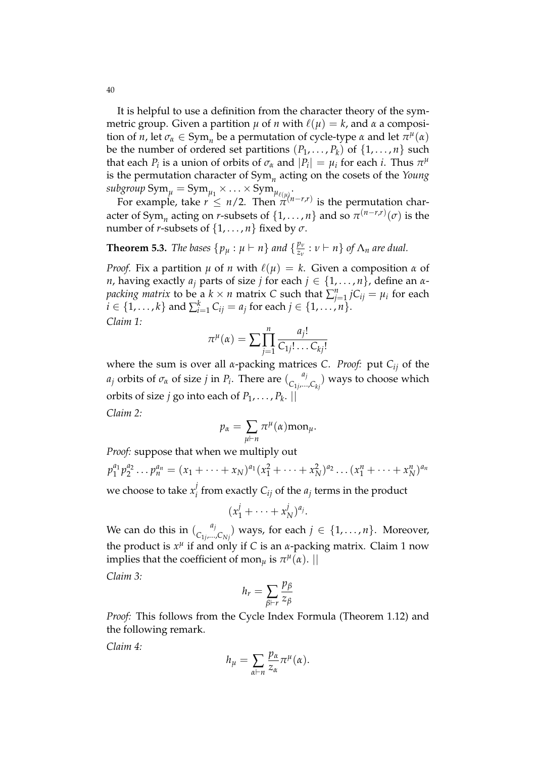It is helpful to use a definition from the character theory of the symmetric group. Given a partition  $\mu$  of *n* with  $\ell(\mu) = k$ , and  $\alpha$  a composition of *n*, let  $\sigma_{\alpha} \in \text{Sym}_n$  be a permutation of cycle-type  $\alpha$  and let  $\pi^{\mu}(\alpha)$ be the number of ordered set partitions  $(P_1, \ldots, P_k)$  of  $\{1, \ldots, n\}$  such that each  $P_i$  is a union of orbits of  $\sigma_{\alpha}$  and  $|P_i| = \mu_i$  for each *i*. Thus  $\pi^{\mu}$ is the permutation character of Sym*<sup>n</sup>* acting on the cosets of the *Young*  $\text{subgroup}\ \text{Sym}_{\mu} = \text{Sym}_{\mu_1} \times \ldots \times \text{Sym}_{\mu_{\ell(\mu)}}.$ 

For example, take  $r \leq n/2$ . Then  $\pi^{(n-n,r)}$  is the permutation character of Sym<sub>*n*</sub> acting on *r*-subsets of  $\{1, \ldots, n\}$  and so  $\pi^{(n-r,r)}(\sigma)$  is the number of *r*-subsets of  $\{1, \ldots, n\}$  fixed by  $\sigma$ .

#### **Theorem 5.3.** *The bases*  $\{p_\mu : \mu \vdash n\}$  *and*  $\{\frac{p_\nu}{z_\nu}\}$  $\frac{p_v}{z_v}$  :  $v \vdash n$  *s* of  $\Lambda_n$  are dual.

*Proof.* Fix a partition  $\mu$  of *n* with  $\ell(\mu) = k$ . Given a composition  $\alpha$  of *n*, having exactly  $a_i$  parts of size *j* for each  $j \in \{1, \ldots, n\}$ , define an  $\alpha$ *packing matrix* to be a  $k \times n$  matrix *C* such that  $\sum_{j=1}^{n} {jC_{ij}} = \mu_i$  for each *i* ∈ {1, . . . , *k*} and  $\sum_{i=1}^{k} C_{ij} = a_j$  for each  $j \in \{1, ..., n\}$ . *Claim 1:*

$$
\pi^{\mu}(\alpha) = \sum \prod_{j=1}^{n} \frac{a_j!}{C_{1j}! \dots C_{kj}!}
$$

where the sum is over all *α*-packing matrices *C*. *Proof:* put *Cij* of the *a*<sub>*j*</sub> orbits of  $\sigma_{\alpha}$  of size *j* in *P*<sub>*i*</sub>. There are  $\binom{a_j}{c_1}$  $\mathcal{C}_{1j},...,\mathcal{C}_{kj}$  ways to choose which orbits of size *j* go into each of  $P_1, \ldots, P_k$ .  $||$ 

*Claim 2:*

$$
p_{\alpha} = \sum_{\mu \vdash n} \pi^{\mu}(\alpha) \text{mon}_{\mu}.
$$

*Proof:* suppose that when we multiply out

$$
p_1^{a_1}p_2^{a_2}\dots p_n^{a_n}=(x_1+\dots+x_N)^{a_1}(x_1^2+\dots+x_N^2)^{a_2}\dots(x_1^n+\dots+x_N^n)^{a_n}
$$

we choose to take  $x_i^j$  $C_i$  from exactly  $C_{ij}$  of the  $a_j$  terms in the product

$$
(x_1^j + \cdots + x_N^j)^{a_j}.
$$

We can do this in  $\binom{a_j}{a_j}$  $\binom{a_j}{C_{1j},...,C_{Nj}}$  ways, for each  $j \in \{1,\ldots,n\}$ . Moreover, the product is  $x^{\mu}$  if and only if *C* is an *α*-packing matrix. Claim 1 now implies that the coefficient of mon $_{\mu}$  is  $\pi^{\mu}(\alpha)$ . ||

*Claim 3:*

$$
h_r = \sum_{\beta \vdash r} \frac{p_\beta}{z_\beta}
$$

*Proof:* This follows from the Cycle Index Formula (Theorem 1.12) and the following remark.

*Claim 4:*

$$
h_{\mu} = \sum_{\alpha \vdash n} \frac{p_{\alpha}}{z_{\alpha}} \pi^{\mu}(\alpha).
$$

40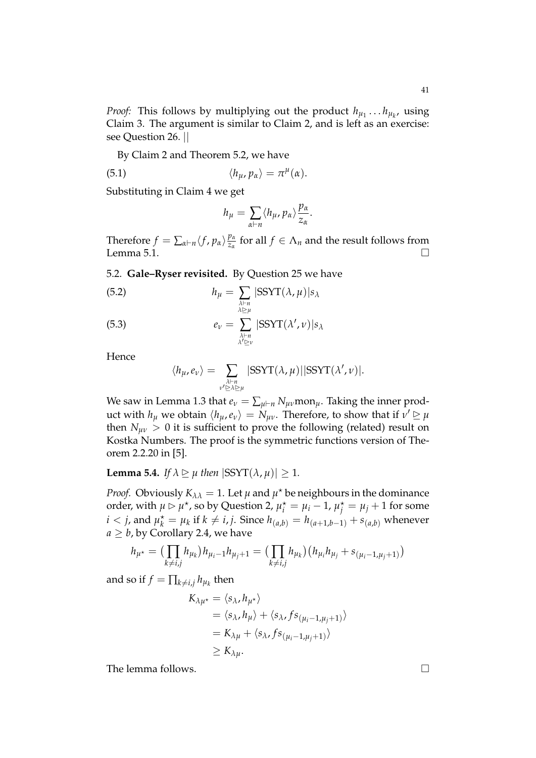*Proof:* This follows by multiplying out the product  $h_{\mu_1} \ldots h_{\mu_k}$ , using Claim 3. The argument is similar to Claim 2, and is left as an exercise: see Question 26. ||

By Claim 2 and Theorem 5.2, we have

(5.1) 
$$
\langle h_{\mu}, p_{\alpha} \rangle = \pi^{\mu}(\alpha).
$$

Substituting in Claim 4 we get

$$
h_{\mu} = \sum_{\alpha \vdash n} \langle h_{\mu}, p_{\alpha} \rangle \frac{p_{\alpha}}{z_{\alpha}}.
$$

Therefore  $f = \sum_{\alpha \vdash n} \langle f, p_{\alpha} \rangle \frac{p_{\alpha}}{z_{\alpha}}$  $\frac{p_\alpha}{z_\alpha}$  for all  $f \in \Lambda_n$  and the result follows from Lemma 5.1.  $\Box$ 

# 5.2. **Gale–Ryser revisited.** By Question 25 we have

(5.2) 
$$
h_{\mu} = \sum_{\substack{\lambda \vdash n \\ \lambda \triangleright \mu}} |\text{SSYT}(\lambda, \mu)| s_{\lambda}
$$

(5.3) 
$$
e_{\nu} = \sum_{\substack{\lambda \vdash n \\ \lambda' \triangleright \nu}} |\text{SSYT}(\lambda', \nu)| s_{\lambda}
$$

Hence

$$
\langle h_{\mu}, e_{\nu} \rangle = \sum_{\substack{\lambda \vdash n \\ \nu' \subseteq \lambda \sqsubseteq \mu}} |\text{SSYT}(\lambda, \mu)| |\text{SSYT}(\lambda', \nu)|.
$$

We saw in Lemma 1.3 that  $e_\nu = \sum_{\mu \vdash n} N_{\mu\nu}$  mon $_\mu$ . Taking the inner product with  $h_\mu$  we obtain  $\langle h_\mu, e_\nu \rangle = N_{\mu\nu}$ . Therefore, to show that if  $\nu' \ge \mu$ then  $N_{\mu\nu} > 0$  it is sufficient to prove the following (related) result on Kostka Numbers. The proof is the symmetric functions version of Theorem 2.2.20 in [5].

**Lemma 5.4.** *If*  $\lambda \geq \mu$  *then*  $|SSYT(\lambda, \mu)| \geq 1$ *.* 

*Proof.* Obviously  $K_{\lambda\lambda} = 1$ . Let  $\mu$  and  $\mu^*$  be neighbours in the dominance order, with  $\mu \rhd \mu^*$ , so by Question 2,  $\mu_i^* = \mu_i - 1$ ,  $\mu_j^* = \mu_j + 1$  for some  $i < j$ , and  $\mu_k^* = \mu_k$  if  $k \neq i, j$ . Since  $h_{(a,b)} = h_{(a+1,b-1)} + s_{(a,b)}$  whenever  $a \geq b$ , by Corollary 2.4, we have

$$
h_{\mu^*} = \left( \prod_{k \neq i,j} h_{\mu_k} \right) h_{\mu_i - 1} h_{\mu_j + 1} = \left( \prod_{k \neq i,j} h_{\mu_k} \right) \left( h_{\mu_i} h_{\mu_j} + s_{(\mu_i - 1, \mu_j + 1)} \right)
$$

and so if  $f = \prod_{k \neq i,j} h_{\mu_k}$  then

$$
K_{\lambda\mu^*} = \langle s_{\lambda}, h_{\mu^*} \rangle
$$
  
=  $\langle s_{\lambda}, h_{\mu} \rangle + \langle s_{\lambda}, fs_{(\mu_i - 1, \mu_j + 1)} \rangle$   
=  $K_{\lambda\mu} + \langle s_{\lambda}, fs_{(\mu_i - 1, \mu_j + 1)} \rangle$   
 $\geq K_{\lambda\mu}.$ 

The lemma follows.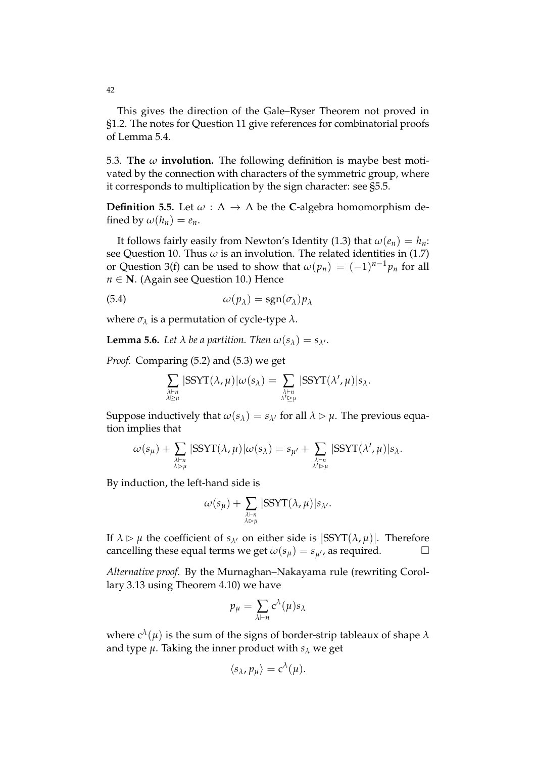This gives the direction of the Gale–Ryser Theorem not proved in §1.2. The notes for Question 11 give references for combinatorial proofs of Lemma 5.4.

5.3. **The** *ω* **involution.** The following definition is maybe best motivated by the connection with characters of the symmetric group, where it corresponds to multiplication by the sign character: see §5.5.

**Definition 5.5.** Let  $\omega : \Lambda \to \Lambda$  be the **C**-algebra homomorphism defined by  $\omega(h_n) = e_n$ .

It follows fairly easily from Newton's Identity (1.3) that  $\omega(e_n) = h_n$ : see Question 10. Thus  $\omega$  is an involution. The related identities in (1.7) or Question 3(f) can be used to show that  $\omega(p_n) = (-1)^{n-1} p_n$  for all *n* ∈ **N**. (Again see Question 10.) Hence

(5.4) 
$$
\omega(p_{\lambda}) = \text{sgn}(\sigma_{\lambda})p_{\lambda}
$$

where  $\sigma_{\lambda}$  is a permutation of cycle-type  $\lambda$ .

**Lemma 5.6.** *Let*  $\lambda$  *be a partition. Then*  $\omega(s_{\lambda}) = s_{\lambda'}$ *.* 

*Proof.* Comparing (5.2) and (5.3) we get

$$
\sum_{\substack{\lambda\vdash n\\\lambda\trianglerighteq\mu}}|\text{SSYT}(\lambda,\mu)|\omega(s_{\lambda})=\sum_{\substack{\lambda\vdash n\\\lambda'\trianglerighteq\mu}}|\text{SSYT}(\lambda',\mu)|s_{\lambda}.
$$

Suppose inductively that  $\omega(s_\lambda) = s_{\lambda'}$  for all  $\lambda \triangleright \mu$ . The previous equation implies that

$$
\omega(s_{\mu}) + \sum_{\substack{\lambda \vdash n \\ \lambda \rhd \mu}} |\text{SSYT}(\lambda, \mu)| \omega(s_{\lambda}) = s_{\mu'} + \sum_{\substack{\lambda \vdash n \\ \lambda' \rhd \mu}} |\text{SSYT}(\lambda', \mu)| s_{\lambda}.
$$

By induction, the left-hand side is

$$
\omega(s_{\mu}) + \sum_{\substack{\lambda \vdash n \\ \lambda \rhd \mu}} |\text{SSYT}(\lambda, \mu)| s_{\lambda'}.
$$

If  $\lambda \triangleright \mu$  the coefficient of  $s_{\lambda}$  on either side is  $|SSYT(\lambda, \mu)|$ . Therefore cancelling these equal terms we get  $\omega(s_u) = s_{u'}$ , as required.

*Alternative proof.* By the Murnaghan–Nakayama rule (rewriting Corollary 3.13 using Theorem 4.10) we have

$$
p_{\mu} = \sum_{\lambda \vdash n} c^{\lambda}(\mu) s_{\lambda}
$$

where  $c^{\lambda}(\mu)$  is the sum of the signs of border-strip tableaux of shape  $\lambda$ and type  $\mu$ . Taking the inner product with  $s_\lambda$  we get

$$
\langle s_{\lambda}, p_{\mu} \rangle = c^{\lambda}(\mu).
$$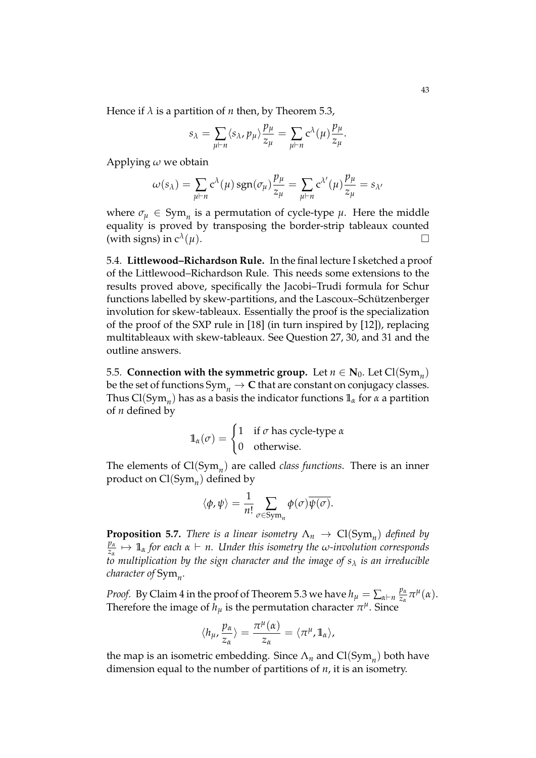Hence if  $\lambda$  is a partition of *n* then, by Theorem 5.3,

$$
s_{\lambda} = \sum_{\mu \vdash n} \langle s_{\lambda}, p_{\mu} \rangle \frac{p_{\mu}}{z_{\mu}} = \sum_{\mu \vdash n} c^{\lambda}(\mu) \frac{p_{\mu}}{z_{\mu}}.
$$

Applying *ω* we obtain

$$
\omega(s_{\lambda}) = \sum_{\mu \vdash n} c^{\lambda}(\mu) \operatorname{sgn}(\sigma_{\mu}) \frac{p_{\mu}}{z_{\mu}} = \sum_{\mu \vdash n} c^{\lambda'}(\mu) \frac{p_{\mu}}{z_{\mu}} = s_{\lambda'}
$$

where  $\sigma_{\mu} \in \text{Sym}_n$  is a permutation of cycle-type  $\mu$ . Here the middle equality is proved by transposing the border-strip tableaux counted (with signs) in  $c^{\lambda}(\mu)$ . (*µ*).

5.4. **Littlewood–Richardson Rule.** In the final lecture I sketched a proof of the Littlewood–Richardson Rule. This needs some extensions to the results proved above, specifically the Jacobi–Trudi formula for Schur functions labelled by skew-partitions, and the Lascoux–Schützenberger involution for skew-tableaux. Essentially the proof is the specialization of the proof of the SXP rule in [18] (in turn inspired by [12]), replacing multitableaux with skew-tableaux. See Question 27, 30, and 31 and the outline answers.

5.5. **Connection with the symmetric group.** Let  $n \in \mathbf{N}_0$ . Let  $\text{Cl}(\text{Sym}_n)$ be the set of functions  $Sym_n \to \mathbb{C}$  that are constant on conjugacy classes. Thus Cl(Sym*<sup>n</sup>* ) has as a basis the indicator functions **1***<sup>α</sup>* for *α* a partition of *n* defined by

$$
\mathbb{1}_{\alpha}(\sigma) = \begin{cases} 1 & \text{if } \sigma \text{ has cycle-type } \alpha \\ 0 & \text{otherwise.} \end{cases}
$$

The elements of Cl(Sym*<sup>n</sup>* ) are called *class functions*. There is an inner product on Cl(Sym*<sup>n</sup>* ) defined by

$$
\langle \phi, \psi \rangle = \frac{1}{n!} \sum_{\sigma \in \text{Sym}_n} \phi(\sigma) \overline{\psi(\sigma)}.
$$

**Proposition 5.7.** *There is a linear isometry*  $\Lambda_n \to \text{Cl}(\text{Sym}_n)$  *defined by pα zα* 7→ **1***<sup>α</sup> for each α* ` *n. Under this isometry the ω-involution corresponds to multiplication by the sign character and the image of s<sup>λ</sup> is an irreducible character of* Sym*<sup>n</sup> .*

*Proof.* By Claim 4 in the proof of Theorem 5.3 we have  $h_\mu = \sum_{\alpha \vdash n} \frac{p_\alpha}{z_\alpha}$  $\frac{p_{\alpha}}{z_{\alpha}}\pi^{\mu}(\alpha).$ Therefore the image of  $h_\mu$  is the permutation character  $\pi^\mu$ . Since

$$
\langle h_{\mu}, \frac{p_{\alpha}}{z_{\alpha}} \rangle = \frac{\pi^{\mu}(\alpha)}{z_{\alpha}} = \langle \pi^{\mu}, \mathbb{1}_{\alpha} \rangle,
$$

the map is an isometric embedding. Since  $\Lambda_n$  and  $\text{Cl}(\text{Sym}_n)$  both have dimension equal to the number of partitions of *n*, it is an isometry.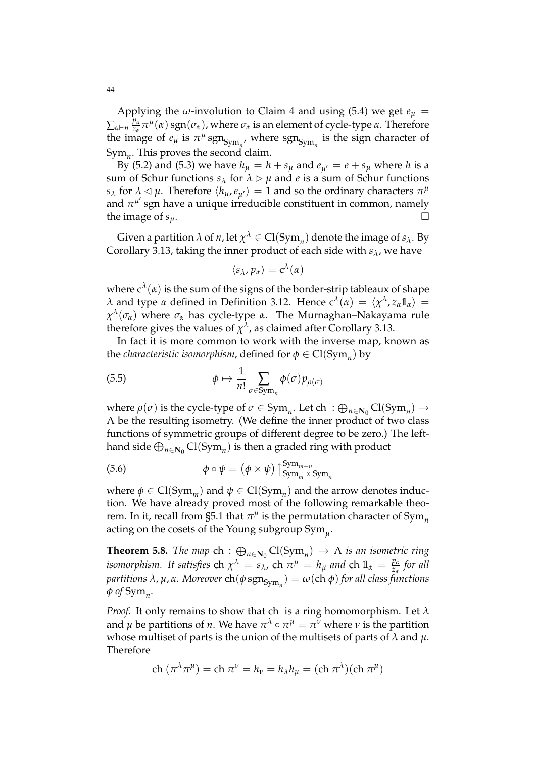Applying the *ω*-involution to Claim 4 and using (5.4) we get  $e_{\mu}$  =  $\sum_{\alpha \vdash n}$ <sup>*p*<sub>α</sub></sup>  $\frac{p_\alpha}{z_\alpha}\pi^\mu(\alpha)$  sgn( $\sigma_\alpha$ ), where  $\sigma_\alpha$  is an element of cycle-type *α*. Therefore the image of  $e_{\mu}$  is  $\pi^{\mu}$  sgn<sub>Sym<sub>n</sub></sub>, where sgn<sub>Sym<sub>n</sub></sub> is the sign character of Sym*<sup>n</sup>* . This proves the second claim.

By (5.2) and (5.3) we have  $h<sub>u</sub> = h + s<sub>u</sub>$  and  $e<sub>u'</sub> = e + s<sub>u</sub>$  where *h* is a sum of Schur functions  $s_\lambda$  for  $\lambda \geq \mu$  and *e* is a sum of Schur functions *s*<sub>*λ*</sub> for  $\lambda \leq \mu$ . Therefore  $\langle h_{\mu}, e_{\mu'} \rangle = 1$  and so the ordinary characters  $\pi^{\mu}$ and  $\pi^{\mu'}$  sgn have a unique irreducible constituent in common, namely  $\overline{a}$ the image of  $s_u$ .

Given a partition  $\lambda$  of  $n$ , let  $\chi^{\lambda} \in \mathrm{Cl}(\mathrm{Sym}_n)$  denote the image of  $s_{\lambda}$ . By Corollary 3.13, taking the inner product of each side with *sλ*, we have

$$
\langle s_{\lambda}, p_{\alpha} \rangle = c^{\lambda}(\alpha)
$$

where  $c^{\lambda}(\alpha)$  is the sum of the signs of the border-strip tableaux of shape *λ* and type *α* defined in Definition 3.12. Hence  $c^{\lambda}$  (*α*) =  $\langle \chi^{\lambda}, z_{\alpha} 1\!1} \rangle$  = *χ λ* (*σα*) where *σ<sup>α</sup>* has cycle-type *α*. The Murnaghan–Nakayama rule therefore gives the values of  $\chi^\lambda$ , as claimed after Corollary 3.13.

In fact it is more common to work with the inverse map, known as the *characteristic isomorphism*, defined for  $\phi \in \text{Cl}(\text{Sym}_n)$  by

(5.5) 
$$
\phi \mapsto \frac{1}{n!} \sum_{\sigma \in \text{Sym}_n} \phi(\sigma) p_{\rho(\sigma)}
$$

where  $\rho(\sigma)$  is the cycle-type of  $\sigma \in \text{Sym}_n$ . Let ch  $\phi : \bigoplus_{n \in \mathbb{N}_0} \text{Cl}(\text{Sym}_n) \to$ Λ be the resulting isometry. (We define the inner product of two class functions of symmetric groups of different degree to be zero.) The lefthand side  $\bigoplus_{n\in\mathbf{N}_0}\mathrm{Cl}(\mathrm{Sym}_n)$  is then a graded ring with product

(5.6) 
$$
\phi \circ \psi = (\phi \times \psi) \uparrow_{\text{Sym}_{m} \times \text{Sym}_{n}}^{\text{Sym}_{m+n}}
$$

where  $\phi \in \text{Cl}(\text{Sym}_m)$  and  $\psi \in \text{Cl}(\text{Sym}_n)$  and the arrow denotes induction. We have already proved most of the following remarkable theorem. In it, recall from §5.1 that  $\pi^\mu$  is the permutation character of  $\mathrm{Sym}_n$ acting on the cosets of the Young subgroup Sym*<sup>µ</sup>* .

**Theorem 5.8.** *The map* ch :  $\bigoplus_{n\in\mathbb{N}_0} Cl(Sym_n) \to \Lambda$  *is an isometric ring isomorphism.* It satisfies ch  $\chi^{\lambda} = s_{\lambda}$ , ch  $\pi^{\mu} = h_{\mu}$  and ch  $\mathbb{1}_{\alpha} = \frac{p_{\alpha}}{z_{\alpha}}$ *zα for all*  $\phi$  *partitions λ, μ, α. Moreover* ch( $\phi$  sgn<sub>Sym<sub>n</sub></sub>) =  $\omega$ (ch  $\phi$ ) for all class functions *φ of* Sym*<sup>n</sup> .*

*Proof.* It only remains to show that ch is a ring homomorphism. Let *λ* and  $\mu$  be partitions of *n*. We have  $\pi^\lambda \circ \pi^\mu = \pi^\nu$  where  $\nu$  is the partition whose multiset of parts is the union of the multisets of parts of *λ* and *µ*. Therefore

ch 
$$
(\pi^{\lambda}\pi^{\mu})
$$
 = ch  $\pi^{\nu} = h_{\nu} = h_{\lambda}h_{\mu} = (\text{ch }\pi^{\lambda})(\text{ch }\pi^{\mu})$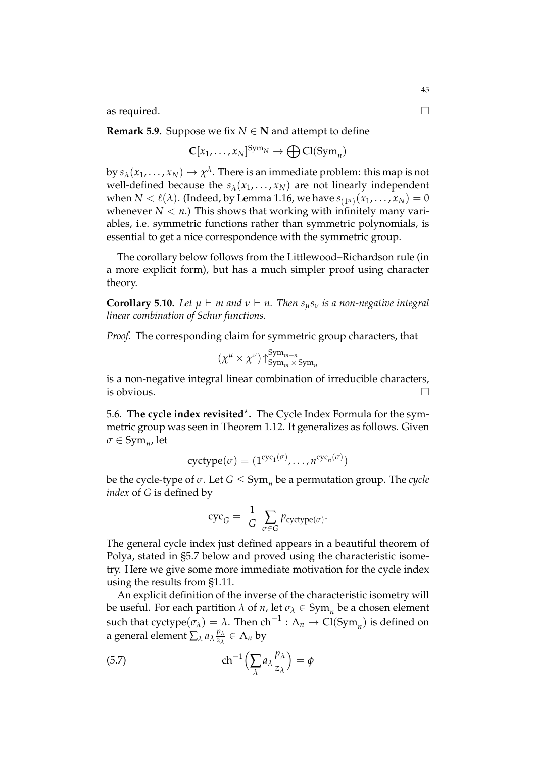as required.

**Remark 5.9.** Suppose we fix  $N \in \mathbb{N}$  and attempt to define

$$
\mathbf{C}[x_1,\ldots,x_N]^{\operatorname{Sym}_N} \to \bigoplus \operatorname{Cl}(\operatorname{Sym}_n)
$$

by  $s_\lambda(x_1,\ldots,x_N)\mapsto \chi^\lambda.$  There is an immediate problem: this map is not well-defined because the  $s_{\lambda}(x_1, \ldots, x_N)$  are not linearly independent when  $N<\ell(\lambda)$ . (Indeed, by Lemma 1.16, we have  $s_{(1^n)}(x_1,\ldots,x_N)=0$ whenever  $N < n$ .) This shows that working with infinitely many variables, i.e. symmetric functions rather than symmetric polynomials, is essential to get a nice correspondence with the symmetric group.

The corollary below follows from the Littlewood–Richardson rule (in a more explicit form), but has a much simpler proof using character theory.

**Corollary 5.10.** Let  $\mu \vdash m$  and  $\nu \vdash n$ . Then  $s_{\mu}s_{\nu}$  is a non-negative integral *linear combination of Schur functions.*

*Proof.* The corresponding claim for symmetric group characters, that

$$
(\chi^{\mu} \times \chi^{\nu}) \uparrow_{\mathrm{Sym}_{m} \times \mathrm{Sym}_{n}}^{\mathrm{Sym}_{m+n}}
$$

is a non-negative integral linear combination of irreducible characters, is obvious.  $\Box$ 

5.6. The cycle index revisited<sup>\*</sup>. The Cycle Index Formula for the symmetric group was seen in Theorem 1.12. It generalizes as follows. Given  $\sigma \in \mathrm{Sym}_{n'}$  let

$$
cyctype(\sigma) = (1^{cyc_1(\sigma)}, \dots, n^{cyc_n(\sigma)})
$$

be the cycle-type of  $\sigma$ . Let  $G \leq \mathrm{Sym}_n$  be a permutation group. The *cycle index* of *G* is defined by

$$
\operatorname{cyc}_G = \frac{1}{|G|} \sum_{\sigma \in G} p_{\operatorname{cyctype}(\sigma)}.
$$

The general cycle index just defined appears in a beautiful theorem of Polya, stated in §5.7 below and proved using the characteristic isometry. Here we give some more immediate motivation for the cycle index using the results from §1.11.

An explicit definition of the inverse of the characteristic isometry will be useful. For each partition  $\lambda$  of  $n$ , let  $\sigma_{\lambda} \in \text{Sym}_n$  be a chosen element such that  $\text{cyctype}(\sigma_{\lambda}) = \lambda$ . Then  $\text{ch}^{-1} : \Lambda_n \to \text{Cl}(\text{Sym}_n)$  is defined on a general element  $\sum_{\lambda} a_{\lambda} \frac{p_{\lambda}}{z_{\lambda}}$  $\frac{p_{\lambda}}{z_{\lambda}} \in \Lambda_n$  by

(5.7) 
$$
\operatorname{ch}^{-1}\left(\sum_{\lambda} a_{\lambda} \frac{p_{\lambda}}{z_{\lambda}}\right) = \phi
$$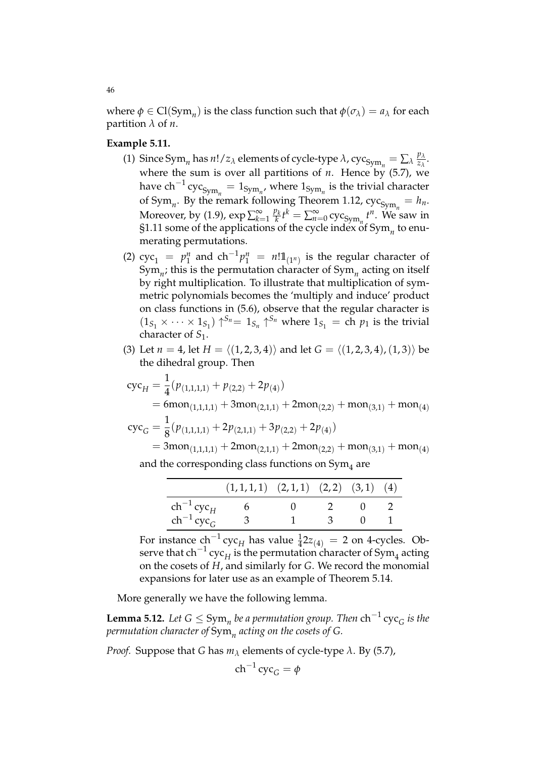where  $\phi \in \text{Cl}(\text{Sym}_n)$  is the class function such that  $\phi(\sigma_\lambda) = a_\lambda$  for each partition  $\lambda$  of *n*.

# **Example 5.11.**

- (1) Since Sym<sub>*n*</sub></sub> has *n*! / *z*<sub>*λ*</sub> elements of cycle-type  $\lambda$ , cyc<sub>Sym<sub>*n*</sub></sub> =  $\sum_{\lambda} \frac{p_{\lambda}}{z_{\lambda}}$  $\frac{P\lambda}{z_\lambda}$ . where the sum is over all partitions of  $n$ . Hence by  $(5.7)$ , we have  $ch^{-1}$   $\mathrm{cyc}_{\mathrm{Sym}_n} = 1_{\mathrm{Sym}_n}$ , where  $1_{\mathrm{Sym}_n}$  is the trivial character of Sym<sub>n</sub>. By the remark following Theorem 1.12,  $\operatorname{cyc}_{\operatorname{Sym}_n} = h_n$ . Moreover, by (1.9), exp ∑ ∞ *k*=1 *pk*  $\sum_{k=0}^{\infty} t^k = \sum_{n=0}^{\infty}$  cyc<sub>Sym<sub>n</sub></sub>  $t^n$ . We saw in §1.11 some of the applications of the cycle index of Sym*<sup>n</sup>* to enumerating permutations.
- (2)  $cyc_1 = p_1^n$  $\int_1^n$  and  $\mathrm{ch}^{-1}p_1^n = n!1\mathbb{1}_{(1^n)}$  is the regular character of Sym*<sup>n</sup>* ; this is the permutation character of Sym*<sup>n</sup>* acting on itself by right multiplication. To illustrate that multiplication of symmetric polynomials becomes the 'multiply and induce' product on class functions in (5.6), observe that the regular character is  $(1_{S_1} \times \cdots \times 1_{S_1})$   $\uparrow^{S_n} = 1_{S_n} \uparrow^{S_n}$  where  $1_{S_1} =$  ch  $p_1$  is the trivial character of *S*1.
- (3) Let  $n = 4$ , let  $H = \langle (1, 2, 3, 4) \rangle$  and let  $G = \langle (1, 2, 3, 4), (1, 3) \rangle$  be the dihedral group. Then

$$
cycH = \frac{1}{4}(p_{(1,1,1,1)} + p_{(2,2)} + 2p_{(4)})
$$
  
= 6mon<sub>(1,1,1,1)</sub> + 3mon<sub>(2,1,1)</sub> + 2mon<sub>(2,2)</sub> + mon<sub>(3,1)</sub> + mon<sub>(4)</sub>  

$$
cycG = \frac{1}{8}(p_{(1,1,1,1)} + 2p_{(2,1,1)} + 3p_{(2,2)} + 2p_{(4)})
$$
  
= 3mon<sub>(1,1,1,1)</sub> + 2mon<sub>(2,1,1)</sub> + 2mon<sub>(2,2)</sub> + mon<sub>(3,1)</sub> + mon<sub>(4)</sub>  
and the corresponding class functions on Sym<sub>4</sub> are

|                          | $(1,1,1,1)$ $(2,1,1)$ $(2,2)$ $(3,1)$ $(4)$ |      |  |
|--------------------------|---------------------------------------------|------|--|
| $\ch^{-1}\mathrm{cyc}_H$ |                                             |      |  |
| $ch^{-1}cyc_G$           | 3                                           | - 3- |  |

For instance  $ch^{-1}$  cyc<sub>H</sub> has value  $\frac{1}{4}$ 2 $z_{(4)} = 2$  on 4-cycles. Observe that ch<sup>-1</sup> cyc<sub>H</sub> is the permutation character of Sym<sub>4</sub> acting on the cosets of *H*, and similarly for *G*. We record the monomial expansions for later use as an example of Theorem 5.14.

More generally we have the following lemma.

**Lemma 5.12.** Let  $G$  ≤  $Sym_n$  be a permutation group. Then  $\text{ch}^{-1}\text{cyc}_G$  is the *permutation character of* Sym*<sup>n</sup> acting on the cosets of G.*

*Proof.* Suppose that *G* has  $m_\lambda$  elements of cycle-type  $\lambda$ . By (5.7),

$$
\mathrm{ch}^{-1}\mathrm{cyc}_G = \phi
$$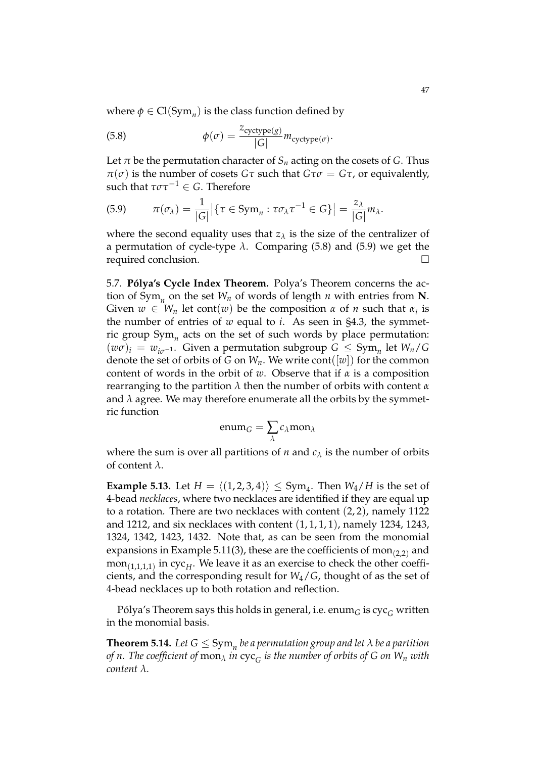where  $\phi \in \text{Cl}(\text{Sym}_n)$  is the class function defined by

(5.8) 
$$
\phi(\sigma) = \frac{z_{\text{cyctype}(g)}}{|G|} m_{\text{cyctype}(\sigma)}.
$$

Let  $\pi$  be the permutation character of  $S_n$  acting on the cosets of *G*. Thus  $\pi(\sigma)$  is the number of cosets *Gτ* such that *Gτ* $\sigma$  = *Gτ*, or equivalently, such that  $\tau \sigma \tau^{-1} \in G$ . Therefore

$$
(5.9) \qquad \pi(\sigma_{\lambda}) = \frac{1}{|G|} \big| \{ \tau \in \mathrm{Sym}_n : \tau \sigma_{\lambda} \tau^{-1} \in G \} \big| = \frac{z_{\lambda}}{|G|} m_{\lambda}.
$$

where the second equality uses that  $z_{\lambda}$  is the size of the centralizer of a permutation of cycle-type *λ*. Comparing (5.8) and (5.9) we get the required conclusion.

5.7. **Pólya's Cycle Index Theorem.** Polya's Theorem concerns the action of Sym*<sup>n</sup>* on the set *W<sup>n</sup>* of words of length *n* with entries from **N**. Given  $w \in W_n$  let cont $(w)$  be the composition  $\alpha$  of  $n$  such that  $\alpha_i$  is the number of entries of *w* equal to *i*. As seen in §4.3, the symmetric group Sym*<sup>n</sup>* acts on the set of such words by place permutation:  $(w\sigma)_i = w_{i\sigma^{-1}}$ . Given a permutation subgroup  $G \leq Sym_n$  let  $W_n/G$ denote the set of orbits of *G* on  $W_n$ . We write cont([*w*]) for the common content of words in the orbit of *w*. Observe that if *α* is a composition rearranging to the partition *λ* then the number of orbits with content *α* and  $\lambda$  agree. We may therefore enumerate all the orbits by the symmetric function

$$
enum_G = \sum_{\lambda} c_{\lambda} \text{mon}_{\lambda}
$$

where the sum is over all partitions of *n* and  $c_{\lambda}$  is the number of orbits of content *λ*.

**Example 5.13.** Let  $H = \langle (1, 2, 3, 4) \rangle \le \text{Sym}_4$ . Then  $W_4/H$  is the set of 4-bead *necklaces*, where two necklaces are identified if they are equal up to a rotation. There are two necklaces with content (2, 2), namely 1122 and 1212, and six necklaces with content  $(1, 1, 1, 1)$ , namely 1234, 1243, 1324, 1342, 1423, 1432. Note that, as can be seen from the monomial expansions in Example 5.11(3), these are the coefficients of  $\text{mon}_{(2,2)}$  and mon(1,1,1,1) in cyc*<sup>H</sup>* . We leave it as an exercise to check the other coefficients, and the corresponding result for *W*4/*G*, thought of as the set of 4-bead necklaces up to both rotation and reflection.

Pólya's Theorem says this holds in general, i.e. enum<sub> $G$ </sub> is cyc<sub> $G$ </sub> written in the monomial basis.

**Theorem 5.14.** Let  $G \le \mathrm{Sym}_n$  be a permutation group and let  $\lambda$  be a partition *of n. The coefficient of* mon*<sup>λ</sup> in* cyc*<sup>G</sup> is the number of orbits of G on W<sup>n</sup> with content λ.*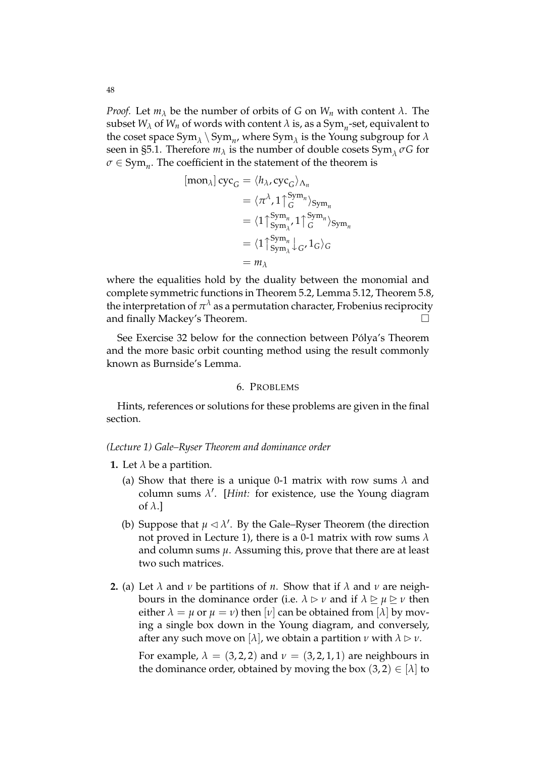*Proof.* Let  $m_\lambda$  be the number of orbits of *G* on  $W_n$  with content  $\lambda$ . The subset  $W_{\lambda}$  of  $W_n$  of words with content  $\lambda$  is, as a  $\mathrm{Sym}_n$ -set, equivalent to the coset space  $Sym_\lambda \setminus Sym_n$ , where  $Sym_\lambda$  is the Young subgroup for  $\lambda$ seen in §5.1. Therefore  $m_{\lambda}$  is the number of double cosets Sym<sub> $\lambda$ </sub>  $\sigma$ *G* for  $\sigma \in \mathrm{Sym}_n$ . The coefficient in the statement of the theorem is

$$
[\text{mon}_{\lambda}] \operatorname{cyc}_{G} = \langle h_{\lambda}, \operatorname{cyc}_{G} \rangle_{\Lambda_{n}}
$$
  
\n
$$
= \langle \pi^{\lambda}, 1 \uparrow_{G}^{\operatorname{Sym}_{n}} \rangle_{\operatorname{Sym}_{n}}
$$
  
\n
$$
= \langle 1 \uparrow_{\operatorname{Sym}_{\lambda}}^{\operatorname{Sym}_{n}}, 1 \uparrow_{G}^{\operatorname{Sym}_{n}} \rangle_{\operatorname{Sym}_{n}}
$$
  
\n
$$
= \langle 1 \uparrow_{\operatorname{Sym}_{\lambda}}^{\operatorname{Sym}_{n}} \downarrow_{G}, 1_{G} \rangle_{G}
$$
  
\n
$$
= m_{\lambda}
$$

where the equalities hold by the duality between the monomial and complete symmetric functions in Theorem 5.2, Lemma 5.12, Theorem 5.8, the interpretation of  $\pi^\lambda$  as a permutation character, Frobenius reciprocity and finally Mackey's Theorem.

See Exercise 32 below for the connection between Pólya's Theorem and the more basic orbit counting method using the result commonly known as Burnside's Lemma.

## 6. PROBLEMS

Hints, references or solutions for these problems are given in the final section.

#### *(Lecture 1) Gale–Ryser Theorem and dominance order*

- **1.** Let  $\lambda$  be a partition.
	- (a) Show that there is a unique 0-1 matrix with row sums *λ* and column sums  $\lambda'$ . [*Hint*: for existence, use the Young diagram of *λ*.]
	- (b) Suppose that  $\mu \lhd \lambda'$ . By the Gale–Ryser Theorem (the direction not proved in Lecture 1), there is a 0-1 matrix with row sums *λ* and column sums  $\mu$ . Assuming this, prove that there are at least two such matrices.
- **2.** (a) Let  $\lambda$  and  $\nu$  be partitions of *n*. Show that if  $\lambda$  and  $\nu$  are neighbours in the dominance order (i.e.  $\lambda \triangleright \nu$  and if  $\lambda \triangleright \mu \triangleright \nu$  then either  $\lambda = \mu$  or  $\mu = \nu$ ) then  $[\nu]$  can be obtained from  $[\lambda]$  by moving a single box down in the Young diagram, and conversely, after any such move on  $[\lambda]$ , we obtain a partition  $\nu$  with  $\lambda \triangleright \nu$ .

For example,  $\lambda = (3, 2, 2)$  and  $\nu = (3, 2, 1, 1)$  are neighbours in the dominance order, obtained by moving the box  $(3, 2) \in [\lambda]$  to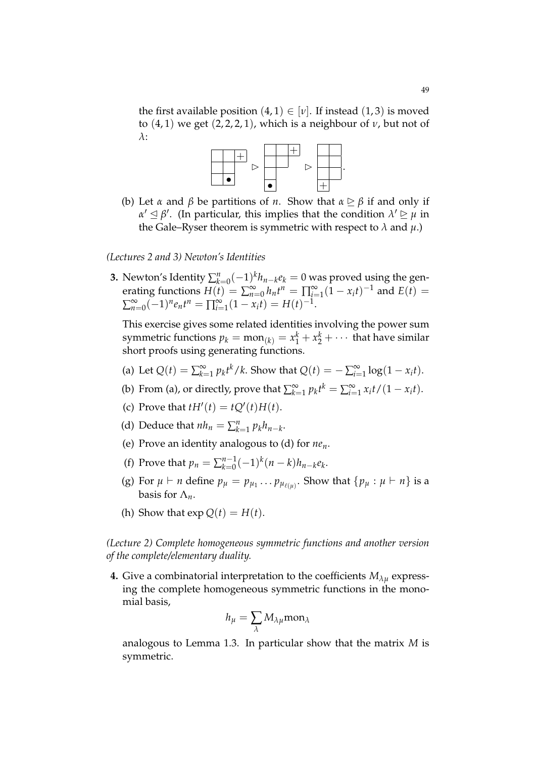the first available position  $(4, 1) \in [v]$ . If instead  $(1, 3)$  is moved to  $(4, 1)$  we get  $(2, 2, 2, 1)$ , which is a neighbour of  $\nu$ , but not of *λ*:



(b) Let *α* and *β* be partitions of *n*. Show that  $\alpha \geq \beta$  if and only if  $\alpha' \leq \beta'$ . (In particular, this implies that the condition  $\lambda' \geq \mu$  in the Gale–Ryser theorem is symmetric with respect to  $\lambda$  and  $\mu$ .)

### *(Lectures 2 and 3) Newton's Identities*

**3.** Newton's Identity  $\sum_{k=0}^{n}(-1)^{k}h_{n-k}e_{k} = 0$  was proved using the generating functions  $H(t) = \sum_{n=0}^{\infty} h_n t^n = \prod_{j=1}^{\infty} (1 - x_i t)^{-1}$  and  $E(t) =$  $\sum_{n=0}^{\infty} (-1)^n e_n t^n = \prod_{i=1}^{\infty} (1 - x_i t) = H(t)^{-1}.$ 

This exercise gives some related identities involving the power sum symmetric functions  $p_k = \text{mon}_{(k)} = x_1^k + x_2^k + \cdots$  that have similar short proofs using generating functions.

- (a) Let  $Q(t) = \sum_{k=1}^{\infty} p_k t^k / k$ . Show that  $Q(t) = -\sum_{i=1}^{\infty} \log(1 x_i t)$ .
- (b) From (a), or directly, prove that  $\sum_{k=1}^{\infty} p_k t^k = \sum_{i=1}^{\infty} x_i t / (1 x_i t)$ .
- (c) Prove that  $tH'(t) = tQ'(t)H(t)$ .
- (d) Deduce that  $nh_n = \sum_{k=1}^n p_k h_{n-k}$ .
- (e) Prove an identity analogous to (d) for *nen*.
- (f) Prove that  $p_n = \sum_{k=0}^{n-1}$  ${}_{k=0}^{n-1}(-1)^{k}(n-k)h_{n-k}e_{k}$
- (g) For  $\mu \vdash n$  define  $p_{\mu} = p_{\mu_1} \dots p_{\mu_{\ell(\mu)}}$ . Show that  $\{p_{\mu} : \mu \vdash n\}$  is a basis for  $\Lambda_n$ .
- (h) Show that  $\exp Q(t) = H(t)$ .

# *(Lecture 2) Complete homogeneous symmetric functions and another version of the complete/elementary duality.*

**4.** Give a combinatorial interpretation to the coefficients  $M_{\lambda u}$  expressing the complete homogeneous symmetric functions in the monomial basis,

$$
h_\mu = \sum_\lambda M_{\lambda\mu} \text{mon}_\lambda
$$

analogous to Lemma 1.3. In particular show that the matrix *M* is symmetric.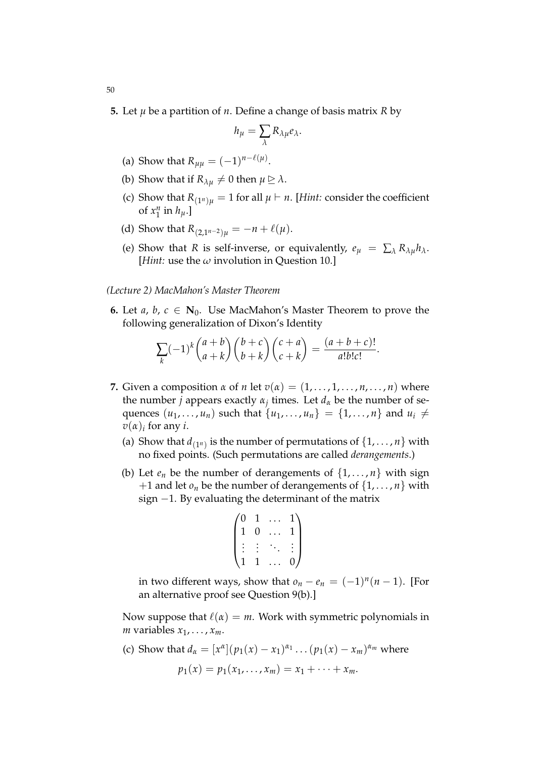**5.** Let *µ* be a partition of *n*. Define a change of basis matrix *R* by

$$
h_{\mu} = \sum_{\lambda} R_{\lambda\mu} e_{\lambda}.
$$

- (a) Show that  $R_{\mu\mu} = (-1)^{n-\ell(\mu)}$ .
- (b) Show that if  $R_{\lambda\mu} \neq 0$  then  $\mu \geq \lambda$ .
- (c) Show that  $R_{(1^n)\mu} = 1$  for all  $\mu \vdash n$ . [*Hint:* consider the coefficient of  $x_1^n$  $\frac{n}{1}$  in  $h_\mu$ .]
- (d) Show that  $R_{(2,1^{n-2})\mu} = -n + \ell(\mu)$ .
- (e) Show that *R* is self-inverse, or equivalently,  $e_{\mu} = \sum_{\lambda} R_{\lambda \mu} h_{\lambda}$ . [*Hint:* use the *ω* involution in Question 10.]

# *(Lecture 2) MacMahon's Master Theorem*

**6.** Let *a*, *b*,  $c \in \mathbb{N}_0$ . Use MacMahon's Master Theorem to prove the following generalization of Dixon's Identity

$$
\sum_{k} (-1)^{k} {a+b \choose a+k} {b+c \choose b+k} {c+a \choose c+k} = \frac{(a+b+c)!}{a!b!c!}.
$$

- **7.** Given a composition  $\alpha$  of  $n$  let  $v(\alpha) = (1, \dots, 1, \dots, n, \dots, n)$  where the number *j* appears exactly *α<sup>j</sup>* times. Let *d<sup>α</sup>* be the number of sequences  $(u_1, ..., u_n)$  such that  $\{u_1, ..., u_n\} = \{1, ..., n\}$  and  $u_i \neq$  $v(\alpha)_i$  for any *i*.
	- (a) Show that  $d_{(1^n)}$  is the number of permutations of  $\{1, \ldots, n\}$  with no fixed points. (Such permutations are called *derangements*.)
	- (b) Let  $e_n$  be the number of derangements of  $\{1,\ldots,n\}$  with sign  $+1$  and let  $o_n$  be the number of derangements of  $\{1,\ldots,n\}$  with sign −1. By evaluating the determinant of the matrix

$$
\begin{pmatrix} 0 & 1 & \dots & 1 \\ 1 & 0 & \dots & 1 \\ \vdots & \vdots & \ddots & \vdots \\ 1 & 1 & \dots & 0 \end{pmatrix}
$$

in two different ways, show that  $o_n - e_n = (-1)^n (n-1)$ . [For an alternative proof see Question 9(b).]

Now suppose that  $\ell(\alpha) = m$ . Work with symmetric polynomials in *m* variables  $x_1, \ldots, x_m$ .

(c) Show that  $d_{\alpha} = [x^{\alpha}](p_1(x) - x_1)^{\alpha_1} \dots (p_1(x) - x_m)^{\alpha_m}$  where  $p_1(x) = p_1(x_1, \ldots, x_m) = x_1 + \cdots + x_m.$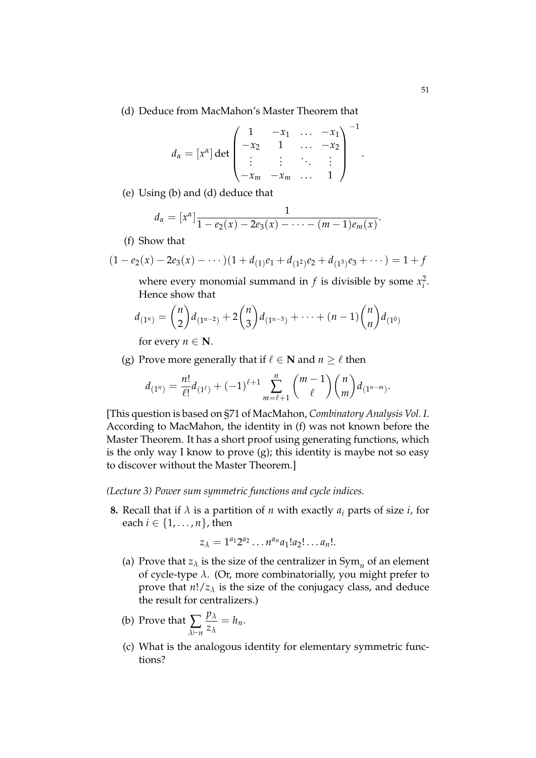(d) Deduce from MacMahon's Master Theorem that

$$
d_{\alpha} = [x^{\alpha}] \det \begin{pmatrix} 1 & -x_1 & \dots & -x_1 \\ -x_2 & 1 & \dots & -x_2 \\ \vdots & \vdots & \ddots & \vdots \\ -x_m & -x_m & \dots & 1 \end{pmatrix}^{-1}
$$

(e) Using (b) and (d) deduce that

$$
d_{\alpha}=[x^{\alpha}] \frac{1}{1-e_2(x)-2e_3(x)-\cdots-(m-1)e_m(x)}.
$$

(f) Show that

$$
(1 - e_2(x) - 2e_3(x) - \cdots)(1 + d_{(1)}e_1 + d_{(1^2)}e_2 + d_{(1^3)}e_3 + \cdots) = 1 + f
$$

where every monomial summand in  $f$  is divisible by some  $x_i^2$ . Hence show that

$$
d_{(1^n)} = \binom{n}{2} d_{(1^{n-2})} + 2\binom{n}{3} d_{(1^{n-3})} + \cdots + (n-1)\binom{n}{n} d_{(1^0)}
$$

for every  $n \in \mathbb{N}$ .

(g) Prove more generally that if  $\ell \in \mathbb{N}$  and  $n > \ell$  then

$$
d_{(1^n)} = \frac{n!}{\ell!}d_{(1^{\ell})} + (-1)^{\ell+1} \sum_{m=\ell+1}^n \binom{m-1}{\ell}\binom{n}{m}d_{(1^{n-m})}.
$$

[This question is based on §71 of MacMahon, *Combinatory Analysis Vol. I*. According to MacMahon, the identity in (f) was not known before the Master Theorem. It has a short proof using generating functions, which is the only way I know to prove (g); this identity is maybe not so easy to discover without the Master Theorem.]

# *(Lecture 3) Power sum symmetric functions and cycle indices.*

**8.** Recall that if  $\lambda$  is a partition of *n* with exactly  $a_i$  parts of size *i*, for each  $i \in \{1, \ldots, n\}$ , then

$$
z_{\lambda} = 1^{a_1} 2^{a_2} \dots n^{a_n} a_1! a_2! \dots a_n!
$$

- (a) Prove that  $z_{\lambda}$  is the size of the centralizer in  $Sym_n$  of an element of cycle-type *λ*. (Or, more combinatorially, you might prefer to prove that  $n!/z_\lambda$  is the size of the conjugacy class, and deduce the result for centralizers.)
- (b) Prove that  $\sum$ *λ*`*n pλ zλ*  $= h_n$ .
- (c) What is the analogous identity for elementary symmetric functions?

.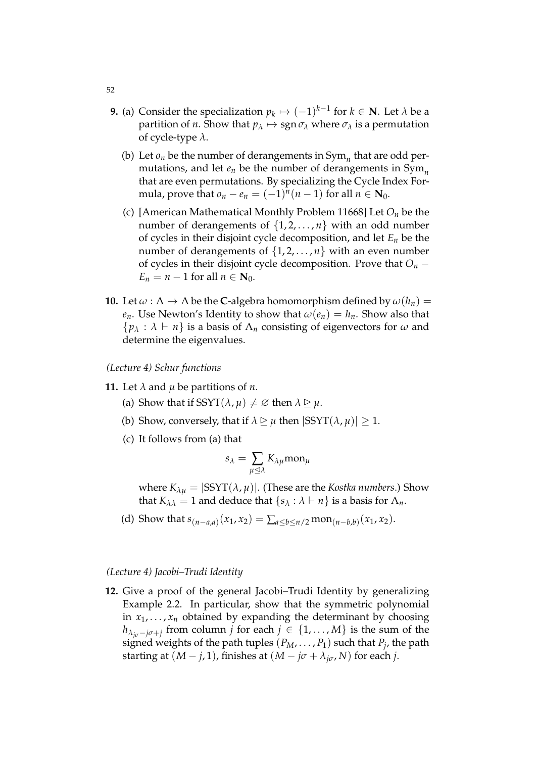- **9.** (a) Consider the specialization  $p_k \mapsto (-1)^{k-1}$  for  $k \in \mathbb{N}$ . Let  $\lambda$  be a partition of *n*. Show that  $p_{\lambda} \mapsto \text{sgn} \sigma_{\lambda}$  where  $\sigma_{\lambda}$  is a permutation of cycle-type *λ*.
	- (b) Let  $o_n$  be the number of derangements in  $Sym_n$  that are odd permutations, and let *e<sup>n</sup>* be the number of derangements in Sym*<sup>n</sup>* that are even permutations. By specializing the Cycle Index Formula, prove that  $o_n - e_n = (-1)^n (n-1)$  for all  $n \in \mathbb{N}_0$ .
	- (c) [American Mathematical Monthly Problem 11668] Let *O<sup>n</sup>* be the number of derangements of  $\{1, 2, \ldots, n\}$  with an odd number of cycles in their disjoint cycle decomposition, and let *E<sup>n</sup>* be the number of derangements of  $\{1, 2, \ldots, n\}$  with an even number of cycles in their disjoint cycle decomposition. Prove that  $O_n$  −  $E_n = n - 1$  for all  $n \in \mathbb{N}_0$ .
- **10.** Let  $\omega : \Lambda \to \Lambda$  be the **C**-algebra homomorphism defined by  $\omega(h_n)$  = *e*<sup>*n*</sup>. Use Newton's Identity to show that  $\omega(e_n) = h_n$ . Show also that  ${p_\lambda : \lambda \vdash n}$  is a basis of  $\Lambda_n$  consisting of eigenvectors for  $\omega$  and determine the eigenvalues.

*(Lecture 4) Schur functions*

- **11.** Let  $\lambda$  and  $\mu$  be partitions of  $n$ .
	- (a) Show that if SSYT( $\lambda$ ,  $\mu$ )  $\neq \emptyset$  then  $\lambda \geq \mu$ .
	- (b) Show, conversely, that if  $\lambda \geq \mu$  then  $|SSYT(\lambda, \mu)| > 1$ .
	- (c) It follows from (a) that

$$
s_\lambda = \sum_{\mu \unlhd \lambda} K_{\lambda \mu} \text{mon}_{\mu}
$$

where  $K_{\lambda u} = |SSYT(\lambda, \mu)|$ . (These are the *Kostka numbers*.) Show that *K*<sub> $\lambda \lambda$ </sub> = 1 and deduce that  $\{s_{\lambda} : \lambda \vdash n\}$  is a basis for  $\Lambda_n$ .

(d) Show that  $s_{(n-a,a)}(x_1, x_2) = \sum_{a \le b \le n/2} \text{mon}_{(n-b,b)}(x_1, x_2)$ .

#### *(Lecture 4) Jacobi–Trudi Identity*

**12.** Give a proof of the general Jacobi–Trudi Identity by generalizing Example 2.2. In particular, show that the symmetric polynomial in  $x_1, \ldots, x_n$  obtained by expanding the determinant by choosing *h*<sub> $\lambda$ *<sub><i>jσ*</sub>−*jσ*+*j*</sub> from column *j* for each *j* ∈ {1,..., *M*} is the sum of the</sub> signed weights of the path tuples  $(P_M, \ldots, P_1)$  such that  $P_j$ , the path starting at  $(M - j, 1)$ , finishes at  $(M - j\sigma + \lambda_{j\sigma}, N)$  for each *j*.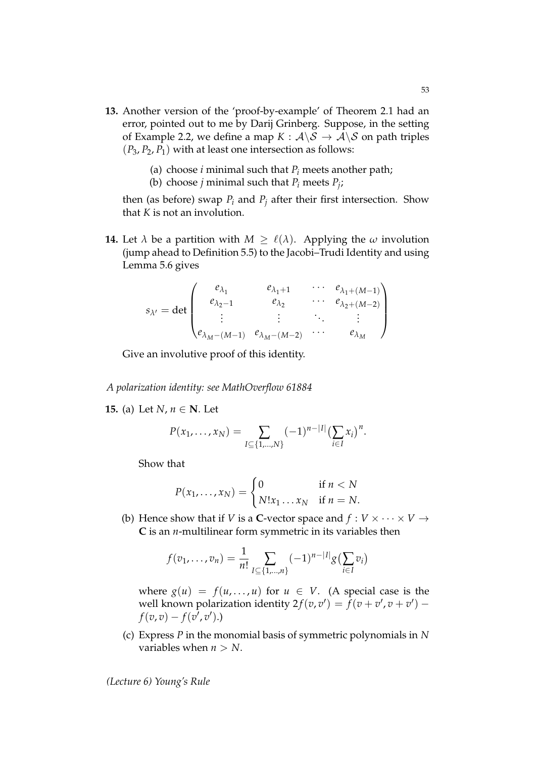- **13.** Another version of the 'proof-by-example' of Theorem 2.1 had an error, pointed out to me by Darij Grinberg. Suppose, in the setting of Example 2.2, we define a map  $K : \mathcal{A} \backslash \mathcal{S} \to \mathcal{A} \backslash \mathcal{S}$  on path triples  $(P_3, P_2, P_1)$  with at least one intersection as follows:
	- (a) choose *i* minimal such that  $P_i$  meets another path;
	- (b) choose *j* minimal such that  $P_i$  meets  $P_j$ ;

then (as before) swap  $P_i$  and  $P_j$  after their first intersection. Show that *K* is not an involution.

**14.** Let  $\lambda$  be a partition with  $M \geq \ell(\lambda)$ . Applying the  $\omega$  involution (jump ahead to Definition 5.5) to the Jacobi–Trudi Identity and using Lemma 5.6 gives

$$
s_{\lambda'} = \det \begin{pmatrix} e_{\lambda_1} & e_{\lambda_1+1} & \cdots & e_{\lambda_1+(M-1)} \\ e_{\lambda_2-1} & e_{\lambda_2} & \cdots & e_{\lambda_2+(M-2)} \\ \vdots & \vdots & \ddots & \vdots \\ e_{\lambda_M-(M-1)} & e_{\lambda_M-(M-2)} & \cdots & e_{\lambda_M} \end{pmatrix}
$$

Give an involutive proof of this identity.

*A polarization identity: see MathOverflow 61884*

**15.** (a) Let *N*, *n* ∈ **N**. Let

$$
P(x_1,...,x_N) = \sum_{I \subseteq \{1,...,N\}} (-1)^{n-|I|} \left(\sum_{i \in I} x_i\right)^n.
$$

Show that

$$
P(x_1,\ldots,x_N)=\begin{cases}0 & \text{if } n < N\\ N!x_1\ldots x_N & \text{if } n = N.\end{cases}
$$

(b) Hence show that if *V* is a **C**-vector space and  $f: V \times \cdots \times V \rightarrow$ **C** is an *n*-multilinear form symmetric in its variables then

$$
f(v_1,\ldots,v_n)=\frac{1}{n!}\sum_{I\subseteq\{1,\ldots,n\}}(-1)^{n-|I|}g(\sum_{i\in I}v_i)
$$

where  $g(u) = f(u, \ldots, u)$  for  $u \in V$ . (A special case is the well known polarization identity  $2f(v, v') = \overline{f}(v + v', v + v')$  $f(v,v)-f(v^{\tilde{\prime}},v^{\prime}).$ 

(c) Express *P* in the monomial basis of symmetric polynomials in *N* variables when  $n > N$ .

*(Lecture 6) Young's Rule*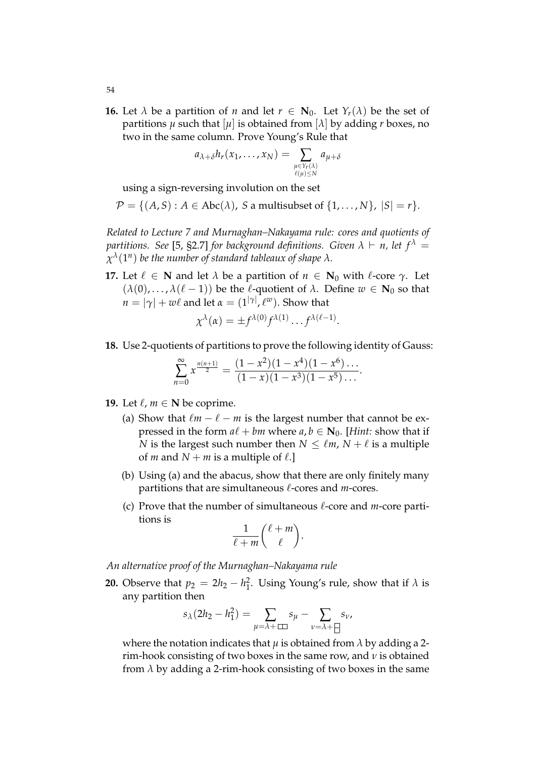**16.** Let  $\lambda$  be a partition of *n* and let  $r \in \mathbb{N}_0$ . Let  $Y_r(\lambda)$  be the set of partitions  $\mu$  such that  $[\mu]$  is obtained from  $[\lambda]$  by adding  $r$  boxes, no two in the same column. Prove Young's Rule that

$$
a_{\lambda+\delta}h_r(x_1,\ldots,x_N)=\sum_{\substack{\mu\in Y_r(\lambda)\\ \ell(\mu)\leq N}}a_{\mu+\delta}
$$

using a sign-reversing involution on the set

$$
\mathcal{P} = \{ (A, S) : A \in \text{Abc}(\lambda), S \text{ a multisubset of } \{1, \ldots, N\}, |S| = r \}.
$$

*Related to Lecture 7 and Murnaghan–Nakayama rule: cores and quotients of partitions. See* [5, §2.7] *for background definitions. Given*  $\lambda \vdash n$ *, let*  $f^{\lambda}$  =  $\chi^\lambda(1^n)$  be the number of standard tableaux of shape  $\lambda.$ 

**17.** Let  $\ell \in \mathbb{N}$  and let  $\lambda$  be a partition of  $n \in \mathbb{N}_0$  with  $\ell$ -core  $\gamma$ . Let  $(\lambda(0), \ldots, \lambda(\ell - 1))$  be the  $\ell$ -quotient of  $\lambda$ . Define  $w \in N_0$  so that  $n = |\gamma| + w\ell$  and let  $\alpha = (1^{|\gamma|}, \ell^w).$  Show that

$$
\chi^{\lambda}(\alpha) = \pm f^{\lambda(0)} f^{\lambda(1)} \dots f^{\lambda(\ell-1)}.
$$

**18.** Use 2-quotients of partitions to prove the following identity of Gauss:

$$
\sum_{n=0}^{\infty} x^{\frac{n(n+1)}{2}} = \frac{(1-x^2)(1-x^4)(1-x^6)\dots}{(1-x)(1-x^3)(1-x^5)\dots}.
$$

- **19.** Let  $\ell$ ,  $m \in \mathbb{N}$  be coprime.
	- (a) Show that  $\ell m \ell m$  is the largest number that cannot be expressed in the form  $a\ell + bm$  where  $a, b \in \mathbb{N}_0$ . [*Hint:* show that if *N* is the largest such number then  $N \leq \ell m$ ,  $N + \ell$  is a multiple of *m* and  $N + m$  is a multiple of  $\ell$ .]
	- (b) Using (a) and the abacus, show that there are only finitely many partitions that are simultaneous  $\ell$ -cores and *m*-cores.
	- (c) Prove that the number of simultaneous  $\ell$ -core and *m*-core partitions is

$$
\frac{1}{\ell+m}\binom{\ell+m}{\ell}.
$$

*An alternative proof of the Murnaghan–Nakayama rule*

**20.** Observe that  $p_2 = 2h_2 - h_1^2$ . Using Young's rule, show that if  $\lambda$  is any partition then

$$
s_{\lambda}(2h_2 - h_1^2) = \sum_{\mu = \lambda + \square} s_{\mu} - \sum_{\nu = \lambda + \square} s_{\nu},
$$

where the notation indicates that  $\mu$  is obtained from  $\lambda$  by adding a 2rim-hook consisting of two boxes in the same row, and *ν* is obtained from  $\lambda$  by adding a 2-rim-hook consisting of two boxes in the same

54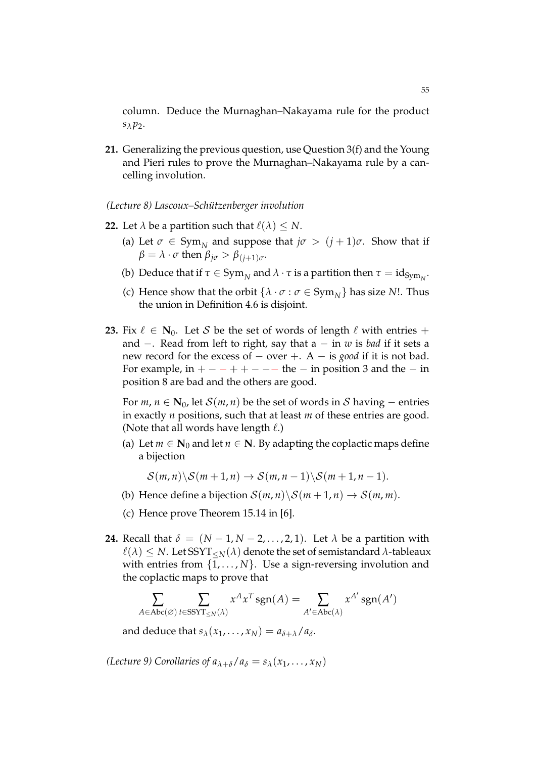column. Deduce the Murnaghan–Nakayama rule for the product  $s_\lambda p_2$ .

- **21.** Generalizing the previous question, use Question 3(f) and the Young and Pieri rules to prove the Murnaghan–Nakayama rule by a cancelling involution.
- *(Lecture 8) Lascoux–Sch ¨utzenberger involution*
- **22.** Let  $\lambda$  be a partition such that  $\ell(\lambda) \leq N$ .
	- (a) Let  $\sigma \in \text{Sym}_N$  and suppose that  $j\sigma > (j+1)\sigma$ . Show that if  $\beta = \lambda \cdot \sigma$  then  $\beta_{j\sigma} > \beta_{(j+1)\sigma}$ .
	- (b) Deduce that if  $\tau \in \mathrm{Sym}_N$  and  $\lambda \cdot \tau$  is a partition then  $\tau = \mathrm{id}_{\mathrm{Sym}_N}$ .
	- (c) Hence show that the orbit  $\{\lambda \cdot \sigma : \sigma \in \text{Sym}_{N}\}\)$  has size *N*!. Thus the union in Definition 4.6 is disjoint.
- **23.** Fix  $\ell \in \mathbb{N}_0$ . Let S be the set of words of length  $\ell$  with entries + and −. Read from left to right, say that a − in *w* is *bad* if it sets a new record for the excess of − over +. A − is *good* if it is not bad. For example, in  $+ - - + + - - -$  the  $-$  in position 3 and the  $-$  in position 8 are bad and the others are good.

For  $m, n \in \mathbb{N}_0$ , let  $\mathcal{S}(m, n)$  be the set of words in  $\mathcal{S}$  having – entries in exactly *n* positions, such that at least *m* of these entries are good. (Note that all words have length  $\ell$ .)

(a) Let  $m \in \mathbb{N}_0$  and let  $n \in \mathbb{N}$ . By adapting the coplactic maps define a bijection

$$
\mathcal{S}(m,n)\backslash \mathcal{S}(m+1,n)\rightarrow \mathcal{S}(m,n-1)\backslash \mathcal{S}(m+1,n-1).
$$

- (b) Hence define a bijection  $S(m, n) \setminus S(m + 1, n) \rightarrow S(m, m)$ .
- (c) Hence prove Theorem 15.14 in [6].
- **24.** Recall that  $\delta = (N-1, N-2, \ldots, 2, 1)$ . Let  $\lambda$  be a partition with  $\ell(\lambda) \leq N$ . Let SSYT<sub><*N*</sub>( $\lambda$ ) denote the set of semistandard  $\lambda$ -tableaux with entries from  $\{1, \ldots, N\}$ . Use a sign-reversing involution and the coplactic maps to prove that

$$
\sum_{A \in \text{Abc}(\varnothing)} \sum_{t \in \text{SSYT}_{\leq N}(\lambda)} x^A x^T \, \text{sgn}(A) = \sum_{A' \in \text{Abc}(\lambda)} x^{A'} \, \text{sgn}(A')
$$

and deduce that  $s_\lambda(x_1, \ldots, x_N) = a_{\delta + \lambda}/a_\delta$ .

*(Lecture 9)* Corollaries of  $a_{\lambda+\delta}/a_{\delta} = s_{\lambda}(x_1, \ldots, x_N)$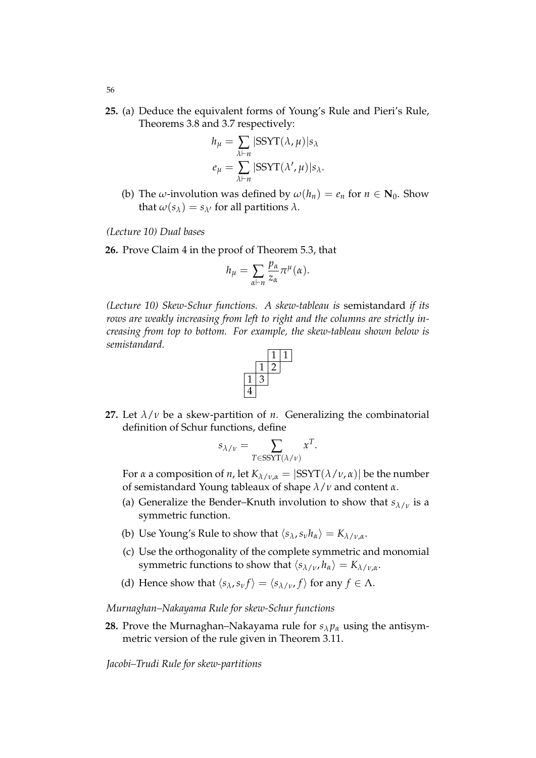**25.** (a) Deduce the equivalent forms of Young's Rule and Pieri's Rule, Theorems 3.8 and 3.7 respectively:

$$
h_{\mu} = \sum_{\lambda \vdash n} |SSYT(\lambda, \mu)|s_{\lambda}
$$

$$
e_{\mu} = \sum_{\lambda \vdash n} |SSYT(\lambda', \mu)|s_{\lambda}.
$$

(b) The *ω*-involution was defined by  $\omega(h_n) = e_n$  for  $n \in \mathbb{N}_0$ . Show that  $\omega(s_\lambda) = s_{\lambda'}$  for all partitions  $\lambda$ .

*(Lecture 10) Dual bases*

**26.** Prove Claim 4 in the proof of Theorem 5.3, that

$$
h_{\mu} = \sum_{\alpha \vdash n} \frac{p_{\alpha}}{z_{\alpha}} \pi^{\mu}(\alpha).
$$

*(Lecture 10) Skew-Schur functions. A skew-tableau is* semistandard *if its rows are weakly increasing from left to right and the columns are strictly increasing from top to bottom. For example, the skew-tableau shown below is semistandard.*



**27.** Let  $\lambda/\nu$  be a skew-partition of *n*. Generalizing the combinatorial definition of Schur functions, define

$$
s_{\lambda/\nu} = \sum_{T \in \text{SSYT}(\lambda/\nu)} x^T.
$$

For *α* a composition of *n*, let  $K_{\lambda/\nu,\alpha} = |SSYT(\lambda/\nu,\alpha)|$  be the number of semistandard Young tableaux of shape *λ*/*ν* and content *α*.

- (a) Generalize the Bender–Knuth involution to show that  $s_{\lambda/\nu}$  is a symmetric function.
- (b) Use Young's Rule to show that  $\langle s_\lambda, s_\nu h_\alpha \rangle = K_{\lambda/\nu,\alpha}$ .
- (c) Use the orthogonality of the complete symmetric and monomial symmetric functions to show that  $\langle s_{\lambda/\nu}, h_{\alpha} \rangle = K_{\lambda/\nu,\alpha}$ .
- (d) Hence show that  $\langle s_\lambda, s_\nu f \rangle = \langle s_{\lambda/\nu}, f \rangle$  for any  $f \in \Lambda$ .

## *Murnaghan–Nakayama Rule for skew-Schur functions*

**28.** Prove the Murnaghan–Nakayama rule for  $s_{\lambda}p_{\alpha}$  using the antisymmetric version of the rule given in Theorem 3.11.

*Jacobi–Trudi Rule for skew-partitions*

56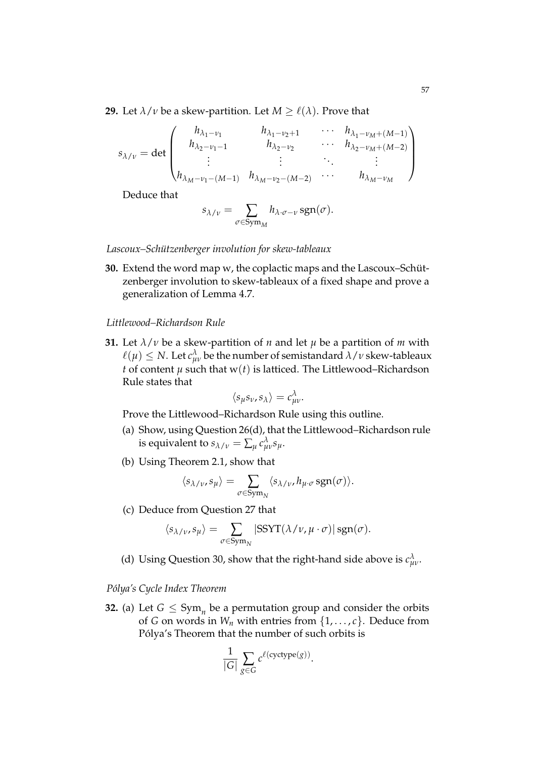**29.** Let  $\lambda/\nu$  be a skew-partition. Let  $M \geq \ell(\lambda)$ . Prove that

$$
s_{\lambda/\nu} = \det \begin{pmatrix} h_{\lambda_1-\nu_1} & h_{\lambda_1-\nu_2+1} & \cdots & h_{\lambda_1-\nu_M+(M-1)} \\ h_{\lambda_2-\nu_1-1} & h_{\lambda_2-\nu_2} & \cdots & h_{\lambda_2-\nu_M+(M-2)} \\ \vdots & \vdots & \ddots & \vdots \\ h_{\lambda_M-\nu_1-(M-1)} & h_{\lambda_M-\nu_2-(M-2)} & \cdots & h_{\lambda_M-\nu_M} \end{pmatrix}
$$

Deduce that

$$
s_{\lambda/\nu} = \sum_{\sigma \in \text{Sym}_M} h_{\lambda \cdot \sigma - \nu} \, \text{sgn}(\sigma).
$$

Lascoux–Schützenberger involution for skew-tableaux

**30.** Extend the word map w, the coplactic maps and the Lascoux–Schützenberger involution to skew-tableaux of a fixed shape and prove a generalization of Lemma 4.7.

# *Littlewood–Richardson Rule*

**31.** Let  $\lambda/\nu$  be a skew-partition of *n* and let  $\mu$  be a partition of *m* with  $\ell(\mu) \leq N$ . Let  $c_{\mu\nu}^{\lambda}$  be the number of semistandard  $\lambda/\nu$  skew-tableaux *t* of content  $\mu$  such that  $w(t)$  is latticed. The Littlewood–Richardson Rule states that

$$
\langle s_\mu s_\nu, s_\lambda \rangle = c_{\mu\nu}^\lambda.
$$

Prove the Littlewood–Richardson Rule using this outline.

- (a) Show, using Question 26(d), that the Littlewood–Richardson rule is equivalent to  $s_{\lambda/\nu} = \sum_{\mu} c_{\mu\nu}^{\lambda} s_{\mu}$ .
- (b) Using Theorem 2.1, show that

$$
\langle s_{\lambda/\nu}, s_{\mu} \rangle = \sum_{\sigma \in \text{Sym}_{N}} \langle s_{\lambda/\nu}, h_{\mu \cdot \sigma} \text{sgn}(\sigma) \rangle.
$$

(c) Deduce from Question 27 that

$$
\langle s_{\lambda/\nu}, s_{\mu} \rangle = \sum_{\sigma \in \text{Sym}_{N}} |\text{SSYT}(\lambda/\nu, \mu \cdot \sigma)| \text{ sgn}(\sigma).
$$

(d) Using Question 30, show that the right-hand side above is  $c_{\mu\nu}^{\lambda}$ .

# *P´olya's Cycle Index Theorem*

**32.** (a) Let  $G \leq \text{Sym}_n$  be a permutation group and consider the orbits of *G* on words in  $W_n$  with entries from  $\{1, \ldots, c\}$ . Deduce from Pólya's Theorem that the number of such orbits is

$$
\frac{1}{|G|} \sum_{g \in G} c^{\ell(\text{cyctype}(g))}.
$$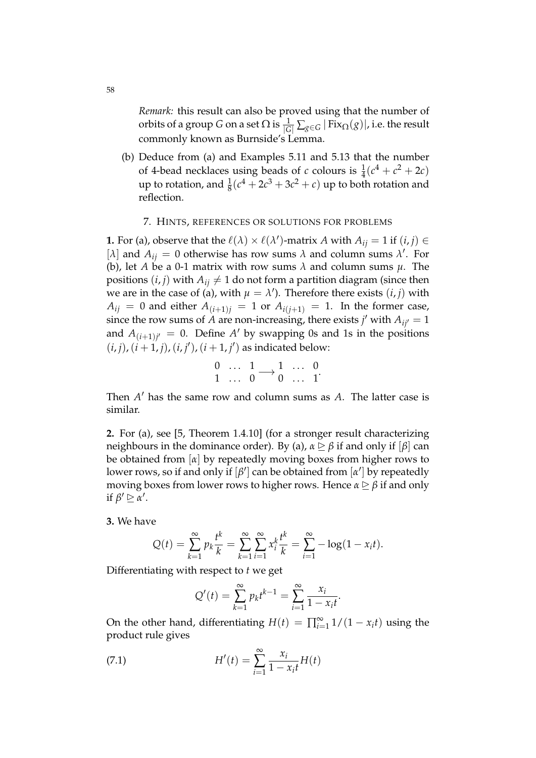*Remark:* this result can also be proved using that the number of orbits of a group *G* on a set  $\Omega$  is  $\frac{1}{|G|}\sum_{g\in G}|\text{Fix}_{\Omega}(g)|$ , i.e. the result commonly known as Burnside's Lemma.

(b) Deduce from (a) and Examples 5.11 and 5.13 that the number of 4-bead necklaces using beads of *c* colours is  $\frac{1}{4}(c^4 + c^2 + 2c)$ up to rotation, and  $\frac{1}{8}(c^4 + 2c^3 + 3c^2 + c)$  up to both rotation and reflection.

# 7. HINTS, REFERENCES OR SOLUTIONS FOR PROBLEMS

**1.** For (a), observe that the  $\ell(\lambda) \times \ell(\lambda')$ -matrix *A* with  $A_{ij} = 1$  if  $(i, j) \in$ [ $\lambda$ ] and  $A_{ij} = 0$  otherwise has row sums  $\lambda$  and column sums  $\lambda'$ . For (b), let *A* be a 0-1 matrix with row sums *λ* and column sums *µ*. The positions  $(i, j)$  with  $A_{ij} \neq 1$  do not form a partition diagram (since then we are in the case of (a), with  $\mu = \lambda'$ ). Therefore there exists  $(i, j)$  with  $A_{ij} = 0$  and either  $A_{(i+1)j} = 1$  or  $A_{i(j+1)} = 1$ . In the former case, since the row sums of  $\hat{A}$  are non-increasing, there exists  $j'$  with  $A_{ij'} = 1$ and  $A_{(i+1)j'} = 0$ . Define A' by swapping 0s and 1s in the positions  $(i, j)$ ,  $(i + 1, j)$ ,  $(i, j')$ ,  $(i + 1, j')$  as indicated below:

$$
\begin{matrix}0&\dots&1\\1&\dots&0\end{matrix}\longrightarrow \begin{matrix}1&\dots&0\\0&\dots&1\end{matrix}.
$$

Then  $A'$  has the same row and column sums as  $A$ . The latter case is similar.

**2.** For (a), see [5, Theorem 1.4.10] (for a stronger result characterizing neighbours in the dominance order). By (a),  $\alpha \trianglerighteq \beta$  if and only if  $\lbrack \beta \rbrack$  can be obtained from [*α*] by repeatedly moving boxes from higher rows to lower rows, so if and only if  $[\beta']$  can be obtained from  $[\alpha']$  by repeatedly moving boxes from lower rows to higher rows. Hence  $\alpha \geq \beta$  if and only if  $\beta' \trianglerighteq \alpha'$ .

**3.** We have

$$
Q(t) = \sum_{k=1}^{\infty} p_k \frac{t^k}{k} = \sum_{k=1}^{\infty} \sum_{i=1}^{\infty} x_i^k \frac{t^k}{k} = \sum_{i=1}^{\infty} -\log(1 - x_i t).
$$

Differentiating with respect to *t* we get

$$
Q'(t) = \sum_{k=1}^{\infty} p_k t^{k-1} = \sum_{i=1}^{\infty} \frac{x_i}{1 - x_i t}.
$$

On the other hand, differentiating  $H(t) = \prod_{i=1}^{\infty} 1/(1 - x_i t)$  using the product rule gives

(7.1) 
$$
H'(t) = \sum_{i=1}^{\infty} \frac{x_i}{1 - x_i t} H(t)
$$

58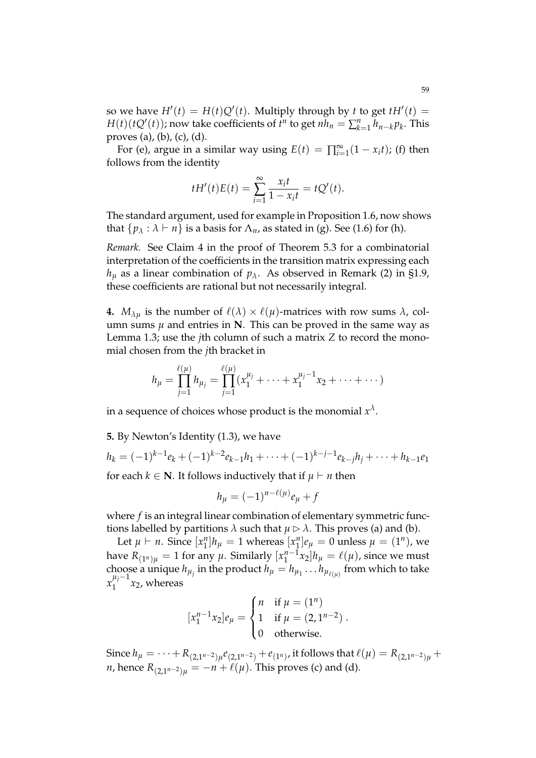so we have  $H'(t) = H(t)Q'(t)$ . Multiply through by *t* to get  $tH'(t) =$ *H*(*t*)(*t*Q<sup> $\prime$ </sup>(*t*)); now take coefficients of *t*<sup>*n*</sup> to get *nh*<sub>*n*</sub> =  $\sum_{k=1}^{n} h_{n-k} p_k$ . This proves (a), (b), (c), (d).

For (e), argue in a similar way using  $E(t) = \prod_{i=1}^{\infty} (1 - x_i t)$ ; (f) then follows from the identity

$$
tH'(t)E(t) = \sum_{i=1}^{\infty} \frac{x_i t}{1 - x_i t} = tQ'(t).
$$

The standard argument, used for example in Proposition 1.6, now shows that  $\{p_\lambda : \lambda \vdash n\}$  is a basis for  $\Lambda_n$ , as stated in (g). See (1.6) for (h).

*Remark.* See Claim 4 in the proof of Theorem 5.3 for a combinatorial interpretation of the coefficients in the transition matrix expressing each  $h_{\mu}$  as a linear combination of  $p_{\lambda}$ . As observed in Remark (2) in §1.9, these coefficients are rational but not necessarily integral.

**4.**  $M_{\lambda u}$  is the number of  $\ell(\lambda) \times \ell(\mu)$ -matrices with row sums  $\lambda$ , column sums  $\mu$  and entries in **N**. This can be proved in the same way as Lemma 1.3; use the *j*th column of such a matrix *Z* to record the monomial chosen from the *j*th bracket in

$$
h_{\mu} = \prod_{j=1}^{\ell(\mu)} h_{\mu_j} = \prod_{j=1}^{\ell(\mu)} (x_1^{\mu_j} + \dots + x_1^{\mu_j - 1} x_2 + \dots + \dots)
$$

in a sequence of choices whose product is the monomial  $x^\lambda.$ 

**5.** By Newton's Identity (1.3), we have

`(*µ*)

$$
h_k = (-1)^{k-1}e_k + (-1)^{k-2}e_{k-1}h_1 + \cdots + (-1)^{k-j-1}e_{k-j}h_j + \cdots + h_{k-1}e_1
$$

for each  $k \in \mathbb{N}$ . It follows inductively that if  $\mu \vdash n$  then

$$
h_{\mu}=(-1)^{n-\ell(\mu)}e_{\mu}+f
$$

where *f* is an integral linear combination of elementary symmetric functions labelled by partitions  $\lambda$  such that  $\mu \triangleright \lambda$ . This proves (a) and (b).

Let  $\mu \vdash n$ . Since  $[x_1^n]$  $\binom{n}{1}h_\mu = 1$  whereas  $\left[x_1^n\right]$  $\mu_1^n$ ] $e_\mu = 0$  unless  $\mu = (1^n)$ , we have  $R_{(1^n)\mu} = 1$  for any  $\mu$ . Similarly  $[x_1^{n-1}]$  $\int_1^{n-1} x_2 \vert h_\mu = \ell(\mu)$ , since we must choose a unique  $h_{\mu_j}$  in the product  $h_{\mu} = h_{\mu_1} \dots h_{\mu_{\ell(\mu)}}$  from which to take  $x_1^{\mu_j-1}$  $\int_{1}^{r_1} x_2$ , whereas

$$
[x_1^{n-1}x_2]e_{\mu} = \begin{cases} n & \text{if } \mu = (1^n) \\ 1 & \text{if } \mu = (2, 1^{n-2}) \\ 0 & \text{otherwise.} \end{cases}
$$

Since  $h_\mu = \cdots + R_{(2,1^{n-2})\mu}e_{(2,1^{n-2})} + e_{(1^n)}$ , it follows that  $\ell(\mu) = R_{(2,1^{n-2})\mu} +$ *n*, hence  $R_{(2,1^{n-2})u} = -n + \ell(\mu)$ . This proves (c) and (d).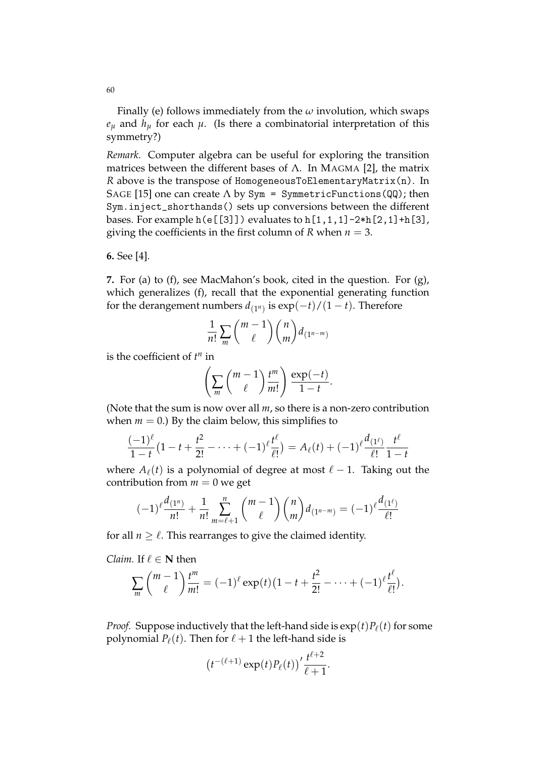Finally (e) follows immediately from the *ω* involution, which swaps  $e_{\mu}$  and  $h_{\mu}$  for each  $\mu$ . (Is there a combinatorial interpretation of this symmetry?)

*Remark.* Computer algebra can be useful for exploring the transition matrices between the different bases of  $\Lambda$ . In MAGMA [2], the matrix *R* above is the transpose of HomogeneousToElementaryMatrix(n). In SAGE [15] one can create  $\Lambda$  by Sym = SymmetricFunctions (QQ); then Sym.inject\_shorthands() sets up conversions between the different bases. For example  $h(e[[3]])$  evaluates to  $h[1,1,1]-2*h[2,1]+h[3]$ , giving the coefficients in the first column of  $R$  when  $n = 3$ .

**6.** See [4].

**7.** For (a) to (f), see MacMahon's book, cited in the question. For (g), which generalizes (f), recall that the exponential generating function for the derangement numbers  $d_{(1^n)}$  is  $\exp(-t)/(1-t)$ . Therefore

$$
\frac{1}{n!}\sum_{m} {m-1 \choose \ell} {n \choose m} d_{(1^{n-m})}
$$

is the coefficient of  $t^n$  in

$$
\left(\sum_{m} \binom{m-1}{\ell} \frac{t^m}{m!}\right) \frac{\exp(-t)}{1-t}.
$$

(Note that the sum is now over all *m*, so there is a non-zero contribution when  $m = 0$ .) By the claim below, this simplifies to

$$
\frac{(-1)^{\ell}}{1-t}(1-t+\frac{t^2}{2!}-\cdots+(-1)^{\ell}\frac{t^{\ell}}{\ell!})=A_{\ell}(t)+(-1)^{\ell}\frac{d_{(1^{\ell})}}{\ell!}\frac{t^{\ell}}{1-t}
$$

where  $A_\ell(t)$  is a polynomial of degree at most  $\ell - 1$ . Taking out the contribution from  $m = 0$  we get

$$
(-1)^{\ell} \frac{d_{(1^n)}}{n!} + \frac{1}{n!} \sum_{m=\ell+1}^n {m-1 \choose \ell} {n \choose m} d_{(1^{n-m})} = (-1)^{\ell} \frac{d_{(1^{\ell})}}{\ell!}
$$

for all  $n \geq \ell$ . This rearranges to give the claimed identity.

*Claim.* If  $\ell \in \mathbb{N}$  then

$$
\sum_{m} \binom{m-1}{\ell} \frac{t^m}{m!} = (-1)^{\ell} \exp(t) \big(1-t+\frac{t^2}{2!}-\cdots+(-1)^{\ell} \frac{t^{\ell}}{\ell!}\big).
$$

*Proof.* Suppose inductively that the left-hand side is  $\exp(t)P_{\ell}(t)$  for some polynomial  $P_{\ell}(t)$ . Then for  $\ell + 1$  the left-hand side is

$$
\left(t^{-(\ell+1)}\exp(t)P_{\ell}(t)\right)^{\prime}\frac{t^{\ell+2}}{\ell+1}.
$$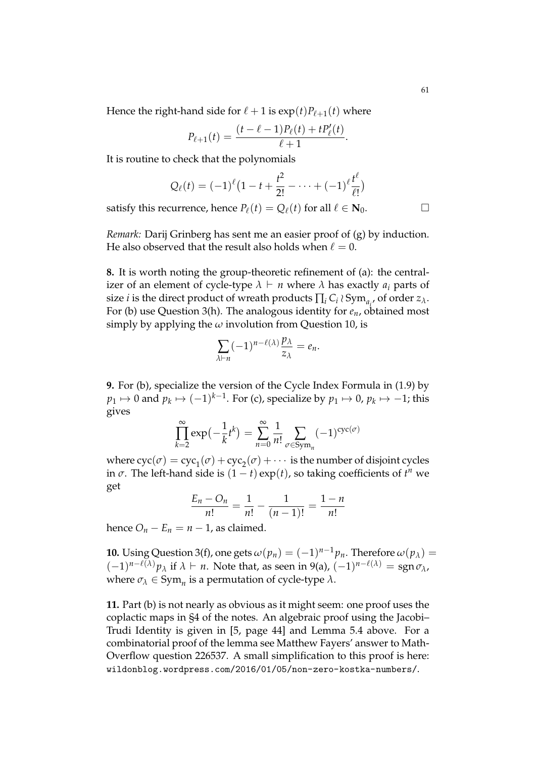Hence the right-hand side for  $\ell + 1$  is  $\exp(t) P_{\ell+1}(t)$  where

$$
P_{\ell+1}(t) = \frac{(t-\ell-1)P_{\ell}(t) + tP'_{\ell}(t)}{\ell+1}.
$$

It is routine to check that the polynomials

$$
Q_{\ell}(t) = (-1)^{\ell} (1-t+\frac{t^2}{2!}-\cdots+(-1)^{\ell} \frac{t^{\ell}}{\ell!})
$$

satisfy this recurrence, hence  $P_\ell(t) = Q_\ell(t)$  for all  $\ell \in \mathbf{N}_0$ .

*Remark:* Darij Grinberg has sent me an easier proof of (g) by induction. He also observed that the result also holds when  $\ell = 0$ .

**8.** It is worth noting the group-theoretic refinement of (a): the centralizer of an element of cycle-type  $\lambda \vdash n$  where  $\lambda$  has exactly  $a_i$  parts of size *i* is the direct product of wreath products  $\prod_i C_i \wr \text{Sym}_{a_i}$ , of order  $z_\lambda$ . For (b) use Question 3(h). The analogous identity for *en*, obtained most simply by applying the  $\omega$  involution from Question 10, is

$$
\sum_{\lambda\vdash n} (-1)^{n-\ell(\lambda)} \frac{p_\lambda}{z_\lambda} = e_n.
$$

**9.** For (b), specialize the version of the Cycle Index Formula in (1.9) by  $p_1 \mapsto 0$  and  $p_k \mapsto (-1)^{k-1}$ . For (c), specialize by  $p_1 \mapsto 0$ ,  $p_k \mapsto -1$ ; this gives

$$
\prod_{k=2}^{\infty} \exp\left(-\frac{1}{k}t^k\right) = \sum_{n=0}^{\infty} \frac{1}{n!} \sum_{\sigma \in \text{Sym}_n} (-1)^{\text{cyc}(\sigma)}
$$

where  $\operatorname{cyc}(\sigma) = \operatorname{cyc}_1(\sigma) + \operatorname{cyc}_2(\sigma) + \cdots$  is the number of disjoint cycles in  $\sigma$ . The left-hand side is  $(1-t) \exp(t)$ , so taking coefficients of  $t^n$  we get

$$
\frac{E_n - O_n}{n!} = \frac{1}{n!} - \frac{1}{(n-1)!} = \frac{1-n}{n!}
$$

hence  $O_n - E_n = n - 1$ , as claimed.

**10.** Using Question 3(f), one gets  $\omega(p_n) = (-1)^{n-1} p_n$ . Therefore  $\omega(p_\lambda) =$  $(-1)^{n-\ell(\lambda)}p_\lambda$  if  $\lambda \vdash n$ . Note that, as seen in 9(a),  $(-1)^{n-\ell(\lambda)} =$ sgn  $\sigma_\lambda$ , where  $\sigma_{\lambda} \in \text{Sym}_n$  is a permutation of cycle-type  $\lambda$ .

**11.** Part (b) is not nearly as obvious as it might seem: one proof uses the coplactic maps in §4 of the notes. An algebraic proof using the Jacobi– Trudi Identity is given in [5, page 44] and Lemma 5.4 above. For a combinatorial proof of the lemma see Matthew Fayers' answer to Math-Overflow question 226537. A small simplification to this proof is here: wildonblog.wordpress.com/2016/01/05/non-zero-kostka-numbers/.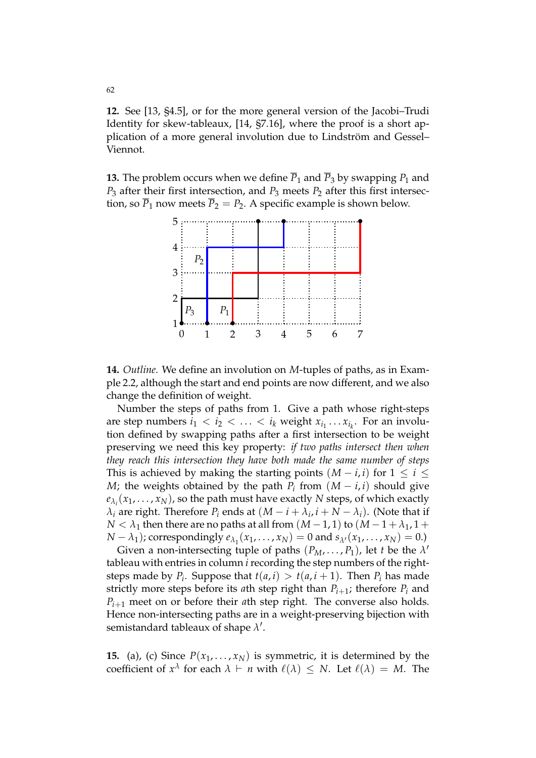**12.** See [13, §4.5], or for the more general version of the Jacobi–Trudi Identity for skew-tableaux, [14, §7.16], where the proof is a short application of a more general involution due to Lindström and Gessel– Viennot.

**13.** The problem occurs when we define  $\overline{P}_1$  and  $\overline{P}_3$  by swapping  $P_1$  and *P*<sup>3</sup> after their first intersection, and *P*<sup>3</sup> meets *P*<sup>2</sup> after this first intersection, so  $\overline{P}_1$  now meets  $\overline{P}_2 = P_2$ . A specific example is shown below.



**14.** *Outline.* We define an involution on *M*-tuples of paths, as in Example 2.2, although the start and end points are now different, and we also change the definition of weight.

Number the steps of paths from 1. Give a path whose right-steps are step numbers  $i_1 < i_2 < \ldots < i_k$  weight  $x_{i_1} \ldots x_{i_k}$ . For an involution defined by swapping paths after a first intersection to be weight preserving we need this key property: *if two paths intersect then when they reach this intersection they have both made the same number of steps* This is achieved by making the starting points  $(M - i, i)$  for  $1 \le i \le j$ *M*; the weights obtained by the path  $P_i$  from  $(M - i, i)$  should give  $e_{\lambda_i}(x_1,\ldots,x_N)$ , so the path must have exactly  $N$  steps, of which exactly  $\lambda_i$  are right. Therefore  $P_i$  ends at  $(M - i + \lambda_i, i + N - \lambda_i)$ . (Note that if *N* <  $\lambda_1$  then there are no paths at all from  $(M-1,1)$  to  $(M-1+\lambda_1,1+\lambda_2)$ *N* − *λ*<sub>1</sub>); correspondingly  $e_{\lambda_1}(x_1, ..., x_N) = 0$  and  $s_{\lambda'}(x_1, ..., x_N) = 0$ .)

Given a non-intersecting tuple of paths  $(P_M, \ldots, P_1)$ , let *t* be the  $\lambda'$ tableau with entries in column *i* recording the step numbers of the rightsteps made by  $P_i$ . Suppose that  $t(a, i) > t(a, i + 1)$ . Then  $P_i$  has made strictly more steps before its *a*th step right than  $P_{i+1}$ ; therefore  $P_i$  and  $P_{i+1}$  meet on or before their *a*th step right. The converse also holds. Hence non-intersecting paths are in a weight-preserving bijection with semistandard tableaux of shape  $\lambda'$ .

**15.** (a), (c) Since  $P(x_1, \ldots, x_N)$  is symmetric, it is determined by the coefficient of  $x^{\lambda}$  for each  $\lambda \vdash n$  with  $\ell(\lambda) \leq N$ . Let  $\ell(\lambda) = M$ . The

62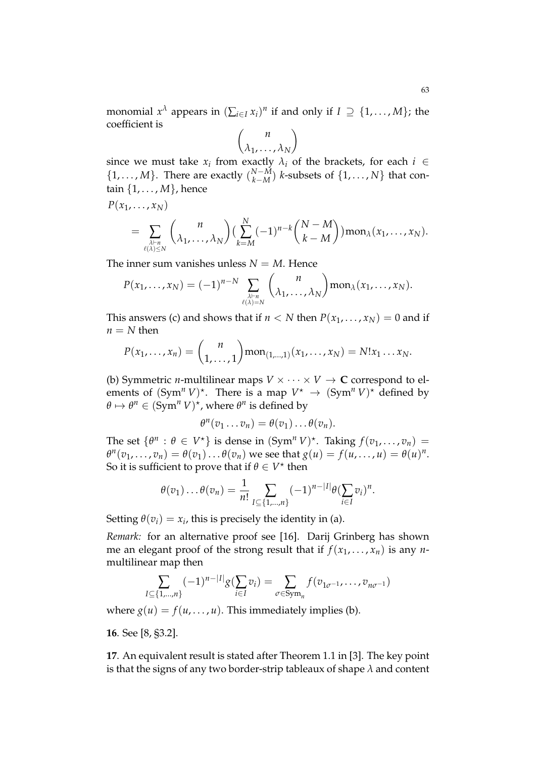monomial  $x^{\lambda}$  appears in  $(\sum_{i \in I} x_i)^n$  if and only if  $I \supseteq \{1, \ldots, M\}$ ; the coefficient is

$$
\binom{n}{\lambda_1,\ldots,\lambda_N}
$$

since we must take  $x_i$  from exactly  $\lambda_i$  of the brackets, for each  $i \in$  $\{1, \ldots, M\}$ . There are exactly  $\binom{N-M}{k-M}$  *k*-subsets of  $\{1, \ldots, N\}$  that contain {1, . . . , *M*}, hence

$$
= \sum_{\lambda \vdash n \atop \ell(\lambda) \leq N} {n \choose \lambda_1, \ldots, \lambda_N} \Big(\sum_{k=M}^N (-1)^{n-k} {N-M \choose k-M}\Big) \text{mon}_{\lambda}(x_1, \ldots, x_N).
$$

The inner sum vanishes unless  $N = M$ . Hence

 $P(x_1, \ldots, x_N)$ 

$$
P(x_1,\ldots,x_N)=(-1)^{n-N}\sum_{\substack{\lambda\vdash n\\ \ell(\lambda)=N}}\binom{n}{\lambda_1,\ldots,\lambda_N}m\text{on}_{\lambda}(x_1,\ldots,x_N).
$$

This answers (c) and shows that if  $n < N$  then  $P(x_1, \ldots, x_N) = 0$  and if  $n = N$  then

$$
P(x_1,...,x_n) = {n \choose 1,...,1} \text{mon}_{(1,...,1)}(x_1,...,x_N) = N!x_1...x_N.
$$

(b) Symmetric *n*-multilinear maps  $V \times \cdots \times V \rightarrow \mathbb{C}$  correspond to elements of  $(Sym^n V)^*$ . There is a map  $V^* \to (Sym^n V)^*$  defined by  $\theta \mapsto \theta^n \in (\text{Sym}^n V)^*$ , where  $\theta^n$  is defined by

$$
\theta^n(v_1 \ldots v_n) = \theta(v_1) \ldots \theta(v_n).
$$

The set  $\{\theta^n : \theta \in V^*\}$  is dense in  $(Sym^n V)^*$ . Taking  $f(v_1, \ldots, v_n) =$  $\theta^n(v_1,\ldots,v_n)=\theta(v_1)\ldots\theta(v_n)$  we see that  $g(u)=f(u,\ldots,u)=\theta(u)^n$ . So it is sufficient to prove that if  $\theta \in V^*$  then

$$
\theta(v_1)\ldots\theta(v_n)=\frac{1}{n!}\sum_{I\subseteq\{1,\ldots,n\}}(-1)^{n-|I|}\theta(\sum_{i\in I}v_i)^n.
$$

Setting  $\theta(v_i) = x_i$ , this is precisely the identity in (a).

*Remark:* for an alternative proof see [16]. Darij Grinberg has shown me an elegant proof of the strong result that if  $f(x_1, \ldots, x_n)$  is any *n*multilinear map then

$$
\sum_{I \subseteq \{1,\dots,n\}} (-1)^{n-|I|} g(\sum_{i \in I} v_i) = \sum_{\sigma \in \text{Sym}_n} f(v_{1\sigma^{-1}}, \dots, v_{n\sigma^{-1}})
$$

where  $g(u) = f(u, \ldots, u)$ . This immediately implies (b).

**16**. See [8, §3.2].

**17**. An equivalent result is stated after Theorem 1.1 in [3]. The key point is that the signs of any two border-strip tableaux of shape *λ* and content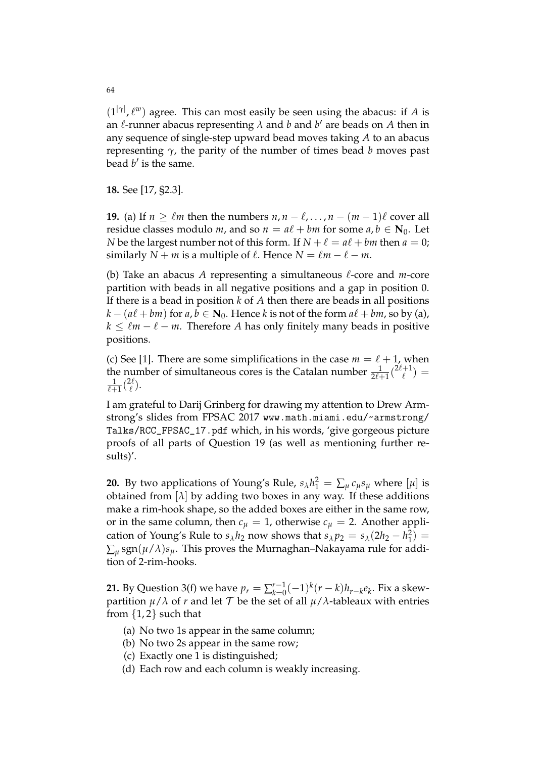$(1^{|\gamma|}, \ell^w)$  agree. This can most easily be seen using the abacus: if *A* is an  $\ell$ -runner abacus representing  $\lambda$  and  $b$  and  $b'$  are beads on  $A$  then in any sequence of single-step upward bead moves taking *A* to an abacus representing *γ*, the parity of the number of times bead *b* moves past bead  $b'$  is the same.

**18.** See [17, §2.3].

**19.** (a) If  $n \geq \ell m$  then the numbers  $n, n - \ell, ..., n - (m - 1)\ell$  cover all residue classes modulo *m*, and so  $n = a\ell + bm$  for some  $a, b \in \mathbb{N}_0$ . Let *N* be the largest number not of this form. If  $N + \ell = a\ell + bm$  then  $a = 0$ ; similarly *N* + *m* is a multiple of  $\ell$ . Hence *N* =  $\ell m - \ell - m$ .

(b) Take an abacus  $A$  representing a simultaneous  $\ell$ -core and  $m$ -core partition with beads in all negative positions and a gap in position 0. If there is a bead in position *k* of *A* then there are beads in all positions  $k - (a\ell + bm)$  for  $a, b \in \mathbb{N}_0$ . Hence  $k$  is not of the form  $a\ell + bm$ , so by (a),  $k \leq \ell m - \ell - m$ . Therefore *A* has only finitely many beads in positive positions.

(c) See [1]. There are some simplifications in the case  $m = \ell + 1$ , when the number of simultaneous cores is the Catalan number  $\frac{1}{2\ell+1}$   $\binom{2\ell+1}{\ell}$  $\binom{+1}{\ell} =$  $\frac{1}{\ell+1}$  $\binom{2\ell}{\ell}$  $\binom{2\ell}{\ell}$ .

I am grateful to Darij Grinberg for drawing my attention to Drew Armstrong's slides from FPSAC 2017 www.math.miami.edu/~armstrong/ Talks/RCC\_FPSAC\_17.pdf which, in his words, 'give gorgeous picture proofs of all parts of Question 19 (as well as mentioning further results)'.

**20.** By two applications of Young's Rule,  $s_{\lambda}h_1^2 = \sum_{\mu} c_{\mu} s_{\mu}$  where  $[\mu]$  is obtained from  $[\lambda]$  by adding two boxes in any way. If these additions make a rim-hook shape, so the added boxes are either in the same row, or in the same column, then  $c_{\mu} = 1$ , otherwise  $c_{\mu} = 2$ . Another application of Young's Rule to  $s_{\lambda}h_2$  now shows that  $s_{\lambda}p_2 = s_{\lambda}(2h_2 - h_1^2)$  $\sum_{\mu}$ sgn $(\mu/\lambda)s_{\mu}$ . This proves the Murnaghan–Nakayama rule for addition of 2-rim-hooks.

**21.** By Question 3(f) we have  $p_r = \sum_{k=0}^{r-1}$  $\int_{k=0}^{r-1}(-1)^k(r-k)h_{r-k}e_k$ . Fix a skewpartition  $\mu/\lambda$  of *r* and let  $\mathcal T$  be the set of all  $\mu/\lambda$ -tableaux with entries from  $\{1,2\}$  such that

- (a) No two 1s appear in the same column;
- (b) No two 2s appear in the same row;
- (c) Exactly one 1 is distinguished;
- (d) Each row and each column is weakly increasing.

64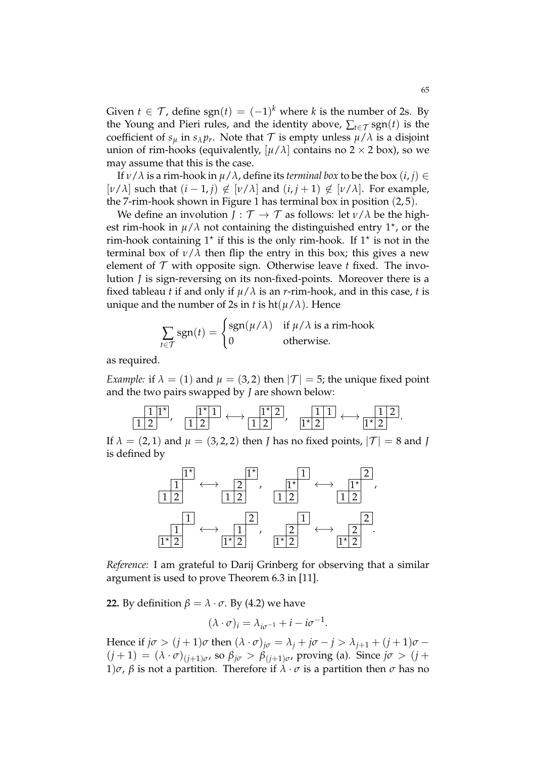Given  $t \in \mathcal{T}$ , define sgn $(t) = (-1)^k$  where  $k$  is the number of 2s. By the Young and Pieri rules, and the identity above,  $\sum_{t \in \mathcal{T}}$  sgn(*t*) is the coefficient of  $s_\mu$  in  $s_\lambda p_r$ . Note that  $\mathcal T$  is empty unless  $\mu/\lambda$  is a disjoint union of rim-hooks (equivalently,  $[\mu/\lambda]$  contains no 2  $\times$  2 box), so we may assume that this is the case.

If  $\nu/\lambda$  is a rim-hook in  $\mu/\lambda$ , define its *terminal box* to be the box  $(i, j) \in$ [ $\nu/\lambda$ ] such that  $(i − 1, j) \notin [\nu/\lambda]$  and  $(i, j + 1) \notin [\nu/\lambda]$ . For example, the 7-rim-hook shown in Figure 1 has terminal box in position (2, 5).

We define an involution *J* :  $\mathcal{T} \rightarrow \mathcal{T}$  as follows: let  $\nu/\lambda$  be the highest rim-hook in  $\mu/\lambda$  not containing the distinguished entry  $1^{\star}$ , or the rim-hook containing  $1^*$  if this is the only rim-hook. If  $1^*$  is not in the terminal box of  $\nu/\lambda$  then flip the entry in this box; this gives a new element of  $T$  with opposite sign. Otherwise leave  $t$  fixed. The involution *J* is sign-reversing on its non-fixed-points. Moreover there is a fixed tableau *t* if and only if  $\mu/\lambda$  is an *r*-rim-hook, and in this case, *t* is unique and the number of 2s in *t* is  $ht(\mu/\lambda)$ . Hence

$$
\sum_{t \in \mathcal{T}} sgn(t) = \begin{cases} sgn(\mu/\lambda) & \text{if } \mu/\lambda \text{ is a rim-hook} \\ 0 & \text{otherwise.} \end{cases}
$$

as required.

*Example:* if  $\lambda = (1)$  and  $\mu = (3, 2)$  then  $|\mathcal{T}| = 5$ ; the unique fixed point and the two pairs swapped by *J* are shown below:

$$
\frac{1\,1^{\star}}{1\,2},\quad \frac{1^{\star}\,1}{1\,2}\longleftrightarrow \frac{1^{\star}\,2}{1\,2},\quad \frac{1\,1\,1}{1^{\star}\,2}\longleftrightarrow \frac{1\,1\,2}{1^{\star}\,2}.
$$

If  $\lambda = (2, 1)$  and  $\mu = (3, 2, 2)$  then *J* has no fixed points,  $|\mathcal{T}| = 8$  and *J* is defined by



*Reference:* I am grateful to Darij Grinberg for observing that a similar argument is used to prove Theorem 6.3 in [11].

**22.** By definition  $\beta = \lambda \cdot \sigma$ . By (4.2) we have

 $(\lambda \cdot \sigma)_i = \lambda_{i\sigma^{-1}} + i - i\sigma^{-1}.$ 

Hence if  $j\sigma$  >  $(j + 1)\sigma$  then  $(\lambda \cdot \sigma)_{j\sigma} = \lambda_j + j\sigma - j > \lambda_{j+1} + (j + 1)\sigma$  $(j+1) = (\lambda \cdot \sigma)_{(j+1)\sigma}$ , so  $\beta_{j\sigma} > \beta_{(j+1)\sigma}$ , proving (a). Since  $j\sigma > (j+1)$ 1)*σ*, *β* is not a partition. Therefore if  $\lambda \cdot \sigma$  is a partition then  $\sigma$  has no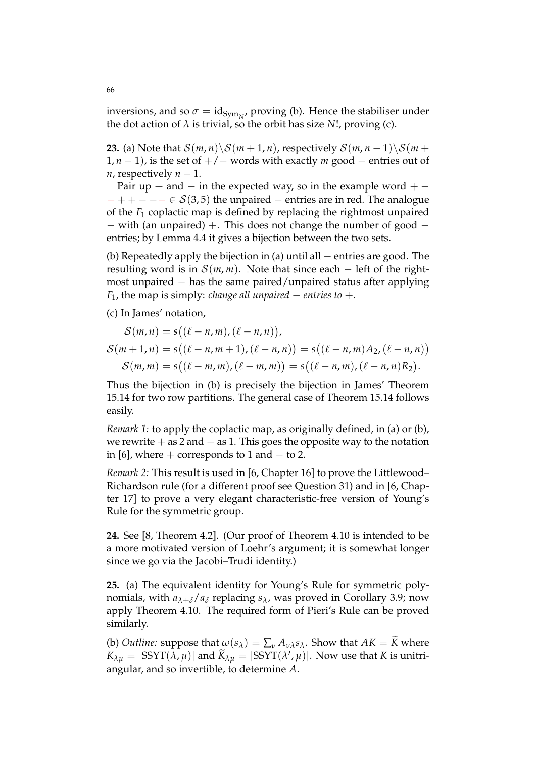inversions, and so  $\sigma = id_{Sym_N}$ , proving (b). Hence the stabiliser under the dot action of  $\lambda$  is trivial, so the orbit has size *N*!, proving (c).

**23.** (a) Note that  $S(m, n) \setminus S(m + 1, n)$ , respectively  $S(m, n - 1) \setminus S(m + 1)$ 1, *n* − 1), is the set of +/− words with exactly *m* good − entries out of *n*, respectively *n* − 1.

Pair up + and  $-$  in the expected way, so in the example word  $+$   $-++--\in \mathcal{S}(3,5)$  the unpaired – entries are in red. The analogue of the *F*<sup>1</sup> coplactic map is defined by replacing the rightmost unpaired − with (an unpaired) +. This does not change the number of good − entries; by Lemma 4.4 it gives a bijection between the two sets.

(b) Repeatedly apply the bijection in (a) until all − entries are good. The resulting word is in  $\mathcal{S}(m,m)$ . Note that since each – left of the rightmost unpaired  $-$  has the same paired/unpaired status after applying *F*<sub>1</sub>, the map is simply: *change all unpaired*  $-$  *entries to*  $+$ *.* 

(c) In James' notation,

$$
S(m, n) = s((\ell - n, m), (\ell - n, n)),
$$
  
\n
$$
S(m + 1, n) = s((\ell - n, m + 1), (\ell - n, n)) = s((\ell - n, m)A_2, (\ell - n, n))
$$
  
\n
$$
S(m, m) = s((\ell - m, m), (\ell - m, m)) = s((\ell - n, m), (\ell - n, n)R_2).
$$

Thus the bijection in (b) is precisely the bijection in James' Theorem 15.14 for two row partitions. The general case of Theorem 15.14 follows easily.

*Remark 1:* to apply the coplactic map, as originally defined, in (a) or (b), we rewrite  $+$  as 2 and  $-$  as 1. This goes the opposite way to the notation in [6], where  $+$  corresponds to 1 and  $-$  to 2.

*Remark 2:* This result is used in [6, Chapter 16] to prove the Littlewood– Richardson rule (for a different proof see Question 31) and in [6, Chapter 17] to prove a very elegant characteristic-free version of Young's Rule for the symmetric group.

**24.** See [8, Theorem 4.2]. (Our proof of Theorem 4.10 is intended to be a more motivated version of Loehr's argument; it is somewhat longer since we go via the Jacobi–Trudi identity.)

**25.** (a) The equivalent identity for Young's Rule for symmetric polynomials, with  $a_{\lambda+\delta}/a_{\delta}$  replacing  $s_{\lambda}$ , was proved in Corollary 3.9; now apply Theorem 4.10. The required form of Pieri's Rule can be proved similarly.

(b) *Outline:* suppose that  $\omega(s_\lambda) = \sum_{\nu} A_{\nu\lambda} s_\lambda$ . Show that  $AK = \tilde{K}$  where  $K_{\lambda\mu} = |\text{SSYT}(\lambda, \mu)|$  and  $\widetilde{K}_{\lambda\mu} = |\text{SSYT}(\lambda', \mu)|$ . Now use that *K* is unitriangular, and so invertible, to determine *A*.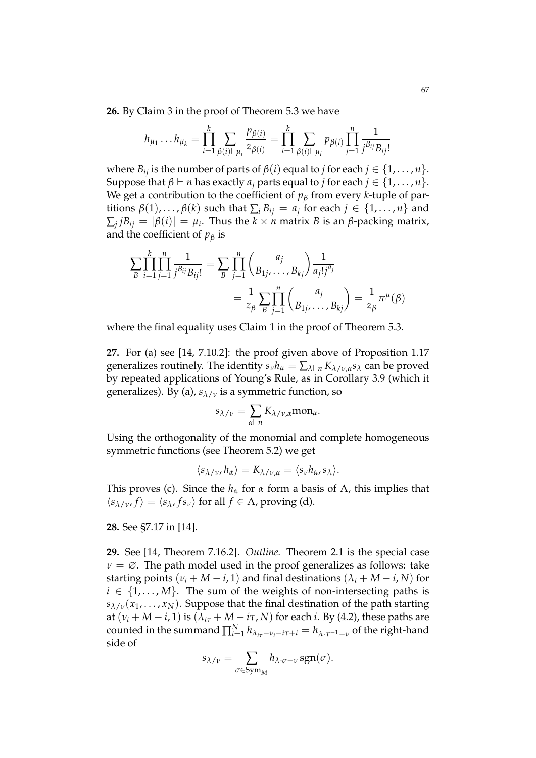**26.** By Claim 3 in the proof of Theorem 5.3 we have

$$
h_{\mu_1} \dots h_{\mu_k} = \prod_{i=1}^k \sum_{\beta(i)\vdash \mu_i} \frac{p_{\beta(i)}}{z_{\beta(i)}} = \prod_{i=1}^k \sum_{\beta(i)\vdash \mu_i} p_{\beta(i)} \prod_{j=1}^n \frac{1}{j^{B_{ij}} B_{ij}!}
$$

where  $B_{ij}$  is the number of parts of  $\beta(i)$  equal to *j* for each  $j \in \{1, \ldots, n\}$ . Suppose that  $\beta \vdash n$  has exactly  $a_i$  parts equal to *j* for each  $j \in \{1, \ldots, n\}$ . We get a contribution to the coefficient of *p<sup>β</sup>* from every *k*-tuple of partitions  $\beta(1), \ldots, \beta(k)$  such that  $\sum_i B_{ij} = a_j$  for each  $j \in \{1, \ldots, n\}$  and  $\sum_{j}jB_{ij}=|\beta(i)|=\mu_{i}.$  Thus the  $k\times n$  matrix  $B$  is an  $\beta$ -packing matrix, and the coefficient of  $p<sub>\beta</sub>$  is

$$
\sum_{B} \prod_{i=1}^{k} \prod_{j=1}^{n} \frac{1}{j^{B_{ij}} B_{ij}!} = \sum_{B} \prod_{j=1}^{n} {a_j \choose B_{1j}, \dots, B_{kj}} \frac{1}{a_j! j^{a_j}}
$$
  
= 
$$
\frac{1}{z_{\beta}} \sum_{B} \prod_{j=1}^{n} {a_j \choose B_{1j}, \dots, B_{kj}} = \frac{1}{z_{\beta}} \pi^{\mu}(\beta)
$$

where the final equality uses Claim 1 in the proof of Theorem 5.3.

**27.** For (a) see [14, 7.10.2]: the proof given above of Proposition 1.17 generalizes routinely. The identity  $s_\nu h_\alpha = \sum_{\lambda \vdash n} K_{\lambda/\nu,\alpha} s_\lambda$  can be proved by repeated applications of Young's Rule, as in Corollary 3.9 (which it generalizes). By (a), *sλ*/*<sup>ν</sup>* is a symmetric function, so

$$
s_{\lambda/\nu} = \sum_{\alpha \vdash n} K_{\lambda/\nu,\alpha} \text{mon}_{\alpha}.
$$

Using the orthogonality of the monomial and complete homogeneous symmetric functions (see Theorem 5.2) we get

$$
\langle s_{\lambda/\nu}, h_{\alpha} \rangle = K_{\lambda/\nu, \alpha} = \langle s_{\nu} h_{\alpha}, s_{\lambda} \rangle.
$$

This proves (c). Since the  $h_\alpha$  for  $\alpha$  form a basis of  $\Lambda$ , this implies that  $\langle s_{\lambda/\nu}, f \rangle = \langle s_{\lambda}, fs_{\nu} \rangle$  for all  $f \in \Lambda$ , proving (d).

# **28.** See §7.17 in [14].

**29.** See [14, Theorem 7.16.2]. *Outline.* Theorem 2.1 is the special case  $\nu = \emptyset$ . The path model used in the proof generalizes as follows: take starting points ( $v_i + M - i$ , 1) and final destinations ( $\lambda_i + M - i$ , *N*) for  $i \in \{1, \ldots, M\}$ . The sum of the weights of non-intersecting paths is *sλ*/*<sup>ν</sup>* (*x*1, . . . , *xN*). Suppose that the final destination of the path starting at  $(v_i + M - i, 1)$  is  $(\lambda_{i\tau} + M - i\tau, N)$  for each *i*. By (4.2), these paths are counted in the summand  $\prod_{i=1}^{N} h_{\lambda_{i\tau}-\nu_{i}-i\tau+i} = h_{\lambda\cdot\tau^{-1}-\nu}$  of the right-hand side of

$$
s_{\lambda/\nu} = \sum_{\sigma \in \text{Sym}_M} h_{\lambda \cdot \sigma - \nu} \, \text{sgn}(\sigma).
$$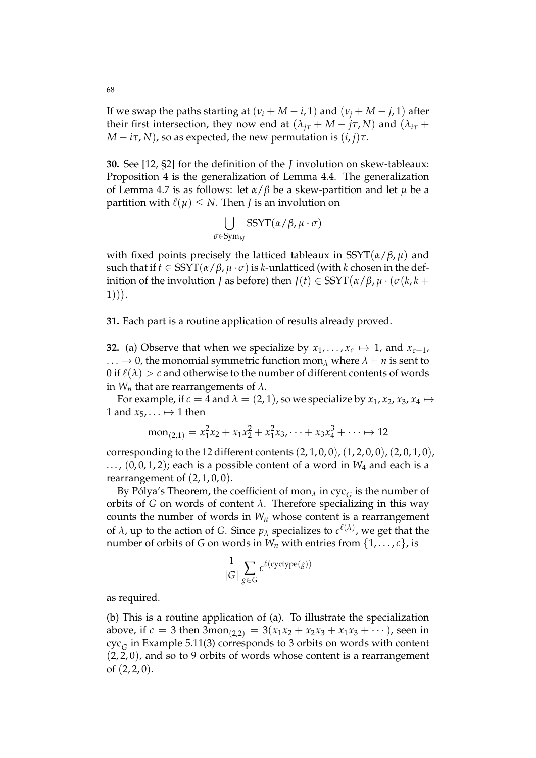If we swap the paths starting at  $(v_i + M - i, 1)$  and  $(v_i + M - j, 1)$  after their first intersection, they now end at  $(\lambda_{i\tau} + M - j\tau, N)$  and  $(\lambda_{i\tau} +$  $M - i\tau$ , *N*), so as expected, the new permutation is  $(i, j)\tau$ .

**30.** See [12, §2] for the definition of the *J* involution on skew-tableaux: Proposition 4 is the generalization of Lemma 4.4. The generalization of Lemma 4.7 is as follows: let *α*/*β* be a skew-partition and let *µ* be a partition with  $\ell(\mu) \leq N$ . Then *J* is an involution on

$$
\bigcup_{\sigma \in \mathrm{Sym}_N} \mathrm{SSYT}(\alpha/\beta, \mu \cdot \sigma)
$$

with fixed points precisely the latticed tableaux in SSYT(*α*/*β*, *µ*) and such that if *t* ∈ SSYT(*α*/*β*, *µ* · *σ*) is *k*-unlatticed (with *k* chosen in the definition of the involution *J* as before) then  $J(t) \in \mathrm{SSYT}(\alpha/\beta, \mu \cdot (\sigma(k, k +$ 1)) .

**31.** Each part is a routine application of results already proved.

**32.** (a) Observe that when we specialize by  $x_1, \ldots, x_c \mapsto 1$ , and  $x_{c+1}$ , ...  $\rightarrow$  0, the monomial symmetric function mon<sub>λ</sub> where  $\lambda \vdash n$  is sent to 0 if  $\ell(\lambda) > c$  and otherwise to the number of different contents of words in  $W_n$  that are rearrangements of  $\lambda$ .

For example, if  $c = 4$  and  $\lambda = (2, 1)$ , so we specialize by  $x_1, x_2, x_3, x_4 \mapsto$ 1 and  $x_5, \ldots \mapsto 1$  then

$$
mon_{(2,1)} = x_1^2x_2 + x_1x_2^2 + x_1^2x_3 + \dots + x_3x_4^3 + \dots \mapsto 12
$$

corresponding to the 12 different contents  $(2, 1, 0, 0)$ ,  $(1, 2, 0, 0)$ ,  $(2, 0, 1, 0)$ ,  $..., (0,0,1,2)$ ; each is a possible content of a word in  $W_4$  and each is a rearrangement of  $(2, 1, 0, 0)$ .

By Pólya's Theorem*,* the coefficient of mon $_{\lambda}$  in cyc $_{G}$  is the number of orbits of *G* on words of content  $\lambda$ . Therefore specializing in this way counts the number of words in  $W_n$  whose content is a rearrangement of  $\lambda$ , up to the action of *G*. Since  $p_{\lambda}$  specializes to  $c^{\ell(\lambda)}$ , we get that the number of orbits of *G* on words in  $W_n$  with entries from  $\{1, \ldots, c\}$ , is

$$
\frac{1}{|G|} \sum_{g \in G} c^{\ell(\text{cyctype}(g))}
$$

as required.

(b) This is a routine application of (a). To illustrate the specialization above, if  $c = 3$  then  $3\text{mon}_{(2,2)} = 3(x_1x_2 + x_2x_3 + x_1x_3 + \cdots)$ , seen in cyc*<sup>G</sup>* in Example 5.11(3) corresponds to 3 orbits on words with content  $(2, 2, 0)$ , and so to 9 orbits of words whose content is a rearrangement of  $(2, 2, 0)$ .

68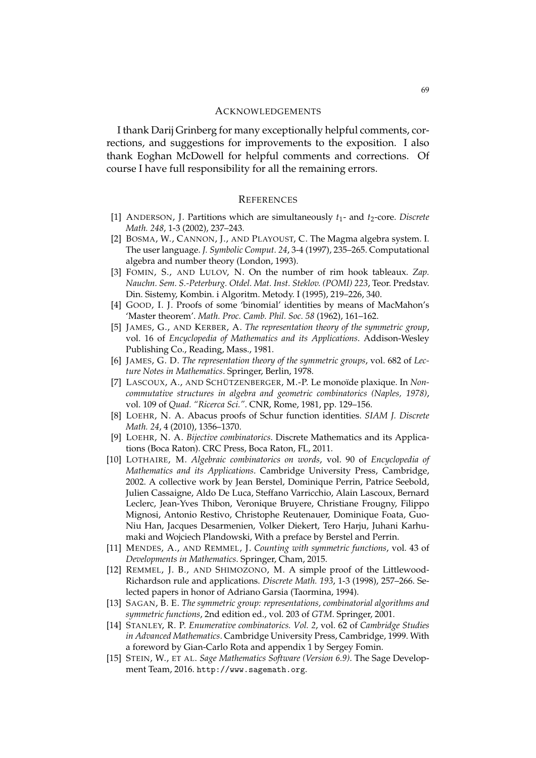#### ACKNOWLEDGEMENTS

I thank Darij Grinberg for many exceptionally helpful comments, corrections, and suggestions for improvements to the exposition. I also thank Eoghan McDowell for helpful comments and corrections. Of course I have full responsibility for all the remaining errors.

#### **REFERENCES**

- [1] ANDERSON, J. Partitions which are simultaneously *t*1- and *t*2-core. *Discrete Math. 248*, 1-3 (2002), 237–243.
- [2] BOSMA, W., CANNON, J., AND PLAYOUST, C. The Magma algebra system. I. The user language. *J. Symbolic Comput. 24*, 3-4 (1997), 235–265. Computational algebra and number theory (London, 1993).
- [3] FOMIN, S., AND LULOV, N. On the number of rim hook tableaux. *Zap. Nauchn. Sem. S.-Peterburg. Otdel. Mat. Inst. Steklov. (POMI) 223*, Teor. Predstav. Din. Sistemy, Kombin. i Algoritm. Metody. I (1995), 219–226, 340.
- [4] GOOD, I. J. Proofs of some 'binomial' identities by means of MacMahon's 'Master theorem'. *Math. Proc. Camb. Phil. Soc. 58* (1962), 161–162.
- [5] JAMES, G., AND KERBER, A. *The representation theory of the symmetric group*, vol. 16 of *Encyclopedia of Mathematics and its Applications*. Addison-Wesley Publishing Co., Reading, Mass., 1981.
- [6] JAMES, G. D. *The representation theory of the symmetric groups*, vol. 682 of *Lecture Notes in Mathematics*. Springer, Berlin, 1978.
- [7] LASCOUX, A., AND SCHÜTZENBERGER, M.-P. Le monoïde plaxique. In *Noncommutative structures in algebra and geometric combinatorics (Naples, 1978)*, vol. 109 of *Quad. "Ricerca Sci."*. CNR, Rome, 1981, pp. 129–156.
- [8] LOEHR, N. A. Abacus proofs of Schur function identities. *SIAM J. Discrete Math. 24*, 4 (2010), 1356–1370.
- [9] LOEHR, N. A. *Bijective combinatorics*. Discrete Mathematics and its Applications (Boca Raton). CRC Press, Boca Raton, FL, 2011.
- [10] LOTHAIRE, M. *Algebraic combinatorics on words*, vol. 90 of *Encyclopedia of Mathematics and its Applications*. Cambridge University Press, Cambridge, 2002. A collective work by Jean Berstel, Dominique Perrin, Patrice Seebold, Julien Cassaigne, Aldo De Luca, Steffano Varricchio, Alain Lascoux, Bernard Leclerc, Jean-Yves Thibon, Veronique Bruyere, Christiane Frougny, Filippo Mignosi, Antonio Restivo, Christophe Reutenauer, Dominique Foata, Guo-Niu Han, Jacques Desarmenien, Volker Diekert, Tero Harju, Juhani Karhumaki and Wojciech Plandowski, With a preface by Berstel and Perrin.
- [11] MENDES, A., AND REMMEL, J. *Counting with symmetric functions*, vol. 43 of *Developments in Mathematics*. Springer, Cham, 2015.
- [12] REMMEL, J. B., AND SHIMOZONO, M. A simple proof of the Littlewood-Richardson rule and applications. *Discrete Math. 193*, 1-3 (1998), 257–266. Selected papers in honor of Adriano Garsia (Taormina, 1994).
- [13] SAGAN, B. E. *The symmetric group: representations, combinatorial algorithms and symmetric functions*, 2nd edition ed., vol. 203 of *GTM*. Springer, 2001.
- [14] STANLEY, R. P. *Enumerative combinatorics. Vol. 2*, vol. 62 of *Cambridge Studies in Advanced Mathematics*. Cambridge University Press, Cambridge, 1999. With a foreword by Gian-Carlo Rota and appendix 1 by Sergey Fomin.
- [15] STEIN, W., ET AL. *Sage Mathematics Software (Version 6.9)*. The Sage Development Team, 2016. http://www.sagemath.org.